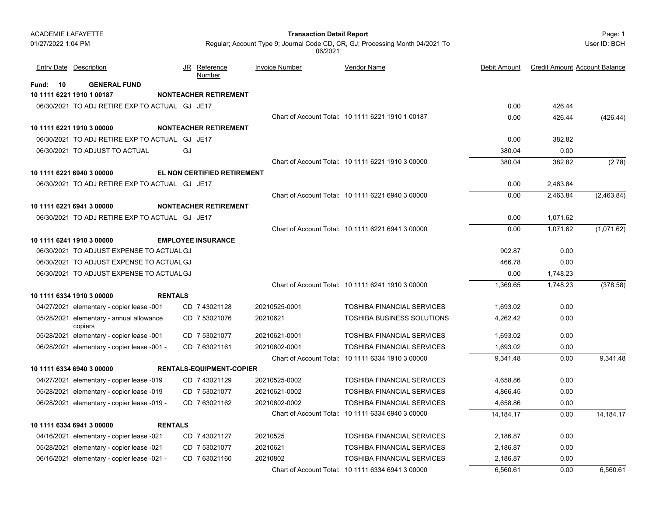#### Page: 1 **Transaction Detail Report**

Regular; Account Type 9; Journal Code CD, CR, GJ; Processing Month 04/2021 To 06/2021

|             | <b>Entry Date Description</b>                       |                |    | JR Reference<br><b>Number</b>      | <b>Invoice Number</b> | Vendor Name                                       | Debit Amount | <b>Credit Amount Account Balance</b> |             |
|-------------|-----------------------------------------------------|----------------|----|------------------------------------|-----------------------|---------------------------------------------------|--------------|--------------------------------------|-------------|
| Fund:<br>10 | <b>GENERAL FUND</b>                                 |                |    |                                    |                       |                                                   |              |                                      |             |
|             | 10 1111 6221 1910 1 00187                           |                |    | <b>NONTEACHER RETIREMENT</b>       |                       |                                                   |              |                                      |             |
|             | 06/30/2021 TO ADJ RETIRE EXP TO ACTUAL GJ JE17      |                |    |                                    |                       |                                                   | 0.00         | 426.44                               |             |
|             |                                                     |                |    |                                    |                       | Chart of Account Total: 10 1111 6221 1910 1 00187 | 0.00         | 426.44                               | (426.44)    |
|             | 10 1111 6221 1910 3 00000                           |                |    | <b>NONTEACHER RETIREMENT</b>       |                       |                                                   |              |                                      |             |
|             | 06/30/2021 TO ADJ RETIRE EXP TO ACTUAL GJ JE17      |                |    |                                    |                       |                                                   | 0.00         | 382.82                               |             |
|             | 06/30/2021 TO ADJUST TO ACTUAL                      |                | GJ |                                    |                       |                                                   | 380.04       | 0.00                                 |             |
|             |                                                     |                |    |                                    |                       | Chart of Account Total: 10 1111 6221 1910 3 00000 | 380.04       | 382.82                               | (2.78)      |
|             | 10 1111 6221 6940 3 00000                           |                |    | <b>EL NON CERTIFIED RETIREMENT</b> |                       |                                                   |              |                                      |             |
|             | 06/30/2021 TO ADJ RETIRE EXP TO ACTUAL GJ JE17      |                |    |                                    |                       |                                                   | 0.00         | 2,463.84                             |             |
|             |                                                     |                |    |                                    |                       | Chart of Account Total: 10 1111 6221 6940 3 00000 | 0.00         | 2,463.84                             | (2,463.84)  |
|             | 10 1111 6221 6941 3 00000                           |                |    | <b>NONTEACHER RETIREMENT</b>       |                       |                                                   |              |                                      |             |
|             | 06/30/2021 TO ADJ RETIRE EXP TO ACTUAL GJ JE17      |                |    |                                    |                       |                                                   | 0.00         | 1.071.62                             |             |
|             |                                                     |                |    |                                    |                       | Chart of Account Total: 10 1111 6221 6941 3 00000 | 0.00         | 1,071.62                             | (1,071.62)  |
|             | 10 1111 6241 1910 3 00000                           |                |    | <b>EMPLOYEE INSURANCE</b>          |                       |                                                   |              |                                      |             |
|             | 06/30/2021 TO ADJUST EXPENSE TO ACTUAL GJ           |                |    |                                    |                       |                                                   | 902.87       | 0.00                                 |             |
|             | 06/30/2021 TO ADJUST EXPENSE TO ACTUAL GJ           |                |    |                                    |                       |                                                   | 466.78       | 0.00                                 |             |
|             | 06/30/2021 TO ADJUST EXPENSE TO ACTUAL GJ           |                |    |                                    |                       |                                                   | 0.00         | 1,748.23                             |             |
|             |                                                     |                |    |                                    |                       | Chart of Account Total: 10 1111 6241 1910 3 00000 | 1,369.65     | 1,748.23                             | (378.58)    |
|             | 10 1111 6334 1910 3 00000                           | <b>RENTALS</b> |    |                                    |                       |                                                   |              |                                      |             |
|             | 04/27/2021 elementary - copier lease -001           |                |    | CD 7 43021128                      | 20210525-0001         | <b>TOSHIBA FINANCIAL SERVICES</b>                 | 1,693.02     | 0.00                                 |             |
|             | 05/28/2021 elementary - annual allowance<br>copiers |                |    | CD 7 53021076                      | 20210621              | <b>TOSHIBA BUSINESS SOLUTIONS</b>                 | 4,262.42     | 0.00                                 |             |
|             | 05/28/2021 elementary - copier lease -001           |                |    | CD 7 53021077                      | 20210621-0001         | <b>TOSHIBA FINANCIAL SERVICES</b>                 | 1,693.02     | 0.00                                 |             |
|             | 06/28/2021 elementary - copier lease -001 -         |                |    | CD 763021161                       | 20210802-0001         | <b>TOSHIBA FINANCIAL SERVICES</b>                 | 1,693.02     | 0.00                                 |             |
|             |                                                     |                |    |                                    |                       | Chart of Account Total: 10 1111 6334 1910 3 00000 | 9.341.48     | 0.00                                 | 9.341.48    |
|             | 10 1111 6334 6940 3 00000                           |                |    | <b>RENTALS-EQUIPMENT-COPIER</b>    |                       |                                                   |              |                                      |             |
|             | 04/27/2021 elementary - copier lease -019           |                |    | CD 7 43021129                      | 20210525-0002         | <b>TOSHIBA FINANCIAL SERVICES</b>                 | 4,658.86     | 0.00                                 |             |
|             | 05/28/2021 elementary - copier lease -019           |                |    | CD 7 53021077                      | 20210621-0002         | <b>TOSHIBA FINANCIAL SERVICES</b>                 | 4,866.45     | 0.00                                 |             |
|             | 06/28/2021 elementary - copier lease -019 -         |                |    | CD 7 63021162                      | 20210802-0002         | <b>TOSHIBA FINANCIAL SERVICES</b>                 | 4,658.86     | 0.00                                 |             |
|             |                                                     |                |    |                                    |                       | Chart of Account Total: 10 1111 6334 6940 3 00000 | 14, 184. 17  | 0.00                                 | 14, 184. 17 |
|             | 10 1111 6334 6941 3 00000                           | <b>RENTALS</b> |    |                                    |                       |                                                   |              |                                      |             |
|             | 04/16/2021 elementary - copier lease -021           |                |    | CD 7 43021127                      | 20210525              | <b>TOSHIBA FINANCIAL SERVICES</b>                 | 2,186.87     | 0.00                                 |             |
|             | 05/28/2021 elementary - copier lease -021           |                |    | CD 7 53021077                      | 20210621              | <b>TOSHIBA FINANCIAL SERVICES</b>                 | 2,186.87     | 0.00                                 |             |
|             | 06/16/2021 elementary - copier lease -021 -         |                |    | CD 7 63021160                      | 20210802              | <b>TOSHIBA FINANCIAL SERVICES</b>                 | 2,186.87     | 0.00                                 |             |
|             |                                                     |                |    |                                    |                       | Chart of Account Total: 10 1111 6334 6941 3 00000 | 6,560.61     | 0.00                                 | 6,560.61    |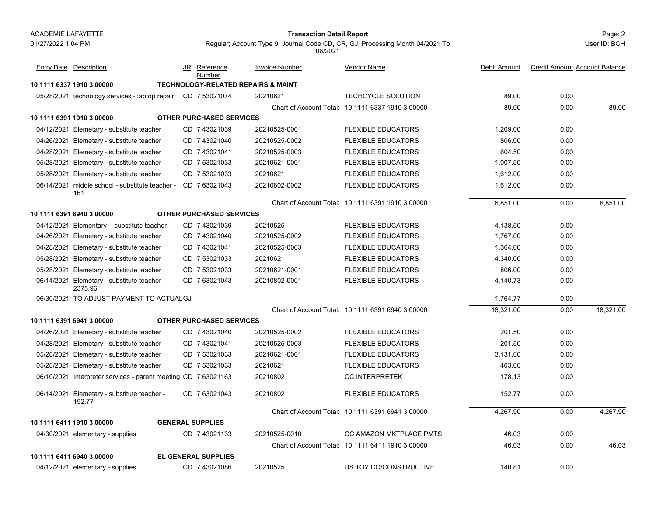#### Page: 2 **Transaction Detail Report**

User ID: BCH

| <b>Entry Date Description</b>                                  | JR | Reference<br>Number             | <b>Invoice Number</b>                         | Vendor Name                                       | Debit Amount |      | <b>Credit Amount Account Balance</b> |
|----------------------------------------------------------------|----|---------------------------------|-----------------------------------------------|---------------------------------------------------|--------------|------|--------------------------------------|
| 10 1111 6337 1910 3 00000                                      |    |                                 | <b>TECHNOLOGY-RELATED REPAIRS &amp; MAINT</b> |                                                   |              |      |                                      |
| 05/28/2021 technology services - laptop repair CD 7 53021074   |    |                                 | 20210621                                      | TECHCYCLE SOLUTION                                | 89.00        | 0.00 |                                      |
|                                                                |    |                                 |                                               | Chart of Account Total: 10 1111 6337 1910 3 00000 | 89.00        | 0.00 | 89.00                                |
| 10 1111 6391 1910 3 00000                                      |    | <b>OTHER PURCHASED SERVICES</b> |                                               |                                                   |              |      |                                      |
| 04/12/2021 Elemetary - substitute teacher                      |    | CD 7 43021039                   | 20210525-0001                                 | <b>FLEXIBLE EDUCATORS</b>                         | 1,209.00     | 0.00 |                                      |
| 04/26/2021 Elemetary - substitute teacher                      |    | CD 7 43021040                   | 20210525-0002                                 | <b>FLEXIBLE EDUCATORS</b>                         | 806.00       | 0.00 |                                      |
| 04/28/2021 Elemetary - substitute teacher                      |    | CD 7 43021041                   | 20210525-0003                                 | <b>FLEXIBLE EDUCATORS</b>                         | 604.50       | 0.00 |                                      |
| 05/28/2021 Elemetary - substitute teacher                      |    | CD 7 53021033                   | 20210621-0001                                 | <b>FLEXIBLE EDUCATORS</b>                         | 1,007.50     | 0.00 |                                      |
| 05/28/2021 Elemetary - substitute teacher                      |    | CD 7 53021033                   | 20210621                                      | <b>FLEXIBLE EDUCATORS</b>                         | 1,612.00     | 0.00 |                                      |
| 06/14/2021 middle school - substitute teacher -<br>161         |    | CD 763021043                    | 20210802-0002                                 | <b>FLEXIBLE EDUCATORS</b>                         | 1,612.00     | 0.00 |                                      |
|                                                                |    |                                 |                                               | Chart of Account Total: 10 1111 6391 1910 3 00000 | 6,851.00     | 0.00 | 6.851.00                             |
| 10 1111 6391 6940 3 00000                                      |    | <b>OTHER PURCHASED SERVICES</b> |                                               |                                                   |              |      |                                      |
| 04/12/2021 Elementary - substitute teacher                     |    | CD 7 43021039                   | 20210525                                      | <b>FLEXIBLE EDUCATORS</b>                         | 4,138.50     | 0.00 |                                      |
| 04/26/2021 Elemetary - substitute teacher                      |    | CD 7 43021040                   | 20210525-0002                                 | <b>FLEXIBLE EDUCATORS</b>                         | 1,767.00     | 0.00 |                                      |
| 04/28/2021 Elemetary - substitute teacher                      |    | CD 743021041                    | 20210525-0003                                 | <b>FLEXIBLE EDUCATORS</b>                         | 1,364.00     | 0.00 |                                      |
| 05/28/2021 Elemetary - substitute teacher                      |    | CD 7 53021033                   | 20210621                                      | <b>FLEXIBLE EDUCATORS</b>                         | 4,340.00     | 0.00 |                                      |
| 05/28/2021 Elemetary - substitute teacher                      |    | CD 7 53021033                   | 20210621-0001                                 | <b>FLEXIBLE EDUCATORS</b>                         | 806.00       | 0.00 |                                      |
| 06/14/2021 Elemetary - substitute teacher -<br>2375.96         |    | CD 7 63021043                   | 20210802-0001                                 | <b>FLEXIBLE EDUCATORS</b>                         | 4,140.73     | 0.00 |                                      |
| 06/30/2021 TO ADJUST PAYMENT TO ACTUAL GJ                      |    |                                 |                                               |                                                   | 1,764.77     | 0.00 |                                      |
|                                                                |    |                                 |                                               | Chart of Account Total: 10 1111 6391 6940 3 00000 | 18,321.00    | 0.00 | 18.321.00                            |
| 10 1111 6391 6941 3 00000                                      |    | <b>OTHER PURCHASED SERVICES</b> |                                               |                                                   |              |      |                                      |
| 04/26/2021 Elemetary - substitute teacher                      |    | CD 7 43021040                   | 20210525-0002                                 | <b>FLEXIBLE EDUCATORS</b>                         | 201.50       | 0.00 |                                      |
| 04/28/2021 Elemetary - substitute teacher                      |    | CD 7 43021041                   | 20210525-0003                                 | <b>FLEXIBLE EDUCATORS</b>                         | 201.50       | 0.00 |                                      |
| 05/28/2021 Elemetary - substitute teacher                      |    | CD 7 53021033                   | 20210621-0001                                 | <b>FLEXIBLE EDUCATORS</b>                         | 3,131.00     | 0.00 |                                      |
| 05/28/2021 Elemetary - substitute teacher                      |    | CD 7 53021033                   | 20210621                                      | <b>FLEXIBLE EDUCATORS</b>                         | 403.00       | 0.00 |                                      |
| 06/10/2021 Interpreter services - parent meeting CD 7 63021163 |    |                                 | 20210802                                      | <b>CC INTERPRETEK</b>                             | 178.13       | 0.00 |                                      |
| 06/14/2021 Elemetary - substitute teacher -<br>152.77          |    | CD 763021043                    | 20210802                                      | <b>FLEXIBLE EDUCATORS</b>                         | 152.77       | 0.00 |                                      |
|                                                                |    |                                 |                                               | Chart of Account Total: 10 1111 6391 6941 3 00000 | 4,267.90     | 0.00 | 4,267.90                             |
| 10 1111 6411 1910 3 00000                                      |    | <b>GENERAL SUPPLIES</b>         |                                               |                                                   |              |      |                                      |
| 04/30/2021 elementary - supplies                               |    | CD 7 43021133                   | 20210525-0010                                 | CC AMAZON MKTPLACE PMTS                           | 46.03        | 0.00 |                                      |
|                                                                |    |                                 |                                               | Chart of Account Total: 10 1111 6411 1910 3 00000 | 46.03        | 0.00 | 46.03                                |
| 10 1111 6411 6940 3 00000                                      |    | <b>EL GENERAL SUPPLIES</b>      |                                               |                                                   |              |      |                                      |
| 04/12/2021 elementary - supplies                               |    | CD 7 43021086                   | 20210525                                      | US TOY CO/CONSTRUCTIVE                            | 140.81       | 0.00 |                                      |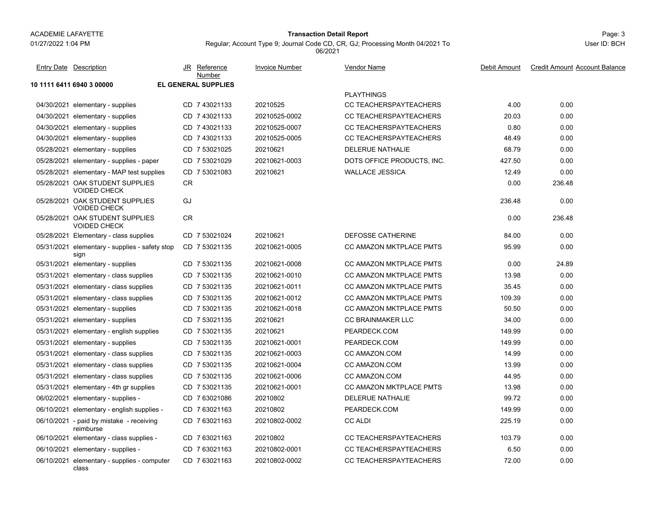#### 01/27/2022 1:04 PM

#### Page: 3 **Transaction Detail Report**

Regular; Account Type 9; Journal Code CD, CR, GJ; Processing Month 04/2021 To

**10 1111 6411 6940 3 00000 EL GENERAL SUPPLIES**PLAYTHINGS04/30/2021 elementary - supplies elementary - supplies CD 20210525 CD 20210525 CD 20210525 CD 20210525 CD 20210525 CD 20210525 CD 20210525 CD 20 04/30/2021 elementary - supplies elementary 20210525-0002 CC TEACHERSPAYTEACHERS 20.03 20.00 20.00 04/30/2021 elementary - supplies elementary 20210525-0007 CC TEACHERSPAYTEACHERS 0.80 0.00 04/30/2021elementary - supplies CD 7 43021133 20210525-0005 CC TEACHERSPAYTEACHERS 48.49 0.00 05/28/2021 elementary - supplies CD 7 53021025 20210621 DELERUE NATHALIE 68.79 0.00 05/28/2021 elementary - supplies - paper CD 7 53021029 20210621-0003 DOTS OFFICE PRODUCTS, INC. 427.50 0.00 05/28/2021elementary - MAP test supplies CD 7 53021083 20210621 WALLACE JESSICA 7 8 53021082 12.49 0.00 05/28/2021 OAK STUDENT SUPPLIES 0.00 236.48 VOIDED CHECKCR05/28/2021 OAK STUDENT SUPPLIES 236.48 0.00 VOIDED CHECKGJ05/28/2021 OAK STUDENT SUPPLIES 0.00 236.48 VOIDED CHECKCR05/28/2021 Elementary - class supplies CD 7 53021024 20210621 DEFOSSE CATHERINE 84.00 0.00 05/31/2021 elementary - supplies - safety stop CD\_7 53021135 20210621-0005 CC AMAZON MKTPLACE PMTS 95.99 0.00 sign CD 20210621-0005 CC AMAZON MKTPLACE PMTS 7 53021135 05/31/2021 elementary - supplies elementary 20210621-0008 CC AMAZON MKTPLACE PMTS 3000 24.89 05/31/2021 elementary - class supplies CD 7 53021135 20210621-0010 CC AMAZON MKTPLACE PMTS 0.00 05/31/2021 elementary - class supplies CD 7 53021135 20210621-0011 CC AMAZON MKTPLACE PMTS 35.45 0.00 05/31/2021elementary - class supplies CD 7 53021135 20210621-0012 CC AMAZON MKTPLACE PMTS 7 6.00 05/31/2021elementary - supplies CD 7 53021135 20210621-0018 CC AMAZON MKTPLACE PMTS 50.50 50.50 0.00 05/31/2021elementary - supplies CD 7 53021135 20210621 CC BRAINMAKER LLC 34.00 34.00 0.00 05/31/2021elementary - english supplies CD 7 53021135 20210621 PEARDECK.COM 2010 149.99 0.00 05/31/2021elementary - supplies CD 7 53021135 20210621-0001 PEARDECK.COM 3 749.99 149.99 0.00 05/31/2021elementary - class supplies CD 7 53021135 20210621-0003 CC AMAZON.COM 14.99 14.99 0.00 05/31/2021elementary - class supplies CD 7 53021135 20210621-0004 CC AMAZON.COM 13.99 13.99 0.00 05/31/2021 elementary - class supplies CD 7 53021135 20210621-0006 CC AMAZON.COM 44.95 0.00 05/31/2021elementary - 4th gr supplies CD 7 53021135 20210621-0001 CC AMAZON MKTPLACE PMTS 13.98 0.00 06/02/2021elementary - supplies - CD 7 63021086 20210802 DELERUE NATHALIE 99.72 99.72 0.00 06/10/2021 elementary - english supplies - CD\_7 63021163 20210802 PEARDECK.COM 149.99 0.00 06/10/2021 - paid by mistake - receiving CD\_7 63021163 20210802-0002 CC ALDI 225.19 0.00 reimburseCD 7 63021163 20210802-0002 CC ALDI 20210802-0002 06/10/2021 elementary - class supplies - CD\_7 63021163 20210802 CC TEACHERSPAYTEACHERS 0.00 06/10/2021 elementary - supplies elementary - supplies - CD 20210802-0001 CC TEACHERSPAYTEACHERS 7 63021163 6.50 0.00 06/10/2021 elementary - supplies - computer CD\_7 63021163 20210802-0002 CC TEACHERSPAYTEACHERS 0.00 classCD 20210802-0002 CC TEACHERSPAYTEACHERS 7 63021163 JR Reference Invoice Number Vendor NameDebit Amount Credit Amount Account Balance NumberEntry Date Description JR Reference <u>Invoice Number</u> <u>Vendor Name</u> Debit Amount Credit Amount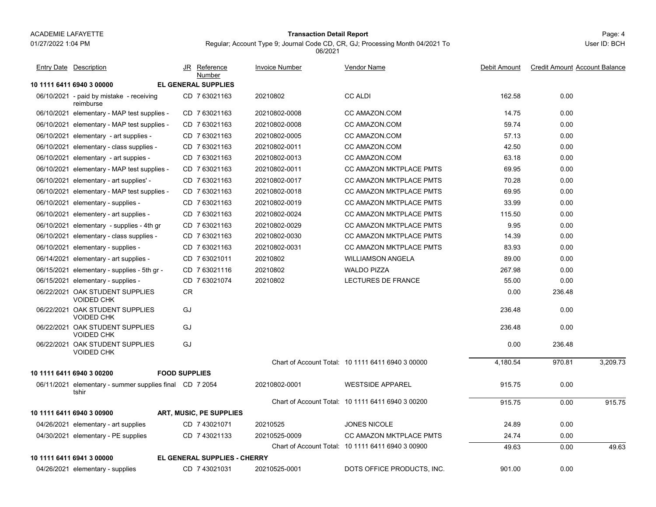01/27/2022 1:04 PM

#### Page: 4 **Transaction Detail Report**

Regular; Account Type 9; Journal Code CD, CR, GJ; Processing Month 04/2021 To 06/2021

| <b>Entry Date Description</b>                           |                      | JR Reference<br><b>Number</b>       | <b>Invoice Number</b> | Vendor Name                                       | Debit Amount | <b>Credit Amount Account Balance</b> |          |
|---------------------------------------------------------|----------------------|-------------------------------------|-----------------------|---------------------------------------------------|--------------|--------------------------------------|----------|
| 10 1111 6411 6940 3 00000                               |                      | EL GENERAL SUPPLIES                 |                       |                                                   |              |                                      |          |
| 06/10/2021 - paid by mistake - receiving<br>reimburse   |                      | CD 7 63021163                       | 20210802              | <b>CC ALDI</b>                                    | 162.58       | 0.00                                 |          |
| 06/10/2021 elementary - MAP test supplies -             |                      | CD 763021163                        | 20210802-0008         | CC AMAZON.COM                                     | 14.75        | 0.00                                 |          |
| 06/10/2021 elementary - MAP test supplies -             |                      | CD 763021163                        | 20210802-0008         | CC AMAZON.COM                                     | 59.74        | 0.00                                 |          |
| 06/10/2021 elementary - art supplies -                  |                      | CD 7 63021163                       | 20210802-0005         | CC AMAZON COM                                     | 57.13        | 0.00                                 |          |
| 06/10/2021 elementary - class supplies -                |                      | CD 7 63021163                       | 20210802-0011         | CC AMAZON.COM                                     | 42.50        | 0.00                                 |          |
| 06/10/2021 elementary - art suppies -                   |                      | CD 763021163                        | 20210802-0013         | CC AMAZON COM                                     | 63.18        | 0.00                                 |          |
| 06/10/2021 elementary - MAP test supplies -             |                      | CD 7 63021163                       | 20210802-0011         | CC AMAZON MKTPLACE PMTS                           | 69.95        | 0.00                                 |          |
| 06/10/2021 elementary - art supplies' -                 |                      | CD 763021163                        | 20210802-0017         | <b>CC AMAZON MKTPLACE PMTS</b>                    | 70.28        | 0.00                                 |          |
| 06/10/2021 elementary - MAP test supplies -             |                      | CD 763021163                        | 20210802-0018         | CC AMAZON MKTPLACE PMTS                           | 69.95        | 0.00                                 |          |
| 06/10/2021 elementary - supplies -                      |                      | CD 763021163                        | 20210802-0019         | <b>CC AMAZON MKTPLACE PMTS</b>                    | 33.99        | 0.00                                 |          |
| 06/10/2021 elementery - art supplies -                  |                      | CD 763021163                        | 20210802-0024         | <b>CC AMAZON MKTPLACE PMTS</b>                    | 115.50       | 0.00                                 |          |
| 06/10/2021 elementary - supplies - 4th gr               |                      | CD 763021163                        | 20210802-0029         | <b>CC AMAZON MKTPLACE PMTS</b>                    | 9.95         | 0.00                                 |          |
| 06/10/2021 elementary - class supplies -                |                      | CD 763021163                        | 20210802-0030         | <b>CC AMAZON MKTPLACE PMTS</b>                    | 14.39        | 0.00                                 |          |
| 06/10/2021 elementary - supplies -                      |                      | CD 763021163                        | 20210802-0031         | <b>CC AMAZON MKTPLACE PMTS</b>                    | 83.93        | 0.00                                 |          |
| 06/14/2021 elementary - art supplies -                  |                      | CD 763021011                        | 20210802              | <b>WILLIAMSON ANGELA</b>                          | 89.00        | 0.00                                 |          |
| 06/15/2021 elementary - supplies - 5th gr -             |                      | CD 763021116                        | 20210802              | <b>WALDO PIZZA</b>                                | 267.98       | 0.00                                 |          |
| 06/15/2021 elementary - supplies -                      |                      | CD 763021074                        | 20210802              | LECTURES DE FRANCE                                | 55.00        | 0.00                                 |          |
| 06/22/2021 OAK STUDENT SUPPLIES<br><b>VOIDED CHK</b>    | <b>CR</b>            |                                     |                       |                                                   | 0.00         | 236.48                               |          |
| 06/22/2021 OAK STUDENT SUPPLIES<br><b>VOIDED CHK</b>    | GJ                   |                                     |                       |                                                   | 236.48       | 0.00                                 |          |
| 06/22/2021 OAK STUDENT SUPPLIES<br><b>VOIDED CHK</b>    | GJ                   |                                     |                       |                                                   | 236.48       | 0.00                                 |          |
| 06/22/2021 OAK STUDENT SUPPLIES<br><b>VOIDED CHK</b>    | GJ                   |                                     |                       |                                                   | 0.00         | 236.48                               |          |
| 10 1111 6411 6940 3 00200                               | <b>FOOD SUPPLIES</b> |                                     |                       | Chart of Account Total: 10 1111 6411 6940 3 00000 | 4,180.54     | 970.81                               | 3.209.73 |
| 06/11/2021 elementary - summer supplies final CD 7 2054 |                      |                                     | 20210802-0001         | <b>WESTSIDE APPAREL</b>                           | 915.75       | 0.00                                 |          |
| tshir                                                   |                      |                                     |                       |                                                   |              |                                      |          |
|                                                         |                      |                                     |                       | Chart of Account Total: 10 1111 6411 6940 3 00200 | 915.75       | 0.00                                 | 915.75   |
| 10 1111 6411 6940 3 00900                               |                      | ART, MUSIC, PE SUPPLIES             |                       |                                                   |              |                                      |          |
| 04/26/2021 elementary - art supplies                    |                      | CD 743021071                        | 20210525              | <b>JONES NICOLE</b>                               | 24.89        | 0.00                                 |          |
| 04/30/2021 elementary - PE supplies                     |                      | CD 7 43021133                       | 20210525-0009         | CC AMAZON MKTPLACE PMTS                           | 24.74        | 0.00                                 |          |
|                                                         |                      |                                     |                       | Chart of Account Total: 10 1111 6411 6940 3 00900 | 49.63        | 0.00                                 | 49.63    |
| 10 1111 6411 6941 3 00000                               |                      | <b>EL GENERAL SUPPLIES - CHERRY</b> |                       |                                                   |              |                                      |          |
| 04/26/2021 elementary - supplies                        |                      | CD 7 43021031                       | 20210525-0001         | DOTS OFFICE PRODUCTS. INC.                        | 901.00       | 0.00                                 |          |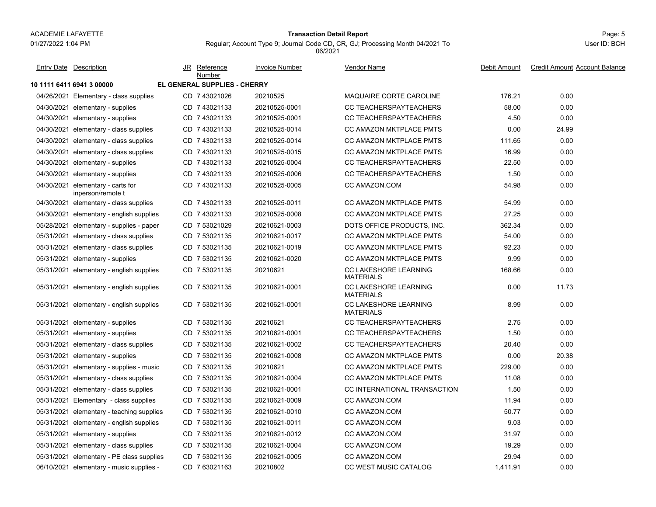01/27/2022 1:04 PM

#### Page: 5 **Transaction Detail Report**

Regular; Account Type 9; Journal Code CD, CR, GJ; Processing Month 04/2021 To 06/2021

| <b>Entry Date Description</b>                          | JR Reference<br>Number       | <b>Invoice Number</b> | <b>Vendor Name</b>                        | Debit Amount | <b>Credit Amount Account Balance</b> |
|--------------------------------------------------------|------------------------------|-----------------------|-------------------------------------------|--------------|--------------------------------------|
| 10 1111 6411 6941 3 00000                              | EL GENERAL SUPPLIES - CHERRY |                       |                                           |              |                                      |
| 04/26/2021 Elementary - class supplies                 | CD 7 43021026                | 20210525              | <b>MAQUAIRE CORTE CAROLINE</b>            | 176.21       | 0.00                                 |
| 04/30/2021 elementary - supplies                       | CD 7 43021133                | 20210525-0001         | CC TEACHERSPAYTEACHERS                    | 58.00        | 0.00                                 |
| 04/30/2021 elementary - supplies                       | CD 743021133                 | 20210525-0001         | CC TEACHERSPAYTEACHERS                    | 4.50         | 0.00                                 |
| 04/30/2021 elementary - class supplies                 | CD 7 43021133                | 20210525-0014         | CC AMAZON MKTPLACE PMTS                   | 0.00         | 24.99                                |
| 04/30/2021 elementary - class supplies                 | CD 7 43021133                | 20210525-0014         | CC AMAZON MKTPLACE PMTS                   | 111.65       | 0.00                                 |
| 04/30/2021 elementary - class supplies                 | CD 743021133                 | 20210525-0015         | <b>CC AMAZON MKTPLACE PMTS</b>            | 16.99        | 0.00                                 |
| 04/30/2021 elementary - supplies                       | CD 7 43021133                | 20210525-0004         | <b>CC TEACHERSPAYTEACHERS</b>             | 22.50        | 0.00                                 |
| 04/30/2021 elementary - supplies                       | CD 7 43021133                | 20210525-0006         | CC TEACHERSPAYTEACHERS                    | 1.50         | 0.00                                 |
| 04/30/2021 elementary - carts for<br>inperson/remote t | CD 743021133                 | 20210525-0005         | CC AMAZON.COM                             | 54.98        | 0.00                                 |
| 04/30/2021 elementary - class supplies                 | CD 7 43021133                | 20210525-0011         | <b>CC AMAZON MKTPLACE PMTS</b>            | 54.99        | 0.00                                 |
| 04/30/2021 elementary - english supplies               | CD 7 43021133                | 20210525-0008         | <b>CC AMAZON MKTPLACE PMTS</b>            | 27.25        | 0.00                                 |
| 05/28/2021 elementary - supplies - paper               | CD 7 53021029                | 20210621-0003         | DOTS OFFICE PRODUCTS, INC.                | 362.34       | 0.00                                 |
| 05/31/2021 elementary - class supplies                 | CD 7 53021135                | 20210621-0017         | CC AMAZON MKTPLACE PMTS                   | 54.00        | 0.00                                 |
| 05/31/2021 elementary - class supplies                 | CD 7 53021135                | 20210621-0019         | <b>CC AMAZON MKTPLACE PMTS</b>            | 92.23        | 0.00                                 |
| 05/31/2021 elementary - supplies                       | CD 7 53021135                | 20210621-0020         | <b>CC AMAZON MKTPLACE PMTS</b>            | 9.99         | 0.00                                 |
| 05/31/2021 elementary - english supplies               | CD 7 53021135                | 20210621              | CC LAKESHORE LEARNING<br><b>MATERIALS</b> | 168.66       | 0.00                                 |
| 05/31/2021 elementary - english supplies               | CD 7 53021135                | 20210621-0001         | CC LAKESHORE LEARNING<br><b>MATERIALS</b> | 0.00         | 11.73                                |
| 05/31/2021 elementary - english supplies               | CD 7 53021135                | 20210621-0001         | CC LAKESHORE LEARNING<br><b>MATERIALS</b> | 8.99         | 0.00                                 |
| 05/31/2021 elementary - supplies                       | CD 7 53021135                | 20210621              | CC TEACHERSPAYTEACHERS                    | 2.75         | 0.00                                 |
| 05/31/2021 elementary - supplies                       | CD 7 53021135                | 20210621-0001         | CC TEACHERSPAYTEACHERS                    | 1.50         | 0.00                                 |
| 05/31/2021 elementary - class supplies                 | CD 7 53021135                | 20210621-0002         | CC TEACHERSPAYTEACHERS                    | 20.40        | 0.00                                 |
| 05/31/2021 elementary - supplies                       | CD 7 53021135                | 20210621-0008         | CC AMAZON MKTPLACE PMTS                   | 0.00         | 20.38                                |
| 05/31/2021 elementary - supplies - music               | CD 7 53021135                | 20210621              | CC AMAZON MKTPLACE PMTS                   | 229.00       | 0.00                                 |
| 05/31/2021 elementary - class supplies                 | CD 7 53021135                | 20210621-0004         | CC AMAZON MKTPLACE PMTS                   | 11.08        | 0.00                                 |
| 05/31/2021 elementary - class supplies                 | CD 7 53021135                | 20210621-0001         | CC INTERNATIONAL TRANSACTION              | 1.50         | 0.00                                 |
| 05/31/2021 Elementary - class supplies                 | CD 7 53021135                | 20210621-0009         | CC AMAZON.COM                             | 11.94        | 0.00                                 |
| 05/31/2021 elementary - teaching supplies              | CD 7 53021135                | 20210621-0010         | CC AMAZON.COM                             | 50.77        | 0.00                                 |
| 05/31/2021 elementary - english supplies               | CD 7 53021135                | 20210621-0011         | CC AMAZON COM                             | 9.03         | 0.00                                 |
| 05/31/2021 elementary - supplies                       | CD 7 53021135                | 20210621-0012         | CC AMAZON.COM                             | 31.97        | 0.00                                 |
| 05/31/2021 elementary - class supplies                 | CD 7 53021135                | 20210621-0004         | CC AMAZON.COM                             | 19.29        | 0.00                                 |
| 05/31/2021 elementary - PE class supplies              | CD 7 53021135                | 20210621-0005         | CC AMAZON.COM                             | 29.94        | 0.00                                 |
| 06/10/2021 elementary - music supplies -               | CD 7 63021163                | 20210802              | <b>CC WEST MUSIC CATALOG</b>              | 1,411.91     | 0.00                                 |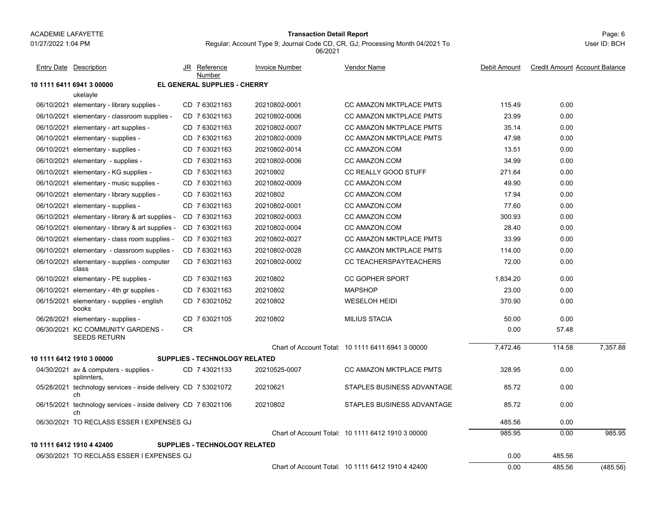#### Page: 6 **Transaction Detail Report**

Regular; Account Type 9; Journal Code CD, CR, GJ; Processing Month 04/2021 To 06/2021

User ID: BCH

| <b>Entry Date Description</b>                                        | JR        | Reference<br>Number                  | <b>Invoice Number</b> | Vendor Name                                       | Debit Amount | <b>Credit Amount Account Balance</b> |          |
|----------------------------------------------------------------------|-----------|--------------------------------------|-----------------------|---------------------------------------------------|--------------|--------------------------------------|----------|
| 10 1111 6411 6941 3 00000                                            |           | EL GENERAL SUPPLIES - CHERRY         |                       |                                                   |              |                                      |          |
| ukelayle                                                             |           |                                      |                       |                                                   |              |                                      |          |
| 06/10/2021 elementary - library supplies -                           |           | CD 7 63021163                        | 20210802-0001         | CC AMAZON MKTPLACE PMTS                           | 115.49       | 0.00                                 |          |
| 06/10/2021 elementary - classroom supplies -                         |           | CD 763021163                         | 20210802-0006         | <b>CC AMAZON MKTPLACE PMTS</b>                    | 23.99        | 0.00                                 |          |
| 06/10/2021 elementary - art supplies -                               |           | CD 763021163                         | 20210802-0007         | <b>CC AMAZON MKTPLACE PMTS</b>                    | 35.14        | 0.00                                 |          |
| 06/10/2021 elementary - supplies -                                   |           | CD 763021163                         | 20210802-0009         | <b>CC AMAZON MKTPLACE PMTS</b>                    | 47.98        | 0.00                                 |          |
| 06/10/2021 elementary - supplies -                                   |           | CD 763021163                         | 20210802-0014         | CC AMAZON.COM                                     | 13.51        | 0.00                                 |          |
| 06/10/2021 elementary - supplies -                                   |           | CD 763021163                         | 20210802-0006         | CC AMAZON.COM                                     | 34.99        | 0.00                                 |          |
| 06/10/2021 elementary - KG supplies -                                |           | CD 763021163                         | 20210802              | <b>CC REALLY GOOD STUFF</b>                       | 271.64       | 0.00                                 |          |
| 06/10/2021 elementary - music supplies -                             |           | CD 763021163                         | 20210802-0009         | CC AMAZON.COM                                     | 49.90        | 0.00                                 |          |
| 06/10/2021 elementary - library supplies -                           |           | CD 763021163                         | 20210802              | CC AMAZON.COM                                     | 17.94        | 0.00                                 |          |
| 06/10/2021 elementary - supplies -                                   |           | CD 763021163                         | 20210802-0001         | CC AMAZON.COM                                     | 77.60        | 0.00                                 |          |
| 06/10/2021 elementary - library & art supplies -                     |           | CD 763021163                         | 20210802-0003         | CC AMAZON.COM                                     | 300.93       | 0.00                                 |          |
| 06/10/2021 elementary - library & art supplies -                     |           | CD 763021163                         | 20210802-0004         | CC AMAZON.COM                                     | 28.40        | 0.00                                 |          |
| 06/10/2021 elementary - class room supplies -                        |           | CD 763021163                         | 20210802-0027         | <b>CC AMAZON MKTPLACE PMTS</b>                    | 33.99        | 0.00                                 |          |
| 06/10/2021 elementary - classroom supplies -                         |           | CD 763021163                         | 20210802-0028         | <b>CC AMAZON MKTPLACE PMTS</b>                    | 114.00       | 0.00                                 |          |
| 06/10/2021 elementary - supplies - computer<br>class                 |           | CD 763021163                         | 20210802-0002         | <b>CC TEACHERSPAYTEACHERS</b>                     | 72.00        | 0.00                                 |          |
| 06/10/2021 elementary - PE supplies -                                |           | CD 763021163                         | 20210802              | <b>CC GOPHER SPORT</b>                            | 1.834.20     | 0.00                                 |          |
| 06/10/2021 elementary - 4th gr supplies -                            |           | CD 763021163                         | 20210802              | <b>MAPSHOP</b>                                    | 23.00        | 0.00                                 |          |
| 06/15/2021 elementary - supplies - english<br>books                  |           | CD 7 63021052                        | 20210802              | <b>WESELOH HEIDI</b>                              | 370.90       | 0.00                                 |          |
| 06/28/2021 elementary - supplies -                                   |           | CD 763021105                         | 20210802              | <b>MILIUS STACIA</b>                              | 50.00        | 0.00                                 |          |
| 06/30/2021 KC COMMUNITY GARDENS -<br><b>SEEDS RETURN</b>             | <b>CR</b> |                                      |                       |                                                   | 0.00         | 57.48                                |          |
|                                                                      |           |                                      |                       | Chart of Account Total: 10 1111 6411 6941 3 00000 | 7,472.46     | 114.58                               | 7.357.88 |
| 10 1111 6412 1910 3 00000                                            |           | <b>SUPPLIES - TECHNOLOGY RELATED</b> |                       |                                                   |              |                                      |          |
| 04/30/2021 av & computers - supplies -<br>splinnters,                |           | CD 743021133                         | 20210525-0007         | <b>CC AMAZON MKTPLACE PMTS</b>                    | 328.95       | 0.00                                 |          |
| 05/28/2021 technology services - inside delivery CD 7 53021072<br>ch |           |                                      | 20210621              | STAPLES BUSINESS ADVANTAGE                        | 85.72        | 0.00                                 |          |
| 06/15/2021 technology services - inside delivery CD 7 63021106<br>ch |           |                                      | 20210802              | STAPLES BUSINESS ADVANTAGE                        | 85.72        | 0.00                                 |          |
| 06/30/2021 TO RECLASS ESSER I EXPENSES GJ                            |           |                                      |                       |                                                   | 485.56       | 0.00                                 |          |
|                                                                      |           |                                      |                       | Chart of Account Total: 10 1111 6412 1910 3 00000 | 985.95       | 0.00                                 | 985.95   |
| 10 1111 6412 1910 4 42400                                            |           | <b>SUPPLIES - TECHNOLOGY RELATED</b> |                       |                                                   |              |                                      |          |
| 06/30/2021 TO RECLASS ESSER I EXPENSES GJ                            |           |                                      |                       |                                                   | 0.00         | 485.56                               |          |
|                                                                      |           |                                      |                       | Chart of Account Total: 10 1111 6412 1910 4 42400 | 0.00         | 485.56                               | (485.56) |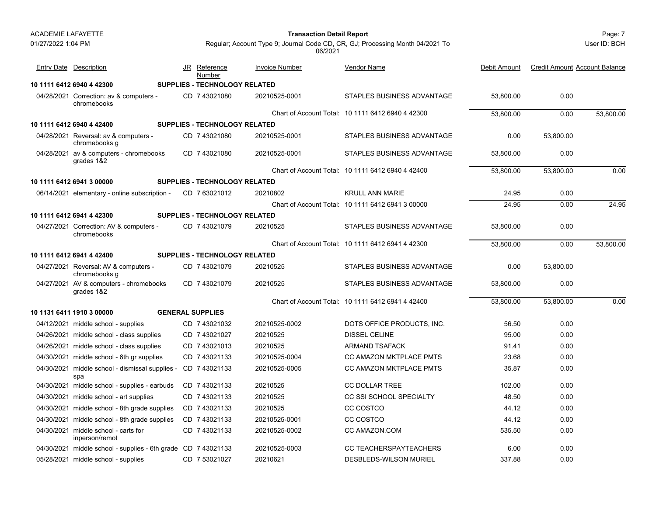Page: 7 **Transaction Detail Report**

User ID: BCH

| <b>Entry Date Description</b>                                        | JR Reference<br>Number               | <b>Invoice Number</b> | Vendor Name                                       | Debit Amount | <b>Credit Amount Account Balance</b> |           |
|----------------------------------------------------------------------|--------------------------------------|-----------------------|---------------------------------------------------|--------------|--------------------------------------|-----------|
| 10 1111 6412 6940 4 42300                                            | SUPPLIES - TECHNOLOGY RELATED        |                       |                                                   |              |                                      |           |
| 04/28/2021 Correction: av & computers -<br>chromebooks               | CD 7 43021080                        | 20210525-0001         | STAPLES BUSINESS ADVANTAGE                        | 53,800.00    | 0.00                                 |           |
|                                                                      |                                      |                       | Chart of Account Total: 10 1111 6412 6940 4 42300 | 53.800.00    | 0.00                                 | 53.800.00 |
| 10 1111 6412 6940 4 42400                                            | <b>SUPPLIES - TECHNOLOGY RELATED</b> |                       |                                                   |              |                                      |           |
| 04/28/2021 Reversal: av & computers -<br>chromebooks g               | CD 7 43021080                        | 20210525-0001         | STAPLES BUSINESS ADVANTAGE                        | 0.00         | 53,800.00                            |           |
| 04/28/2021 av & computers - chromebooks<br>grades 1&2                | CD 7 43021080                        | 20210525-0001         | STAPLES BUSINESS ADVANTAGE                        | 53,800.00    | 0.00                                 |           |
|                                                                      |                                      |                       | Chart of Account Total: 10 1111 6412 6940 4 42400 | 53,800.00    | 53,800.00                            | 0.00      |
| 10 1111 6412 6941 3 00000                                            | <b>SUPPLIES - TECHNOLOGY RELATED</b> |                       |                                                   |              |                                      |           |
| 06/14/2021 elementary - online subscription -                        | CD 763021012                         | 20210802              | <b>KRULL ANN MARIE</b>                            | 24.95        | 0.00                                 |           |
|                                                                      |                                      |                       | Chart of Account Total: 10 1111 6412 6941 3 00000 | 24.95        | 0.00                                 | 24.95     |
| 10 1111 6412 6941 4 42300                                            | <b>SUPPLIES - TECHNOLOGY RELATED</b> |                       |                                                   |              |                                      |           |
| 04/27/2021 Correction: AV & computers -<br>chromebooks               | CD 743021079                         | 20210525              | STAPLES BUSINESS ADVANTAGE                        | 53,800.00    | 0.00                                 |           |
|                                                                      |                                      |                       | Chart of Account Total: 10 1111 6412 6941 4 42300 | 53,800.00    | 0.00                                 | 53,800.00 |
| 10 1111 6412 6941 4 42400                                            | <b>SUPPLIES - TECHNOLOGY RELATED</b> |                       |                                                   |              |                                      |           |
| 04/27/2021 Reversal: AV & computers -<br>chromebooks g               | CD 7 43021079                        | 20210525              | STAPLES BUSINESS ADVANTAGE                        | 0.00         | 53,800.00                            |           |
| 04/27/2021 AV & computers - chromebooks<br>grades 1&2                | CD 7 43021079                        | 20210525              | STAPLES BUSINESS ADVANTAGE                        | 53,800.00    | 0.00                                 |           |
|                                                                      |                                      |                       | Chart of Account Total: 10 1111 6412 6941 4 42400 | 53,800.00    | 53,800.00                            | 0.00      |
| 10 1131 6411 1910 3 00000                                            | <b>GENERAL SUPPLIES</b>              |                       |                                                   |              |                                      |           |
| 04/12/2021 middle school - supplies                                  | CD 7 43021032                        | 20210525-0002         | DOTS OFFICE PRODUCTS, INC.                        | 56.50        | 0.00                                 |           |
| 04/26/2021 middle school - class supplies                            | CD 7 43021027                        | 20210525              | DISSEL CELINE                                     | 95.00        | 0.00                                 |           |
| 04/26/2021 middle school - class supplies                            | CD 7 43021013                        | 20210525              | <b>ARMAND TSAFACK</b>                             | 91.41        | 0.00                                 |           |
| 04/30/2021 middle school - 6th gr supplies                           | CD 743021133                         | 20210525-0004         | <b>CC AMAZON MKTPLACE PMTS</b>                    | 23.68        | 0.00                                 |           |
| 04/30/2021 middle school - dismissal supplies - CD 7 43021133<br>spa |                                      | 20210525-0005         | CC AMAZON MKTPLACE PMTS                           | 35.87        | 0.00                                 |           |
| 04/30/2021 middle school - supplies - earbuds                        | CD 7 43021133                        | 20210525              | <b>CC DOLLAR TREE</b>                             | 102.00       | 0.00                                 |           |
| 04/30/2021 middle school - art supplies                              | CD 7 43021133                        | 20210525              | <b>CC SSI SCHOOL SPECIALTY</b>                    | 48.50        | 0.00                                 |           |
| 04/30/2021 middle school - 8th grade supplies                        | CD 7 43021133                        | 20210525              | CC COSTCO                                         | 44.12        | 0.00                                 |           |
| 04/30/2021 middle school - 8th grade supplies                        | CD 7 43021133                        | 20210525-0001         | CC COSTCO                                         | 44.12        | 0.00                                 |           |
| 04/30/2021 middle school - carts for<br>inperson/remot               | CD 7 43021133                        | 20210525-0002         | CC AMAZON.COM                                     | 535.50       | 0.00                                 |           |
| 04/30/2021 middle school - supplies - 6th grade CD 7 43021133        |                                      | 20210525-0003         | CC TEACHERSPAYTEACHERS                            | 6.00         | 0.00                                 |           |
| 05/28/2021 middle school - supplies                                  | CD 7 53021027                        | 20210621              | <b>DESBLEDS-WILSON MURIEL</b>                     | 337.88       | 0.00                                 |           |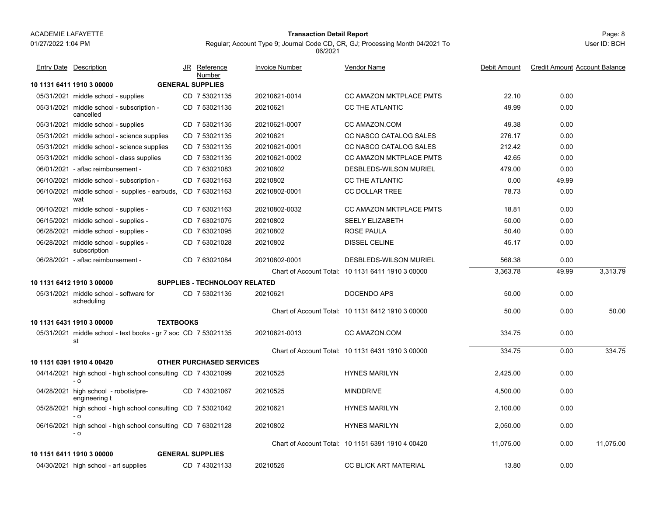01/27/2022 1:04 PM

#### Page: 8 **Transaction Detail Report**

Regular; Account Type 9; Journal Code CD, CR, GJ; Processing Month 04/2021 To 06/2021

| <b>Entry Date Description</b>                                         | JR Reference<br>Number               | <b>Invoice Number</b> | <b>Vendor Name</b>                                | Debit Amount | <b>Credit Amount Account Balance</b> |           |
|-----------------------------------------------------------------------|--------------------------------------|-----------------------|---------------------------------------------------|--------------|--------------------------------------|-----------|
| 10 1131 6411 1910 3 00000                                             | <b>GENERAL SUPPLIES</b>              |                       |                                                   |              |                                      |           |
| 05/31/2021 middle school - supplies                                   | CD 7 53021135                        | 20210621-0014         | CC AMAZON MKTPLACE PMTS                           | 22.10        | 0.00                                 |           |
| 05/31/2021 middle school - subscription -<br>cancelled                | CD 7 53021135                        | 20210621              | CC THE ATLANTIC                                   | 49.99        | 0.00                                 |           |
| 05/31/2021 middle school - supplies                                   | CD 7 53021135                        | 20210621-0007         | CC AMAZON.COM                                     | 49.38        | 0.00                                 |           |
| 05/31/2021 middle school - science supplies                           | CD 7 53021135                        | 20210621              | CC NASCO CATALOG SALES                            | 276.17       | 0.00                                 |           |
| 05/31/2021 middle school - science supplies                           | CD 7 53021135                        | 20210621-0001         | CC NASCO CATALOG SALES                            | 212.42       | 0.00                                 |           |
| 05/31/2021 middle school - class supplies                             | CD 7 53021135                        | 20210621-0002         | <b>CC AMAZON MKTPLACE PMTS</b>                    | 42.65        | 0.00                                 |           |
| 06/01/2021 - aflac reimbursement -                                    | CD 763021083                         | 20210802              | DESBLEDS-WILSON MURIEL                            | 479.00       | 0.00                                 |           |
| 06/10/2021 middle school - subscription -                             | CD 763021163                         | 20210802              | CC THE ATLANTIC                                   | 0.00         | 49.99                                |           |
| 06/10/2021 middle school - supplies - earbuds, CD 7 63021163<br>wat   |                                      | 20210802-0001         | <b>CC DOLLAR TREE</b>                             | 78.73        | 0.00                                 |           |
| 06/10/2021 middle school - supplies -                                 | CD 7 63021163                        | 20210802-0032         | CC AMAZON MKTPLACE PMTS                           | 18.81        | 0.00                                 |           |
| 06/15/2021 middle school - supplies -                                 | CD 7 63021075                        | 20210802              | <b>SEELY ELIZABETH</b>                            | 50.00        | 0.00                                 |           |
| 06/28/2021 middle school - supplies -                                 | CD 7 63021095                        | 20210802              | <b>ROSE PAULA</b>                                 | 50.40        | 0.00                                 |           |
| 06/28/2021 middle school - supplies -<br>subscription                 | CD 7 63021028                        | 20210802              | DISSEL CELINE                                     | 45.17        | 0.00                                 |           |
| 06/28/2021 - aflac reimbursement -                                    | CD 7 63021084                        | 20210802-0001         | DESBLEDS-WILSON MURIEL                            | 568.38       | 0.00                                 |           |
|                                                                       |                                      |                       | Chart of Account Total: 10 1131 6411 1910 3 00000 | 3,363.78     | 49.99                                | 3,313.79  |
| 10 1131 6412 1910 3 00000                                             | <b>SUPPLIES - TECHNOLOGY RELATED</b> |                       |                                                   |              |                                      |           |
| 05/31/2021 middle school - software for<br>scheduling                 | CD 7 53021135                        | 20210621              | <b>DOCENDO APS</b>                                | 50.00        | 0.00                                 |           |
|                                                                       |                                      |                       | Chart of Account Total: 10 1131 6412 1910 3 00000 | 50.00        | 0.00                                 | 50.00     |
| 10 1131 6431 1910 3 00000<br><b>TEXTBOOKS</b>                         |                                      |                       |                                                   |              |                                      |           |
| 05/31/2021 middle school - text books - gr 7 soc CD 7 53021135<br>st  |                                      | 20210621-0013         | CC AMAZON.COM                                     | 334.75       | 0.00                                 |           |
|                                                                       |                                      |                       | Chart of Account Total: 10 1131 6431 1910 3 00000 | 334.75       | 0.00                                 | 334.75    |
| 10 1151 6391 1910 4 00420                                             | <b>OTHER PURCHASED SERVICES</b>      |                       |                                                   |              |                                      |           |
| 04/14/2021 high school - high school consulting CD 7 43021099<br>$-0$ |                                      | 20210525              | <b>HYNES MARILYN</b>                              | 2,425.00     | 0.00                                 |           |
| 04/28/2021 high school - robotis/pre-<br>engineering t                | CD 7 43021067                        | 20210525              | <b>MINDDRIVE</b>                                  | 4,500.00     | 0.00                                 |           |
| 05/28/2021 high school - high school consulting CD 7 53021042<br>- 0  |                                      | 20210621              | <b>HYNES MARILYN</b>                              | 2,100.00     | 0.00                                 |           |
| 06/16/2021 high school - high school consulting CD 7 63021128<br>- 0  |                                      | 20210802              | <b>HYNES MARILYN</b>                              | 2,050.00     | 0.00                                 |           |
|                                                                       |                                      |                       | Chart of Account Total: 10 1151 6391 1910 4 00420 | 11,075.00    | 0.00                                 | 11,075.00 |
| 10 1151 6411 1910 3 00000                                             | <b>GENERAL SUPPLIES</b>              |                       |                                                   |              |                                      |           |
| 04/30/2021 high school - art supplies                                 | CD 7 43021133                        | 20210525              | <b>CC BLICK ART MATERIAL</b>                      | 13.80        | 0.00                                 |           |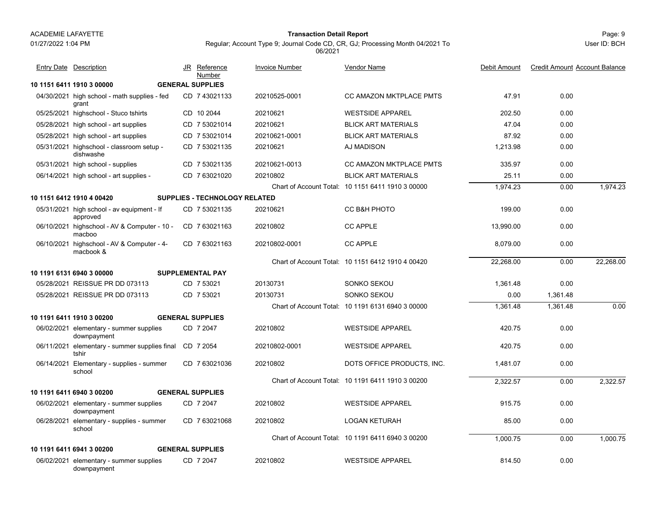### 01/27/2022 1:04 PM

#### Page: 9 **Transaction Detail Report**

Regular; Account Type 9; Journal Code CD, CR, GJ; Processing Month 04/2021 To 06/2021

| <b>Entry Date Description</b>                                    | JR<br><u>Reference</u><br>Number     | <u>Invoice Number</u> | <u>Vendor Name</u>                                | Debit Amount | <b>Credit Amount Account Balance</b> |           |
|------------------------------------------------------------------|--------------------------------------|-----------------------|---------------------------------------------------|--------------|--------------------------------------|-----------|
| 10 1151 6411 1910 3 00000                                        | <b>GENERAL SUPPLIES</b>              |                       |                                                   |              |                                      |           |
| 04/30/2021 high school - math supplies - fed<br>grant            | CD 7 43021133                        | 20210525-0001         | <b>CC AMAZON MKTPLACE PMTS</b>                    | 47.91        | 0.00                                 |           |
| 05/25/2021 highschool - Stuco tshirts                            | CD 10 2044                           | 20210621              | <b>WESTSIDE APPAREL</b>                           | 202.50       | 0.00                                 |           |
| 05/28/2021 high school - art supplies                            | CD 7 53021014                        | 20210621              | <b>BLICK ART MATERIALS</b>                        | 47.04        | 0.00                                 |           |
| 05/28/2021 high school - art supplies                            | CD 7 53021014                        | 20210621-0001         | <b>BLICK ART MATERIALS</b>                        | 87.92        | 0.00                                 |           |
| 05/31/2021 highschool - classroom setup -<br>dishwashe           | CD 7 53021135                        | 20210621              | AJ MADISON                                        | 1,213.98     | 0.00                                 |           |
| 05/31/2021 high school - supplies                                | CD 7 53021135                        | 20210621-0013         | CC AMAZON MKTPLACE PMTS                           | 335.97       | 0.00                                 |           |
| 06/14/2021 high school - art supplies -                          | CD 763021020                         | 20210802              | <b>BLICK ART MATERIALS</b>                        | 25.11        | 0.00                                 |           |
|                                                                  |                                      |                       | Chart of Account Total: 10 1151 6411 1910 3 00000 | 1,974.23     | 0.00                                 | 1,974.23  |
| 10 1151 6412 1910 4 00420                                        | <b>SUPPLIES - TECHNOLOGY RELATED</b> |                       |                                                   |              |                                      |           |
| 05/31/2021 high school - av equipment - If<br>approved           | CD 7 53021135                        | 20210621              | CC B&H PHOTO                                      | 199.00       | 0.00                                 |           |
| 06/10/2021 highschool - AV & Computer - 10 -<br>macboo           | CD 763021163                         | 20210802              | <b>CC APPLE</b>                                   | 13,990.00    | 0.00                                 |           |
| 06/10/2021 highschool - AV & Computer - 4-<br>macbook &          | CD 763021163                         | 20210802-0001         | <b>CC APPLE</b>                                   | 8.079.00     | 0.00                                 |           |
|                                                                  |                                      |                       | Chart of Account Total: 10 1151 6412 1910 4 00420 | 22.268.00    | 0.00                                 | 22.268.00 |
| 10 1191 6131 6940 3 00000                                        | <b>SUPPLEMENTAL PAY</b>              |                       |                                                   |              |                                      |           |
| 05/28/2021 REISSUE PR DD 073113                                  | CD 7 53021                           | 20130731              | SONKO SEKOU                                       | 1.361.48     | 0.00                                 |           |
| 05/28/2021 REISSUE PR DD 073113                                  | CD 7 53021                           | 20130731              | SONKO SEKOU                                       | 0.00         | 1,361.48                             |           |
|                                                                  |                                      |                       | Chart of Account Total: 10 1191 6131 6940 3 00000 | 1,361.48     | 1,361.48                             | 0.00      |
| 10 1191 6411 1910 3 00200                                        | <b>GENERAL SUPPLIES</b>              |                       |                                                   |              |                                      |           |
| 06/02/2021 elementary - summer supplies<br>downpayment           | CD 7 2047                            | 20210802              | <b>WESTSIDE APPAREL</b>                           | 420.75       | 0.00                                 |           |
| 06/11/2021 elementary - summer supplies final CD 7 2054<br>tshir |                                      | 20210802-0001         | <b>WESTSIDE APPAREL</b>                           | 420.75       | 0.00                                 |           |
| 06/14/2021 Elementary - supplies - summer<br>school              | CD 763021036                         | 20210802              | DOTS OFFICE PRODUCTS, INC.                        | 1.481.07     | 0.00                                 |           |
|                                                                  |                                      |                       | Chart of Account Total: 10 1191 6411 1910 3 00200 | 2,322.57     | 0.00                                 | 2.322.57  |
| 10 1191 6411 6940 3 00200                                        | <b>GENERAL SUPPLIES</b>              |                       |                                                   |              |                                      |           |
| 06/02/2021 elementary - summer supplies<br>downpayment           | CD 7 2047                            | 20210802              | <b>WESTSIDE APPAREL</b>                           | 915.75       | 0.00                                 |           |
| 06/28/2021 elementary - supplies - summer<br>school              | CD 7 63021068                        | 20210802              | <b>LOGAN KETURAH</b>                              | 85.00        | 0.00                                 |           |
|                                                                  |                                      |                       | Chart of Account Total: 10 1191 6411 6940 3 00200 | 1,000.75     | 0.00                                 | 1,000.75  |
| 10 1191 6411 6941 3 00200                                        | <b>GENERAL SUPPLIES</b>              |                       |                                                   |              |                                      |           |
| 06/02/2021 elementary - summer supplies<br>downpayment           | CD 7 2047                            | 20210802              | <b>WESTSIDE APPAREL</b>                           | 814.50       | 0.00                                 |           |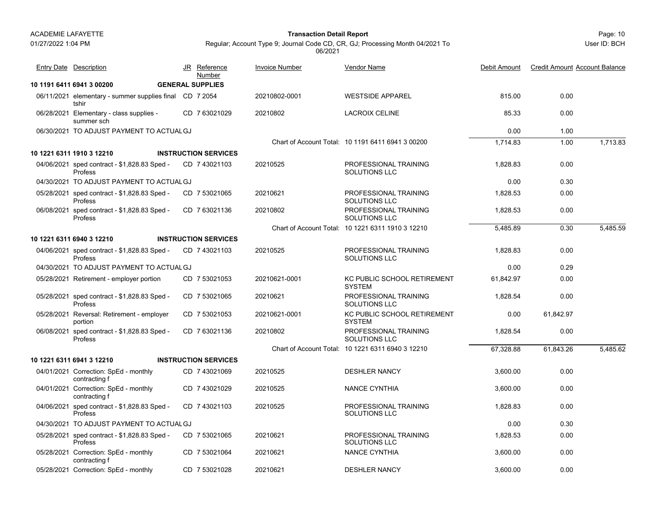01/27/2022 1:04 PM

#### Page: 10 **Transaction Detail Report**

Regular; Account Type 9; Journal Code CD, CR, GJ; Processing Month 04/2021 To 06/2021

| <b>Entry Date Description</b>                                    | JR Reference<br>Number      | <b>Invoice Number</b> | Vendor Name                                       | Debit Amount | <b>Credit Amount Account Balance</b> |                       |
|------------------------------------------------------------------|-----------------------------|-----------------------|---------------------------------------------------|--------------|--------------------------------------|-----------------------|
| 10 1191 6411 6941 3 00200                                        | <b>GENERAL SUPPLIES</b>     |                       |                                                   |              |                                      |                       |
| 06/11/2021 elementary - summer supplies final CD 7 2054<br>tshir |                             | 20210802-0001         | <b>WESTSIDE APPAREL</b>                           | 815.00       | 0.00                                 |                       |
| 06/28/2021 Elementary - class supplies -<br>summer sch           | CD 7 63021029               | 20210802              | <b>LACROIX CELINE</b>                             | 85.33        | 0.00                                 |                       |
| 06/30/2021 TO ADJUST PAYMENT TO ACTUAL GJ                        |                             |                       |                                                   | 0.00         | 1.00                                 |                       |
|                                                                  |                             |                       | Chart of Account Total: 10 1191 6411 6941 3 00200 | 1.714.83     | 1.00                                 | $\overline{1,713.83}$ |
| 10 1221 6311 1910 3 12210                                        | <b>INSTRUCTION SERVICES</b> |                       |                                                   |              |                                      |                       |
| 04/06/2021 sped contract - \$1,828.83 Sped -<br>Profess          | CD 743021103                | 20210525              | PROFESSIONAL TRAINING<br><b>SOLUTIONS LLC</b>     | 1.828.83     | 0.00                                 |                       |
| 04/30/2021 TO ADJUST PAYMENT TO ACTUAL GJ                        |                             |                       |                                                   | 0.00         | 0.30                                 |                       |
| 05/28/2021 sped contract - \$1,828.83 Sped -<br>Profess          | CD 7 53021065               | 20210621              | PROFESSIONAL TRAINING<br>SOLUTIONS LLC            | 1,828.53     | 0.00                                 |                       |
| 06/08/2021 sped contract - \$1,828.83 Sped -<br>Profess          | CD 763021136                | 20210802              | PROFESSIONAL TRAINING<br>SOLUTIONS LLC            | 1,828.53     | 0.00                                 |                       |
|                                                                  |                             |                       | Chart of Account Total: 10 1221 6311 1910 3 12210 | 5,485.89     | 0.30                                 | 5,485.59              |
| 10 1221 6311 6940 3 12210                                        | <b>INSTRUCTION SERVICES</b> |                       |                                                   |              |                                      |                       |
| 04/06/2021 sped contract - \$1,828.83 Sped -<br>Profess          | CD 7 43021103               | 20210525              | PROFESSIONAL TRAINING<br>SOLUTIONS LLC            | 1,828.83     | 0.00                                 |                       |
| 04/30/2021 TO ADJUST PAYMENT TO ACTUAL GJ                        |                             |                       |                                                   | 0.00         | 0.29                                 |                       |
| 05/28/2021 Retirement - employer portion                         | CD 7 53021053               | 20210621-0001         | KC PUBLIC SCHOOL RETIREMENT<br><b>SYSTEM</b>      | 61,842.97    | 0.00                                 |                       |
| 05/28/2021 sped contract - \$1,828.83 Sped -<br>Profess          | CD 7 53021065               | 20210621              | PROFESSIONAL TRAINING<br>SOLUTIONS LLC            | 1,828.54     | 0.00                                 |                       |
| 05/28/2021 Reversal: Retirement - employer<br>portion            | CD 7 53021053               | 20210621-0001         | KC PUBLIC SCHOOL RETIREMENT<br><b>SYSTEM</b>      | 0.00         | 61,842.97                            |                       |
| 06/08/2021 sped contract - \$1,828.83 Sped -<br>Profess          | CD 763021136                | 20210802              | PROFESSIONAL TRAINING<br><b>SOLUTIONS LLC</b>     | 1,828.54     | 0.00                                 |                       |
|                                                                  |                             |                       | Chart of Account Total: 10 1221 6311 6940 3 12210 | 67,328.88    | 61,843.26                            | 5,485.62              |
| 10 1221 6311 6941 3 12210                                        | <b>INSTRUCTION SERVICES</b> |                       |                                                   |              |                                      |                       |
| 04/01/2021 Correction: SpEd - monthly<br>contracting f           | CD 7 43021069               | 20210525              | <b>DESHLER NANCY</b>                              | 3,600.00     | 0.00                                 |                       |
| 04/01/2021 Correction: SpEd - monthly<br>contracting f           | CD 7 43021029               | 20210525              | <b>NANCE CYNTHIA</b>                              | 3,600.00     | 0.00                                 |                       |
| 04/06/2021 sped contract - \$1,828.83 Sped -<br>Profess          | CD 7 43021103               | 20210525              | PROFESSIONAL TRAINING<br>SOLUTIONS LLC            | 1,828.83     | 0.00                                 |                       |
| 04/30/2021 TO ADJUST PAYMENT TO ACTUAL GJ                        |                             |                       |                                                   | 0.00         | 0.30                                 |                       |
| 05/28/2021 sped contract - \$1,828.83 Sped -<br>Profess          | CD 7 53021065               | 20210621              | PROFESSIONAL TRAINING<br>SOLUTIONS LLC            | 1,828.53     | 0.00                                 |                       |
| 05/28/2021 Correction: SpEd - monthly<br>contracting f           | CD 7 53021064               | 20210621              | <b>NANCE CYNTHIA</b>                              | 3,600.00     | 0.00                                 |                       |
| 05/28/2021 Correction: SpEd - monthly                            | CD 7 53021028               | 20210621              | <b>DESHLER NANCY</b>                              | 3.600.00     | 0.00                                 |                       |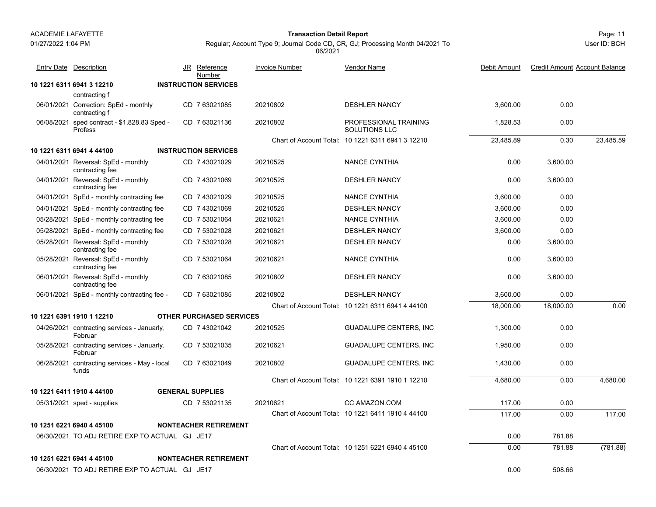01/27/2022 1:04 PM

#### Page: 11 **Transaction Detail Report**

User ID: BCH

| <b>Entry Date Description</b>                                  | JR Reference<br>Number          | <b>Invoice Number</b> | <b>Vendor Name</b>                                | Debit Amount | <b>Credit Amount Account Balance</b> |           |
|----------------------------------------------------------------|---------------------------------|-----------------------|---------------------------------------------------|--------------|--------------------------------------|-----------|
| 10 1221 6311 6941 3 12210                                      | <b>INSTRUCTION SERVICES</b>     |                       |                                                   |              |                                      |           |
| contracting f                                                  |                                 |                       |                                                   |              |                                      |           |
| 06/01/2021 Correction: SpEd - monthly<br>contracting f         | CD 7 63021085                   | 20210802              | <b>DESHLER NANCY</b>                              | 3,600.00     | 0.00                                 |           |
| 06/08/2021 sped contract - \$1,828.83 Sped -<br><b>Profess</b> | CD 763021136                    | 20210802              | PROFESSIONAL TRAINING<br>SOLUTIONS LLC            | 1.828.53     | 0.00                                 |           |
|                                                                |                                 |                       | Chart of Account Total: 10 1221 6311 6941 3 12210 | 23,485.89    | 0.30                                 | 23,485.59 |
| 10 1221 6311 6941 4 44100                                      | <b>INSTRUCTION SERVICES</b>     |                       |                                                   |              |                                      |           |
| 04/01/2021 Reversal: SpEd - monthly<br>contracting fee         | CD 7 43021029                   | 20210525              | <b>NANCE CYNTHIA</b>                              | 0.00         | 3,600.00                             |           |
| 04/01/2021 Reversal: SpEd - monthly<br>contracting fee         | CD 7 43021069                   | 20210525              | <b>DESHLER NANCY</b>                              | 0.00         | 3,600.00                             |           |
| 04/01/2021 SpEd - monthly contracting fee                      | CD 743021029                    | 20210525              | NANCE CYNTHIA                                     | 3,600.00     | 0.00                                 |           |
| 04/01/2021 SpEd - monthly contracting fee                      | CD 7 43021069                   | 20210525              | <b>DESHLER NANCY</b>                              | 3,600.00     | 0.00                                 |           |
| 05/28/2021 SpEd - monthly contracting fee                      | CD 7 53021064                   | 20210621              | <b>NANCE CYNTHIA</b>                              | 3,600.00     | 0.00                                 |           |
| 05/28/2021 SpEd - monthly contracting fee                      | CD 7 53021028                   | 20210621              | <b>DESHLER NANCY</b>                              | 3,600.00     | 0.00                                 |           |
| 05/28/2021 Reversal: SpEd - monthly<br>contracting fee         | CD 7 53021028                   | 20210621              | <b>DESHLER NANCY</b>                              | 0.00         | 3,600.00                             |           |
| 05/28/2021 Reversal: SpEd - monthly<br>contracting fee         | CD 7 53021064                   | 20210621              | <b>NANCE CYNTHIA</b>                              | 0.00         | 3,600.00                             |           |
| 06/01/2021 Reversal: SpEd - monthly<br>contracting fee         | CD 7 63021085                   | 20210802              | <b>DESHLER NANCY</b>                              | 0.00         | 3,600.00                             |           |
| 06/01/2021 SpEd - monthly contracting fee -                    | CD 7 63021085                   | 20210802              | <b>DESHLER NANCY</b>                              | 3,600.00     | 0.00                                 |           |
|                                                                |                                 |                       | Chart of Account Total: 10 1221 6311 6941 4 44100 | 18,000.00    | 18,000.00                            | 0.00      |
| 10 1221 6391 1910 1 12210                                      | <b>OTHER PURCHASED SERVICES</b> |                       |                                                   |              |                                      |           |
| 04/26/2021 contracting services - Januarly,<br>Februar         | CD 7 43021042                   | 20210525              | <b>GUADALUPE CENTERS, INC</b>                     | 1.300.00     | 0.00                                 |           |
| 05/28/2021 contracting services - Januarly,<br>Februar         | CD 7 53021035                   | 20210621              | <b>GUADALUPE CENTERS, INC</b>                     | 1,950.00     | 0.00                                 |           |
| 06/28/2021 contracting services - May - local<br>funds         | CD 763021049                    | 20210802              | <b>GUADALUPE CENTERS, INC</b>                     | 1,430.00     | 0.00                                 |           |
|                                                                |                                 |                       | Chart of Account Total: 10 1221 6391 1910 1 12210 | 4,680.00     | 0.00                                 | 4,680.00  |
| 10 1221 6411 1910 4 44100                                      | <b>GENERAL SUPPLIES</b>         |                       |                                                   |              |                                      |           |
| 05/31/2021 sped - supplies                                     | CD 7 53021135                   | 20210621              | CC AMAZON.COM                                     | 117.00       | 0.00                                 |           |
|                                                                |                                 |                       | Chart of Account Total: 10 1221 6411 1910 4 44100 | 117.00       | 0.00                                 | 117.00    |
| 10 1251 6221 6940 4 45100                                      | <b>NONTEACHER RETIREMENT</b>    |                       |                                                   |              |                                      |           |
| 06/30/2021 TO ADJ RETIRE EXP TO ACTUAL GJ JE17                 |                                 |                       |                                                   | 0.00         | 781.88                               |           |
|                                                                |                                 |                       | Chart of Account Total: 10 1251 6221 6940 4 45100 | 0.00         | 781.88                               | (781.88)  |
| 10 1251 6221 6941 4 45100                                      | <b>NONTEACHER RETIREMENT</b>    |                       |                                                   |              |                                      |           |
| 06/30/2021 TO ADJ RETIRE EXP TO ACTUAL GJ JE17                 |                                 |                       |                                                   | 0.00         | 508.66                               |           |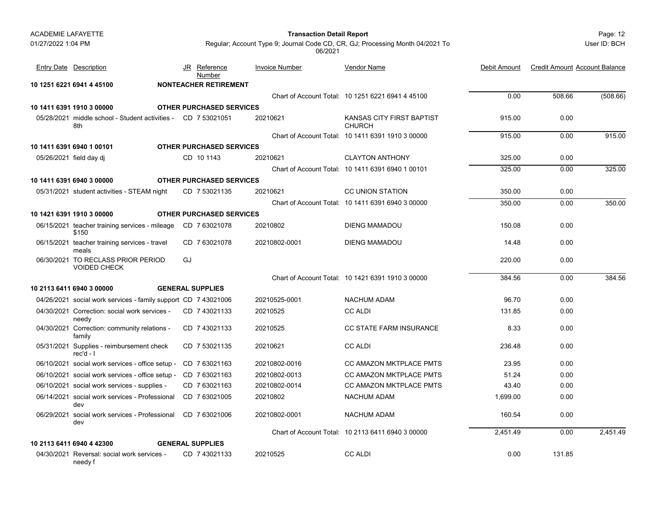#### Page: 12 **Transaction Detail Report**

User ID: BCH

| <b>Entry Date Description</b>                                        |    | JR Reference<br>Number          | <b>Invoice Number</b> | <b>Vendor Name</b>                                | Debit Amount | <b>Credit Amount Account Balance</b> |          |
|----------------------------------------------------------------------|----|---------------------------------|-----------------------|---------------------------------------------------|--------------|--------------------------------------|----------|
| 10 1251 6221 6941 4 45100                                            |    | <b>NONTEACHER RETIREMENT</b>    |                       |                                                   |              |                                      |          |
|                                                                      |    |                                 |                       | Chart of Account Total: 10 1251 6221 6941 4 45100 | 0.00         | 508.66                               | (508.66) |
| 10 1411 6391 1910 3 00000                                            |    | <b>OTHER PURCHASED SERVICES</b> |                       |                                                   |              |                                      |          |
| 05/28/2021 middle school - Student activities - CD 7 53021051<br>8th |    |                                 | 20210621              | KANSAS CITY FIRST BAPTIST<br><b>CHURCH</b>        | 915.00       | 0.00                                 |          |
|                                                                      |    |                                 |                       | Chart of Account Total: 10 1411 6391 1910 3 00000 | 915.00       | 0.00                                 | 915.00   |
| 10 1411 6391 6940 1 00101                                            |    | <b>OTHER PURCHASED SERVICES</b> |                       |                                                   |              |                                      |          |
| 05/26/2021 field day di                                              |    | CD 10 1143                      | 20210621              | <b>CLAYTON ANTHONY</b>                            | 325.00       | 0.00                                 |          |
|                                                                      |    |                                 |                       | Chart of Account Total: 10 1411 6391 6940 1 00101 | 325.00       | 0.00                                 | 325.00   |
| 10 1411 6391 6940 3 00000                                            |    | <b>OTHER PURCHASED SERVICES</b> |                       |                                                   |              |                                      |          |
| 05/31/2021 student activities - STEAM night                          |    | CD 7 53021135                   | 20210621              | <b>CC UNION STATION</b>                           | 350.00       | 0.00                                 |          |
|                                                                      |    |                                 |                       | Chart of Account Total: 10 1411 6391 6940 3 00000 | 350.00       | 0.00                                 | 350.00   |
| 10 1421 6391 1910 3 00000                                            |    | <b>OTHER PURCHASED SERVICES</b> |                       |                                                   |              |                                      |          |
| 06/15/2021 teacher training services - mileage<br>\$150              |    | CD 763021078                    | 20210802              | <b>DIENG MAMADOU</b>                              | 150.08       | 0.00                                 |          |
| 06/15/2021 teacher training services - travel<br>meals               |    | CD 7 63021078                   | 20210802-0001         | <b>DIENG MAMADOU</b>                              | 14.48        | 0.00                                 |          |
| 06/30/2021 TO RECLASS PRIOR PERIOD<br><b>VOIDED CHECK</b>            | GJ |                                 |                       |                                                   | 220.00       | 0.00                                 |          |
|                                                                      |    |                                 |                       | Chart of Account Total: 10 1421 6391 1910 3 00000 | 384.56       | 0.00                                 | 384.56   |
| 10 2113 6411 6940 3 00000                                            |    | <b>GENERAL SUPPLIES</b>         |                       |                                                   |              |                                      |          |
| 04/26/2021 social work services - family support CD 7 43021006       |    |                                 | 20210525-0001         | <b>NACHUM ADAM</b>                                | 96.70        | 0.00                                 |          |
| 04/30/2021 Correction: social work services -<br>needy               |    | CD 7 43021133                   | 20210525              | <b>CC ALDI</b>                                    | 131.85       | 0.00                                 |          |
| 04/30/2021 Correction: community relations -<br>family               |    | CD 7 43021133                   | 20210525              | <b>CC STATE FARM INSURANCE</b>                    | 8.33         | 0.00                                 |          |
| 05/31/2021 Supplies - reimbursement check<br>rec'd - I               |    | CD 7 53021135                   | 20210621              | <b>CC ALDI</b>                                    | 236.48       | 0.00                                 |          |
| 06/10/2021 social work services - office setup -                     |    | CD 763021163                    | 20210802-0016         | CC AMAZON MKTPLACE PMTS                           | 23.95        | 0.00                                 |          |
| 06/10/2021 social work services - office setup -                     |    | CD 763021163                    | 20210802-0013         | CC AMAZON MKTPLACE PMTS                           | 51.24        | 0.00                                 |          |
| 06/10/2021 social work services - supplies -                         |    | CD 763021163                    | 20210802-0014         | CC AMAZON MKTPLACE PMTS                           | 43.40        | 0.00                                 |          |
| 06/14/2021 social work services - Professional<br>dev                |    | CD 7 63021005                   | 20210802              | <b>NACHUM ADAM</b>                                | 1,699.00     | 0.00                                 |          |
| 06/29/2021 social work services - Professional<br>dev                |    | CD 763021006                    | 20210802-0001         | <b>NACHUM ADAM</b>                                | 160.54       | 0.00                                 |          |
|                                                                      |    |                                 |                       | Chart of Account Total: 10 2113 6411 6940 3 00000 | 2,451.49     | 0.00                                 | 2,451.49 |
| 10 2113 6411 6940 4 42300                                            |    | <b>GENERAL SUPPLIES</b>         |                       |                                                   |              |                                      |          |
| 04/30/2021 Reversal: social work services -<br>needy f               |    | CD 7 43021133                   | 20210525              | <b>CC ALDI</b>                                    | 0.00         | 131.85                               |          |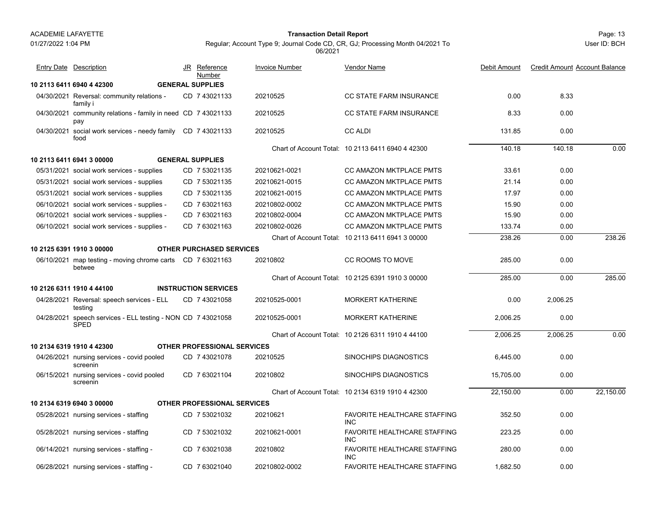01/27/2022 1:04 PM

#### Page: 13 **Transaction Detail Report**

Regular; Account Type 9; Journal Code CD, CR, GJ; Processing Month 04/2021 To 06/2021

| <b>Entry Date Description</b>                                               | JR Reference<br>Number             | <b>Invoice Number</b> | Vendor Name                                       | Debit Amount | <b>Credit Amount Account Balance</b> |           |
|-----------------------------------------------------------------------------|------------------------------------|-----------------------|---------------------------------------------------|--------------|--------------------------------------|-----------|
| 10 2113 6411 6940 4 42300                                                   | <b>GENERAL SUPPLIES</b>            |                       |                                                   |              |                                      |           |
| 04/30/2021 Reversal: community relations -<br>family i                      | CD 7 43021133                      | 20210525              | <b>CC STATE FARM INSURANCE</b>                    | 0.00         | 8.33                                 |           |
| 04/30/2021 community relations - family in need CD 7 43021133<br>pay        |                                    | 20210525              | CC STATE FARM INSURANCE                           | 8.33         | 0.00                                 |           |
| 04/30/2021 social work services - needy family<br>food                      | CD 743021133                       | 20210525              | <b>CC ALDI</b>                                    | 131.85       | 0.00                                 |           |
|                                                                             |                                    |                       | Chart of Account Total: 10 2113 6411 6940 4 42300 | 140.18       | 140.18                               | 0.00      |
| 10 2113 6411 6941 3 00000                                                   | <b>GENERAL SUPPLIES</b>            |                       |                                                   |              |                                      |           |
| 05/31/2021 social work services - supplies                                  | CD 7 53021135                      | 20210621-0021         | CC AMAZON MKTPLACE PMTS                           | 33.61        | 0.00                                 |           |
| 05/31/2021 social work services - supplies                                  | CD 7 53021135                      | 20210621-0015         | CC AMAZON MKTPLACE PMTS                           | 21.14        | 0.00                                 |           |
| 05/31/2021 social work services - supplies                                  | CD 7 53021135                      | 20210621-0015         | CC AMAZON MKTPLACE PMTS                           | 17.97        | 0.00                                 |           |
| 06/10/2021 social work services - supplies -                                | CD 763021163                       | 20210802-0002         | CC AMAZON MKTPLACE PMTS                           | 15.90        | 0.00                                 |           |
| 06/10/2021 social work services - supplies -                                | CD 763021163                       | 20210802-0004         | CC AMAZON MKTPLACE PMTS                           | 15.90        | 0.00                                 |           |
| 06/10/2021 social work services - supplies -                                | CD 7 63021163                      | 20210802-0026         | CC AMAZON MKTPLACE PMTS                           | 133.74       | 0.00                                 |           |
|                                                                             |                                    |                       | Chart of Account Total: 10 2113 6411 6941 3 00000 | 238.26       | 0.00                                 | 238.26    |
| 10 2125 6391 1910 3 00000                                                   | <b>OTHER PURCHASED SERVICES</b>    |                       |                                                   |              |                                      |           |
| 06/10/2021 map testing - moving chrome carts CD 7 63021163<br>betwee        |                                    | 20210802              | CC ROOMS TO MOVE                                  | 285.00       | 0.00                                 |           |
|                                                                             |                                    |                       | Chart of Account Total: 10 2125 6391 1910 3 00000 | 285.00       | 0.00                                 | 285.00    |
| 10 2126 6311 1910 4 44100                                                   | <b>INSTRUCTION SERVICES</b>        |                       |                                                   |              |                                      |           |
| 04/28/2021 Reversal: speech services - ELL<br>testing                       | CD 7 43021058                      | 20210525-0001         | <b>MORKERT KATHERINE</b>                          | 0.00         | 2.006.25                             |           |
| 04/28/2021 speech services - ELL testing - NON CD 7 43021058<br><b>SPED</b> |                                    | 20210525-0001         | <b>MORKERT KATHERINE</b>                          | 2,006.25     | 0.00                                 |           |
|                                                                             |                                    |                       | Chart of Account Total: 10 2126 6311 1910 4 44100 | 2,006.25     | 2,006.25                             | 0.00      |
| 10 2134 6319 1910 4 42300                                                   | <b>OTHER PROFESSIONAL SERVICES</b> |                       |                                                   |              |                                      |           |
| 04/26/2021 nursing services - covid pooled<br>screenin                      | CD 743021078                       | 20210525              | <b>SINOCHIPS DIAGNOSTICS</b>                      | 6.445.00     | 0.00                                 |           |
| 06/15/2021 nursing services - covid pooled<br>screenin                      | CD 7 63021104                      | 20210802              | <b>SINOCHIPS DIAGNOSTICS</b>                      | 15,705.00    | 0.00                                 |           |
|                                                                             |                                    |                       | Chart of Account Total: 10 2134 6319 1910 4 42300 | 22,150.00    | 0.00                                 | 22,150.00 |
| 10 2134 6319 6940 3 00000                                                   | <b>OTHER PROFESSIONAL SERVICES</b> |                       |                                                   |              |                                      |           |
| 05/28/2021 nursing services - staffing                                      | CD 7 53021032                      | 20210621              | FAVORITE HEALTHCARE STAFFING<br><b>INC</b>        | 352.50       | 0.00                                 |           |
| 05/28/2021 nursing services - staffing                                      | CD 7 53021032                      | 20210621-0001         | FAVORITE HEALTHCARE STAFFING<br><b>INC</b>        | 223.25       | 0.00                                 |           |
| 06/14/2021 nursing services - staffing -                                    | CD 763021038                       | 20210802              | FAVORITE HEALTHCARE STAFFING<br><b>INC</b>        | 280.00       | 0.00                                 |           |
| 06/28/2021 nursing services - staffing -                                    | CD 763021040                       | 20210802-0002         | <b>FAVORITE HEALTHCARE STAFFING</b>               | 1.682.50     | 0.00                                 |           |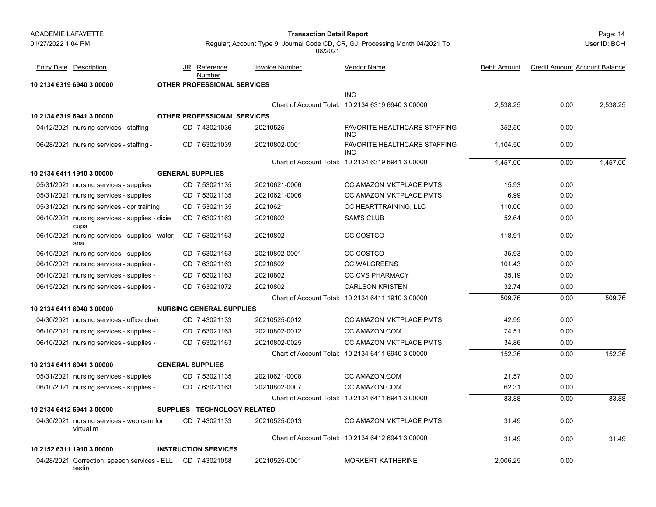testin

#### Page: 14 **Transaction Detail Report**

User ID: BCH

| <b>Entry Date Description</b>                          |                                                            | JR Reference<br>Number               | <b>Invoice Number</b> | <b>Vendor Name</b>                                | <b>Debit Amount</b> | <b>Credit Amount Account Balance</b> |          |
|--------------------------------------------------------|------------------------------------------------------------|--------------------------------------|-----------------------|---------------------------------------------------|---------------------|--------------------------------------|----------|
| 10 2134 6319 6940 3 00000                              |                                                            | <b>OTHER PROFESSIONAL SERVICES</b>   |                       |                                                   |                     |                                      |          |
|                                                        |                                                            |                                      |                       | <b>INC</b>                                        |                     |                                      |          |
|                                                        |                                                            |                                      |                       | Chart of Account Total: 10 2134 6319 6940 3 00000 | 2.538.25            | 0.00                                 | 2,538.25 |
| 10 2134 6319 6941 3 00000                              |                                                            | OTHER PROFESSIONAL SERVICES          |                       |                                                   |                     |                                      |          |
| 04/12/2021 nursing services - staffing                 |                                                            | CD 7 43021036                        | 20210525              | <b>FAVORITE HEALTHCARE STAFFING</b><br><b>INC</b> | 352.50              | 0.00                                 |          |
| 06/28/2021 nursing services - staffing -               |                                                            | CD 763021039                         | 20210802-0001         | <b>FAVORITE HEALTHCARE STAFFING</b><br><b>INC</b> | 1,104.50            | 0.00                                 |          |
|                                                        |                                                            |                                      |                       | Chart of Account Total: 10 2134 6319 6941 3 00000 | 1,457.00            | 0.00                                 | 1,457.00 |
| 10 2134 6411 1910 3 00000                              |                                                            | <b>GENERAL SUPPLIES</b>              |                       |                                                   |                     |                                      |          |
| 05/31/2021 nursing services - supplies                 |                                                            | CD 7 53021135                        | 20210621-0006         | <b>CC AMAZON MKTPLACE PMTS</b>                    | 15.93               | 0.00                                 |          |
| 05/31/2021 nursing services - supplies                 |                                                            | CD 7 53021135                        | 20210621-0006         | <b>CC AMAZON MKTPLACE PMTS</b>                    | 6.99                | 0.00                                 |          |
| 05/31/2021 nursing services - cpr training             |                                                            | CD 7 53021135                        | 20210621              | CC HEARTTRAINING, LLC                             | 110.00              | 0.00                                 |          |
| 06/10/2021 nursing services - supplies - dixie<br>cups |                                                            | CD 763021163                         | 20210802              | <b>SAM'S CLUB</b>                                 | 52.64               | 0.00                                 |          |
| sna                                                    | 06/10/2021 nursing services - supplies - water,            | CD 763021163                         | 20210802              | CC COSTCO                                         | 118.91              | 0.00                                 |          |
| 06/10/2021 nursing services - supplies -               |                                                            | CD 763021163                         | 20210802-0001         | CC COSTCO                                         | 35.93               | 0.00                                 |          |
| 06/10/2021 nursing services - supplies -               |                                                            | CD 763021163                         | 20210802              | <b>CC WALGREENS</b>                               | 101.43              | 0.00                                 |          |
| 06/10/2021 nursing services - supplies -               |                                                            | CD 7 63021163                        | 20210802              | <b>CC CVS PHARMACY</b>                            | 35.19               | 0.00                                 |          |
| 06/15/2021 nursing services - supplies -               |                                                            | CD 7 63021072                        | 20210802              | <b>CARLSON KRISTEN</b>                            | 32.74               | 0.00                                 |          |
|                                                        |                                                            |                                      |                       | Chart of Account Total: 10 2134 6411 1910 3 00000 | 509.76              | 0.00                                 | 509.76   |
| 10 2134 6411 6940 3 00000                              |                                                            | <b>NURSING GENERAL SUPPLIES</b>      |                       |                                                   |                     |                                      |          |
| 04/30/2021 nursing services - office chair             |                                                            | CD 7 43021133                        | 20210525-0012         | CC AMAZON MKTPLACE PMTS                           | 42.99               | 0.00                                 |          |
| 06/10/2021 nursing services - supplies -               |                                                            | CD 763021163                         | 20210802-0012         | CC AMAZON.COM                                     | 74.51               | 0.00                                 |          |
| 06/10/2021 nursing services - supplies -               |                                                            | CD 7 63021163                        | 20210802-0025         | <b>CC AMAZON MKTPLACE PMTS</b>                    | 34.86               | 0.00                                 |          |
|                                                        |                                                            |                                      |                       | Chart of Account Total: 10 2134 6411 6940 3 00000 | 152.36              | 0.00                                 | 152.36   |
| 10 2134 6411 6941 3 00000                              |                                                            | <b>GENERAL SUPPLIES</b>              |                       |                                                   |                     |                                      |          |
| 05/31/2021 nursing services - supplies                 |                                                            | CD 7 53021135                        | 20210621-0008         | CC AMAZON.COM                                     | 21.57               | 0.00                                 |          |
| 06/10/2021 nursing services - supplies -               |                                                            | CD 7 63021163                        | 20210802-0007         | CC AMAZON.COM                                     | 62.31               | 0.00                                 |          |
|                                                        |                                                            |                                      |                       | Chart of Account Total: 10 2134 6411 6941 3 00000 | 83.88               | 0.00                                 | 83.88    |
| 10 2134 6412 6941 3 00000                              |                                                            | <b>SUPPLIES - TECHNOLOGY RELATED</b> |                       |                                                   |                     |                                      |          |
| 04/30/2021 nursing services - web cam for<br>virtual m |                                                            | CD 7 43021133                        | 20210525-0013         | CC AMAZON MKTPLACE PMTS                           | 31.49               | 0.00                                 |          |
|                                                        |                                                            |                                      |                       | Chart of Account Total: 10 2134 6412 6941 3 00000 | 31.49               | 0.00                                 | 31.49    |
| 10 2152 6311 1910 3 00000                              |                                                            | <b>INSTRUCTION SERVICES</b>          |                       |                                                   |                     |                                      |          |
|                                                        | 04/28/2021 Correction: speech services - ELL CD 7 43021058 |                                      | 20210525-0001         | <b>MORKERT KATHERINE</b>                          | 2,006.25            | 0.00                                 |          |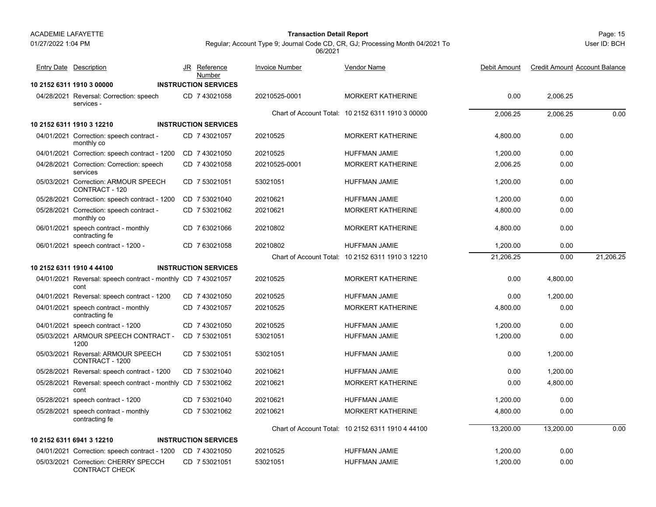01/27/2022 1:04 PM

#### Page: 15 **Transaction Detail Report**

Regular; Account Type 9; Journal Code CD, CR, GJ; Processing Month 04/2021 To 06/2021

| <b>Entry Date Description</b>                                        | JR Reference<br>Number      | <b>Invoice Number</b> | Vendor Name                                       | Debit Amount | <b>Credit Amount Account Balance</b> |           |
|----------------------------------------------------------------------|-----------------------------|-----------------------|---------------------------------------------------|--------------|--------------------------------------|-----------|
| 10 2152 6311 1910 3 00000                                            | <b>INSTRUCTION SERVICES</b> |                       |                                                   |              |                                      |           |
| 04/28/2021 Reversal: Correction: speech<br>services -                | CD 7 43021058               | 20210525-0001         | <b>MORKERT KATHERINE</b>                          | 0.00         | 2,006.25                             |           |
|                                                                      |                             |                       | Chart of Account Total: 10 2152 6311 1910 3 00000 | 2.006.25     | 2.006.25                             | 0.00      |
| 10 2152 6311 1910 3 12210                                            | <b>INSTRUCTION SERVICES</b> |                       |                                                   |              |                                      |           |
| 04/01/2021 Correction: speech contract -<br>monthly co               | CD 7 43021057               | 20210525              | <b>MORKERT KATHERINE</b>                          | 4,800.00     | 0.00                                 |           |
| 04/01/2021 Correction: speech contract - 1200                        | CD 7 43021050               | 20210525              | <b>HUFFMAN JAMIE</b>                              | 1,200.00     | 0.00                                 |           |
| 04/28/2021 Correction: Correction: speech<br>services                | CD 7 43021058               | 20210525-0001         | <b>MORKERT KATHERINE</b>                          | 2,006.25     | 0.00                                 |           |
| 05/03/2021 Correction: ARMOUR SPEECH<br>CONTRACT - 120               | CD 7 53021051               | 53021051              | <b>HUFFMAN JAMIE</b>                              | 1,200.00     | 0.00                                 |           |
| 05/28/2021 Correction: speech contract - 1200                        | CD 7 53021040               | 20210621              | <b>HUFFMAN JAMIE</b>                              | 1,200.00     | 0.00                                 |           |
| 05/28/2021 Correction: speech contract -<br>monthly co               | CD 7 53021062               | 20210621              | <b>MORKERT KATHERINE</b>                          | 4,800.00     | 0.00                                 |           |
| 06/01/2021 speech contract - monthly<br>contracting fe               | CD 7 63021066               | 20210802              | <b>MORKERT KATHERINE</b>                          | 4,800.00     | 0.00                                 |           |
| 06/01/2021 speech contract - 1200 -                                  | CD 7 63021058               | 20210802              | <b>HUFFMAN JAMIE</b>                              | 1,200.00     | 0.00                                 |           |
|                                                                      |                             |                       | Chart of Account Total: 10 2152 6311 1910 3 12210 | 21,206.25    | 0.00                                 | 21.206.25 |
| 10 2152 6311 1910 4 44100                                            | <b>INSTRUCTION SERVICES</b> |                       |                                                   |              |                                      |           |
| 04/01/2021 Reversal: speech contract - monthly CD 7 43021057<br>cont |                             | 20210525              | <b>MORKERT KATHERINE</b>                          | 0.00         | 4,800.00                             |           |
| 04/01/2021 Reversal: speech contract - 1200                          | CD 743021050                | 20210525              | <b>HUFFMAN JAMIE</b>                              | 0.00         | 1.200.00                             |           |
| 04/01/2021 speech contract - monthly<br>contracting fe               | CD 7 43021057               | 20210525              | <b>MORKERT KATHERINE</b>                          | 4,800.00     | 0.00                                 |           |
| 04/01/2021 speech contract - 1200                                    | CD 7 43021050               | 20210525              | <b>HUFFMAN JAMIE</b>                              | 1,200.00     | 0.00                                 |           |
| 05/03/2021 ARMOUR SPEECH CONTRACT -<br>1200                          | CD 7 53021051               | 53021051              | <b>HUFFMAN JAMIE</b>                              | 1,200.00     | 0.00                                 |           |
| 05/03/2021 Reversal: ARMOUR SPEECH<br>CONTRACT - 1200                | CD 7 53021051               | 53021051              | <b>HUFFMAN JAMIE</b>                              | 0.00         | 1,200.00                             |           |
| 05/28/2021 Reversal: speech contract - 1200                          | CD 7 53021040               | 20210621              | <b>HUFFMAN JAMIE</b>                              | 0.00         | 1,200.00                             |           |
| 05/28/2021 Reversal: speech contract - monthly CD 7 53021062<br>cont |                             | 20210621              | <b>MORKERT KATHERINE</b>                          | 0.00         | 4.800.00                             |           |
| 05/28/2021 speech contract - 1200                                    | CD 7 53021040               | 20210621              | HUFFMAN JAMIE                                     | 1,200.00     | 0.00                                 |           |
| 05/28/2021 speech contract - monthly<br>contracting fe               | CD 7 53021062               | 20210621              | <b>MORKERT KATHERINE</b>                          | 4,800.00     | 0.00                                 |           |
|                                                                      |                             |                       | Chart of Account Total: 10 2152 6311 1910 4 44100 | 13,200.00    | 13,200.00                            | 0.00      |
| 10 2152 6311 6941 3 12210                                            | <b>INSTRUCTION SERVICES</b> |                       |                                                   |              |                                      |           |
| 04/01/2021 Correction: speech contract - 1200                        | CD 7 43021050               | 20210525              | <b>HUFFMAN JAMIE</b>                              | 1,200.00     | 0.00                                 |           |
| 05/03/2021 Correction: CHERRY SPECCH<br>CONTRACT CHECK               | CD 7 53021051               | 53021051              | <b>HUFFMAN JAMIE</b>                              | 1,200.00     | 0.00                                 |           |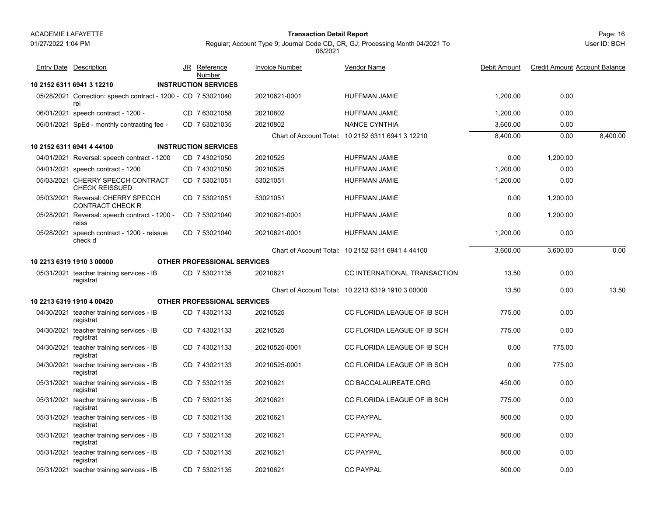#### Page: 16 **Transaction Detail Report**

User ID: BCH

Regular; Account Type 9; Journal Code CD, CR, GJ; Processing Month 04/2021 To 06/2021

Debit Amount Credit Amount Account Balance

| <b>Entry Date Description</b>                                        | JR Reference<br>Number             | <b>Invoice Number</b> | <b>Vendor Name</b>                                | Debit Amount | <b>Credit Amount Account Balance</b> |          |
|----------------------------------------------------------------------|------------------------------------|-----------------------|---------------------------------------------------|--------------|--------------------------------------|----------|
| 10 2152 6311 6941 3 12210                                            | <b>INSTRUCTION SERVICES</b>        |                       |                                                   |              |                                      |          |
| 05/28/2021 Correction: speech contract - 1200 - CD 7 53021040<br>rei |                                    | 20210621-0001         | <b>HUFFMAN JAMIE</b>                              | 1.200.00     | 0.00                                 |          |
| 06/01/2021 speech contract - 1200 -                                  | CD 7 63021058                      | 20210802              | <b>HUFFMAN JAMIE</b>                              | 1,200.00     | 0.00                                 |          |
| 06/01/2021 SpEd - monthly contracting fee -                          | CD 7 63021035                      | 20210802              | NANCE CYNTHIA                                     | 3,600.00     | 0.00                                 |          |
|                                                                      |                                    |                       | Chart of Account Total: 10 2152 6311 6941 3 12210 | 8,400.00     | 0.00                                 | 8,400.00 |
| 10 2152 6311 6941 4 44100                                            | <b>INSTRUCTION SERVICES</b>        |                       |                                                   |              |                                      |          |
| 04/01/2021 Reversal: speech contract - 1200                          | CD 7 43021050                      | 20210525              | <b>HUFFMAN JAMIE</b>                              | 0.00         | 1,200.00                             |          |
| 04/01/2021 speech contract - 1200                                    | CD 7 43021050                      | 20210525              | <b>HUFFMAN JAMIE</b>                              | 1,200.00     | 0.00                                 |          |
| 05/03/2021 CHERRY SPECCH CONTRACT<br><b>CHECK REISSUED</b>           | CD 7 53021051                      | 53021051              | <b>HUFFMAN JAMIE</b>                              | 1,200.00     | 0.00                                 |          |
| 05/03/2021 Reversal: CHERRY SPECCH<br><b>CONTRACT CHECK R</b>        | CD 7 53021051                      | 53021051              | <b>HUFFMAN JAMIE</b>                              | 0.00         | 1,200.00                             |          |
| 05/28/2021 Reversal: speech contract - 1200 -<br>reiss               | CD 7 53021040                      | 20210621-0001         | HUFFMAN JAMIE                                     | 0.00         | 1,200.00                             |          |
| 05/28/2021 speech contract - 1200 - reissue<br>check d               | CD 7 53021040                      | 20210621-0001         | <b>HUFFMAN JAMIE</b>                              | 1,200.00     | 0.00                                 |          |
|                                                                      |                                    |                       | Chart of Account Total: 10 2152 6311 6941 4 44100 | 3.600.00     | 3,600.00                             | 0.00     |
| 10 2213 6319 1910 3 00000                                            | <b>OTHER PROFESSIONAL SERVICES</b> |                       |                                                   |              |                                      |          |
| 05/31/2021 teacher training services - IB<br>registrat               | CD 7 53021135                      | 20210621              | CC INTERNATIONAL TRANSACTION                      | 13.50        | 0.00                                 |          |
|                                                                      |                                    |                       | Chart of Account Total: 10 2213 6319 1910 3 00000 | 13.50        | 0.00                                 | 13.50    |
| 10 2213 6319 1910 4 00420                                            | <b>OTHER PROFESSIONAL SERVICES</b> |                       |                                                   |              |                                      |          |
| 04/30/2021 teacher training services - IB<br>registrat               | CD 7 43021133                      | 20210525              | CC FLORIDA LEAGUE OF IB SCH                       | 775.00       | 0.00                                 |          |
| 04/30/2021 teacher training services - IB<br>registrat               | CD 7 43021133                      | 20210525              | CC FLORIDA LEAGUE OF IB SCH                       | 775.00       | 0.00                                 |          |
| 04/30/2021 teacher training services - IB<br>registrat               | CD 743021133                       | 20210525-0001         | CC FLORIDA LEAGUE OF IB SCH                       | 0.00         | 775.00                               |          |
| 04/30/2021 teacher training services - IB<br>registrat               | CD 7 43021133                      | 20210525-0001         | CC FLORIDA LEAGUE OF IB SCH                       | 0.00         | 775.00                               |          |
| 05/31/2021 teacher training services - IB<br>registrat               | CD 7 53021135                      | 20210621              | CC BACCALAUREATE.ORG                              | 450.00       | 0.00                                 |          |
| 05/31/2021 teacher training services - IB<br>registrat               | CD 7 53021135                      | 20210621              | CC FLORIDA LEAGUE OF IB SCH                       | 775.00       | 0.00                                 |          |
| 05/31/2021 teacher training services - IB<br>registrat               | CD 7 53021135                      | 20210621              | <b>CC PAYPAL</b>                                  | 800.00       | 0.00                                 |          |
| 05/31/2021 teacher training services - IB<br>registrat               | CD 7 53021135                      | 20210621              | <b>CC PAYPAL</b>                                  | 800.00       | 0.00                                 |          |
| 05/31/2021 teacher training services - IB<br>registrat               | CD 7 53021135                      | 20210621              | <b>CC PAYPAL</b>                                  | 800.00       | 0.00                                 |          |
| 05/31/2021 teacher training services - IB                            | CD 7 53021135                      | 20210621              | <b>CC PAYPAL</b>                                  | 800.00       | 0.00                                 |          |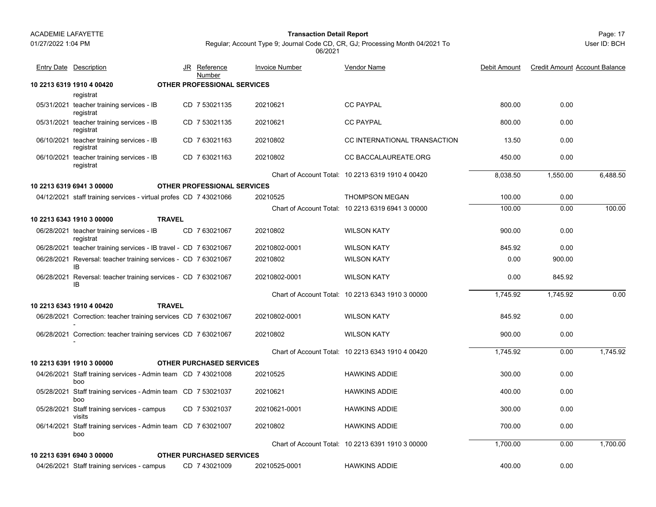**10 2213 6319 1910 4 00420 OTHER PROFESSIONAL SERVICES**

01/27/2022 1:04 PM

#### Page: 17 **Transaction Detail Report**

User ID: BCH

Regular; Account Type 9; Journal Code CD, CR, GJ; Processing Month 04/2021 To 06/2021

Vendor Name

JR Reference Invoice Number

Entry Date Description **Entry Date Description** JR Reference Invoice Number Vendor Name

<u>Number</u>

| 2213 6319 1910 4 00420 l                                       | <b>OTHER PROFESSIONAL SERVICES</b> |          |                              |        |      |
|----------------------------------------------------------------|------------------------------------|----------|------------------------------|--------|------|
| registrat                                                      |                                    |          |                              |        |      |
| 05/31/2021 teacher training services - IB<br>registrat         | CD 7 53021135                      | 20210621 | <b>CC PAYPAL</b>             | 800.00 | 0.00 |
| 05/31/2021 teacher training services - IB<br>registrat         | CD 7 53021135                      | 20210621 | <b>CC PAYPAL</b>             | 800.00 | 0.00 |
| 06/10/2021 teacher training services - IB<br>المتحافظ والمتحدث | CD 763021163                       | 20210802 | CC INTERNATIONAL TRANSACTION | 13.50  | 0.00 |

<u>e</u> Debit Amount Credit Amount Account Balance

| 05/31/2021 teacher training services - IB<br>registrat               | CD 7 53021135                      | 20210621      | <b>CC PAYPAL</b>                                  | 800.00   | 0.00     |          |
|----------------------------------------------------------------------|------------------------------------|---------------|---------------------------------------------------|----------|----------|----------|
| 06/10/2021 teacher training services - IB<br>registrat               | CD 7 63021163                      | 20210802      | CC INTERNATIONAL TRANSACTION                      | 13.50    | 0.00     |          |
| 06/10/2021 teacher training services - IB<br>registrat               | CD 763021163                       | 20210802      | <b>CC BACCALAUREATE ORG</b>                       | 450.00   | 0.00     |          |
|                                                                      |                                    |               | Chart of Account Total: 10 2213 6319 1910 4 00420 | 8,038.50 | 1,550.00 | 6.488.50 |
| 10 2213 6319 6941 3 00000                                            | <b>OTHER PROFESSIONAL SERVICES</b> |               |                                                   |          |          |          |
| 04/12/2021 staff training services - virtual profes CD 7 43021066    |                                    | 20210525      | <b>THOMPSON MEGAN</b>                             | 100.00   | 0.00     |          |
|                                                                      |                                    |               | Chart of Account Total: 10 2213 6319 6941 3 00000 | 100.00   | 0.00     | 100.00   |
| <b>TRAVEL</b><br>10 2213 6343 1910 3 00000                           |                                    |               |                                                   |          |          |          |
| 06/28/2021 teacher training services - IB<br>registrat               | CD 7 63021067                      | 20210802      | <b>WILSON KATY</b>                                | 900.00   | 0.00     |          |
| 06/28/2021 teacher training services - IB travel - CD 7 63021067     |                                    | 20210802-0001 | <b>WILSON KATY</b>                                | 845.92   | 0.00     |          |
| 06/28/2021 Reversal: teacher training services - CD 7 63021067<br>IB |                                    | 20210802      | <b>WILSON KATY</b>                                | 0.00     | 900.00   |          |
| 06/28/2021 Reversal: teacher training services - CD 7 63021067<br>IB |                                    | 20210802-0001 | <b>WILSON KATY</b>                                | 0.00     | 845.92   |          |
|                                                                      |                                    |               | Chart of Account Total: 10 2213 6343 1910 3 00000 | 1,745.92 | 1,745.92 | 0.00     |
| <b>TRAVEL</b><br>10 2213 6343 1910 4 00420                           |                                    |               |                                                   |          |          |          |
| 06/28/2021 Correction: teacher training services CD 7 63021067       |                                    | 20210802-0001 | <b>WILSON KATY</b>                                | 845.92   | 0.00     |          |
| 06/28/2021 Correction: teacher training services CD 7 63021067       |                                    | 20210802      | <b>WILSON KATY</b>                                | 900.00   | 0.00     |          |
|                                                                      |                                    |               | Chart of Account Total: 10 2213 6343 1910 4 00420 | 1,745.92 | 0.00     | 1,745.92 |
| 10 2213 6391 1910 3 00000                                            | <b>OTHER PURCHASED SERVICES</b>    |               |                                                   |          |          |          |
| 04/26/2021 Staff training services - Admin team CD 7 43021008<br>boo |                                    | 20210525      | <b>HAWKINS ADDIE</b>                              | 300.00   | 0.00     |          |
| 05/28/2021 Staff training services - Admin team CD 7 53021037<br>boo |                                    | 20210621      | <b>HAWKINS ADDIE</b>                              | 400.00   | 0.00     |          |
| 05/28/2021 Staff training services - campus<br>visits                | CD 7 53021037                      | 20210621-0001 | <b>HAWKINS ADDIE</b>                              | 300.00   | 0.00     |          |
| 06/14/2021 Staff training services - Admin team CD 7 63021007<br>boo |                                    | 20210802      | <b>HAWKINS ADDIE</b>                              | 700.00   | 0.00     |          |
|                                                                      |                                    |               | Chart of Account Total: 10 2213 6391 1910 3 00000 | 1,700.00 | 0.00     | 1,700.00 |
| 10 2213 6391 6940 3 00000                                            | <b>OTHER PURCHASED SERVICES</b>    |               |                                                   |          |          |          |
| 04/26/2021 Staff training services - campus                          | CD 7 43021009                      | 20210525-0001 | <b>HAWKINS ADDIE</b>                              | 400.00   | 0.00     |          |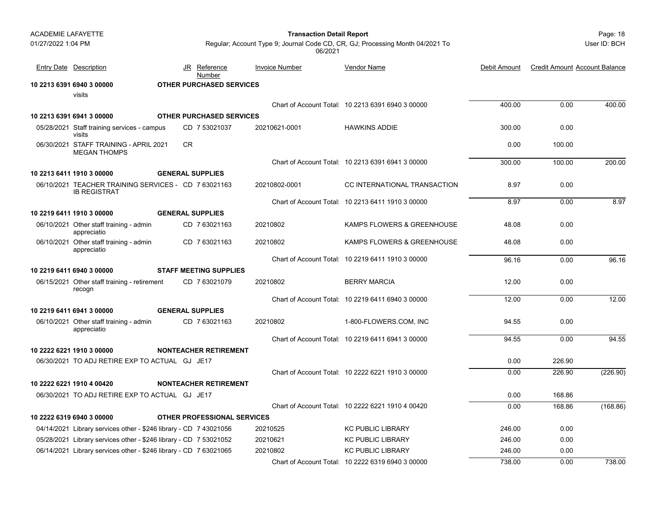| <b>ACADEMIE LAFAYETTE</b> |                                                                             |                                    | <b>Transaction Detail Report</b> |                                                                               |              |                                      | Page: 18     |
|---------------------------|-----------------------------------------------------------------------------|------------------------------------|----------------------------------|-------------------------------------------------------------------------------|--------------|--------------------------------------|--------------|
| 01/27/2022 1:04 PM        |                                                                             |                                    | 06/2021                          | Regular; Account Type 9; Journal Code CD, CR, GJ; Processing Month 04/2021 To |              |                                      | User ID: BCH |
|                           | <b>Entry Date Description</b>                                               | Reference<br>JR.<br>Number         | <b>Invoice Number</b>            | Vendor Name                                                                   | Debit Amount | <b>Credit Amount Account Balance</b> |              |
|                           | 10 2213 6391 6940 3 00000                                                   | <b>OTHER PURCHASED SERVICES</b>    |                                  |                                                                               |              |                                      |              |
|                           | visits                                                                      |                                    |                                  |                                                                               |              |                                      |              |
|                           |                                                                             |                                    |                                  | Chart of Account Total: 10 2213 6391 6940 3 00000                             | 400.00       | 0.00                                 | 400.00       |
|                           | 10 2213 6391 6941 3 00000                                                   | <b>OTHER PURCHASED SERVICES</b>    |                                  |                                                                               |              |                                      |              |
|                           | 05/28/2021 Staff training services - campus<br>visits                       | CD 7 53021037                      | 20210621-0001                    | <b>HAWKINS ADDIE</b>                                                          | 300.00       | 0.00                                 |              |
|                           | 06/30/2021 STAFF TRAINING - APRIL 2021<br><b>MEGAN THOMPS</b>               | <b>CR</b>                          |                                  |                                                                               | 0.00         | 100.00                               |              |
|                           |                                                                             |                                    |                                  | Chart of Account Total: 10 2213 6391 6941 3 00000                             | 300.00       | 100.00                               | 200.00       |
|                           | 10 2213 6411 1910 3 00000                                                   | <b>GENERAL SUPPLIES</b>            |                                  |                                                                               |              |                                      |              |
|                           | 06/10/2021 TEACHER TRAINING SERVICES - CD 7 63021163<br><b>IB REGISTRAT</b> |                                    | 20210802-0001                    | CC INTERNATIONAL TRANSACTION                                                  | 8.97         | 0.00                                 |              |
|                           |                                                                             |                                    |                                  | Chart of Account Total: 10 2213 6411 1910 3 00000                             | 8.97         | 0.00                                 | 8.97         |
|                           | 10 2219 6411 1910 3 00000                                                   | <b>GENERAL SUPPLIES</b>            |                                  |                                                                               |              |                                      |              |
|                           | 06/10/2021 Other staff training - admin<br>appreciatio                      | CD 763021163                       | 20210802                         | KAMPS FLOWERS & GREENHOUSE                                                    | 48.08        | 0.00                                 |              |
|                           | 06/10/2021 Other staff training - admin<br>appreciatio                      | CD 763021163                       | 20210802                         | KAMPS FLOWERS & GREENHOUSE                                                    | 48.08        | 0.00                                 |              |
|                           |                                                                             |                                    |                                  | Chart of Account Total: 10 2219 6411 1910 3 00000                             | 96.16        | 0.00                                 | 96.16        |
|                           | 10 2219 6411 6940 3 00000                                                   | <b>STAFF MEETING SUPPLIES</b>      |                                  |                                                                               |              |                                      |              |
|                           | 06/15/2021 Other staff training - retirement<br>recogn                      | CD 763021079                       | 20210802                         | <b>BERRY MARCIA</b>                                                           | 12.00        | 0.00                                 |              |
|                           |                                                                             |                                    |                                  | Chart of Account Total: 10 2219 6411 6940 3 00000                             | 12.00        | 0.00                                 | 12.00        |
|                           | 10 2219 6411 6941 3 00000                                                   | <b>GENERAL SUPPLIES</b>            |                                  |                                                                               |              |                                      |              |
|                           | 06/10/2021 Other staff training - admin<br>appreciatio                      | CD 763021163                       | 20210802                         | 1-800-FLOWERS.COM, INC                                                        | 94.55        | 0.00                                 |              |
|                           |                                                                             |                                    |                                  | Chart of Account Total: 10 2219 6411 6941 3 00000                             | 94.55        | 0.00                                 | 94.55        |
|                           | 10 2222 6221 1910 3 00000                                                   | <b>NONTEACHER RETIREMENT</b>       |                                  |                                                                               |              |                                      |              |
|                           | 06/30/2021 TO ADJ RETIRE EXP TO ACTUAL GJ JE17                              |                                    |                                  |                                                                               | 0.00         | 226.90                               |              |
|                           |                                                                             |                                    |                                  | Chart of Account Total: 10 2222 6221 1910 3 00000                             | 0.00         | 226.90                               | (226.90)     |
|                           | 10 2222 6221 1910 4 00420                                                   | <b>NONTEACHER RETIREMENT</b>       |                                  |                                                                               |              |                                      |              |
|                           | 06/30/2021 TO ADJ RETIRE EXP TO ACTUAL GJ JE17                              |                                    |                                  |                                                                               | 0.00         | 168.86                               |              |
|                           |                                                                             |                                    |                                  | Chart of Account Total: 10 2222 6221 1910 4 00420                             | 0.00         | 168.86                               | (168.86)     |
|                           | 10 2222 6319 6940 3 00000                                                   | <b>OTHER PROFESSIONAL SERVICES</b> |                                  |                                                                               |              |                                      |              |
|                           | 04/14/2021 Library services other - \$246 library - CD 7 43021056           |                                    | 20210525                         | <b>KC PUBLIC LIBRARY</b>                                                      | 246.00       | 0.00                                 |              |
|                           | 05/28/2021 Library services other - \$246 library - CD 7 53021052           |                                    | 20210621                         | <b>KC PUBLIC LIBRARY</b>                                                      | 246.00       | 0.00                                 |              |
|                           | 06/14/2021 Library services other - \$246 library - CD 7 63021065           |                                    | 20210802                         | <b>KC PUBLIC LIBRARY</b>                                                      | 246.00       | 0.00                                 |              |
|                           |                                                                             |                                    |                                  | Chart of Account Total: 10 2222 6319 6940 3 00000                             | 738.00       | 0.00                                 | 738.00       |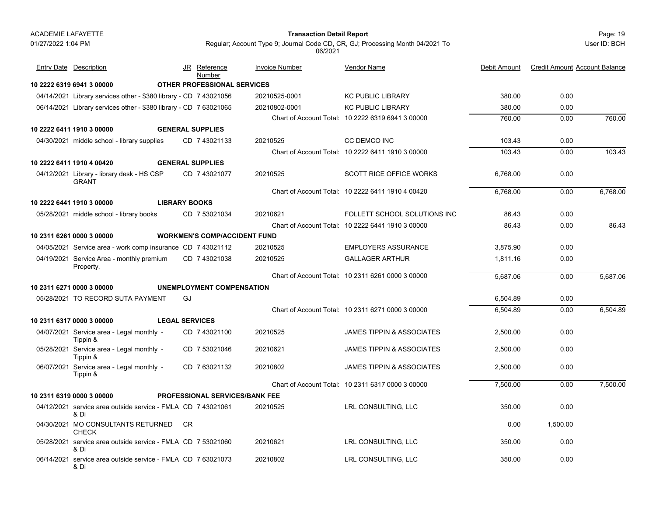#### Page: 19 **Transaction Detail Report**

User ID: BCH

| <b>Entry Date Description</b>                                        |                         | JR Reference<br>Number |                                       | <b>Invoice Number</b> | Vendor Name                                       | Debit Amount | <b>Credit Amount Account Balance</b> |          |
|----------------------------------------------------------------------|-------------------------|------------------------|---------------------------------------|-----------------------|---------------------------------------------------|--------------|--------------------------------------|----------|
| 10 2222 6319 6941 3 00000                                            |                         |                        | <b>OTHER PROFESSIONAL SERVICES</b>    |                       |                                                   |              |                                      |          |
| 04/14/2021 Library services other - \$380 library - CD 7 43021056    |                         |                        |                                       | 20210525-0001         | <b>KC PUBLIC LIBRARY</b>                          | 380.00       | 0.00                                 |          |
| 06/14/2021 Library services other - \$380 library - CD 7 63021065    |                         |                        |                                       | 20210802-0001         | <b>KC PUBLIC LIBRARY</b>                          | 380.00       | 0.00                                 |          |
|                                                                      |                         |                        |                                       |                       | Chart of Account Total: 10 2222 6319 6941 3 00000 | 760.00       | 0.00                                 | 760.00   |
| 10 2222 6411 1910 3 00000                                            | <b>GENERAL SUPPLIES</b> |                        |                                       |                       |                                                   |              |                                      |          |
| 04/30/2021 middle school - library supplies                          |                         | CD 7 43021133          |                                       | 20210525              | <b>CC DEMCO INC</b>                               | 103.43       | 0.00                                 |          |
|                                                                      |                         |                        |                                       |                       | Chart of Account Total: 10 2222 6411 1910 3 00000 | 103.43       | 0.00                                 | 103.43   |
| 10 2222 6411 1910 4 00420                                            | <b>GENERAL SUPPLIES</b> |                        |                                       |                       |                                                   |              |                                      |          |
| 04/12/2021 Library - library desk - HS CSP<br><b>GRANT</b>           |                         | CD 7 43021077          |                                       | 20210525              | <b>SCOTT RICE OFFICE WORKS</b>                    | 6.768.00     | 0.00                                 |          |
|                                                                      |                         |                        |                                       |                       | Chart of Account Total: 10 2222 6411 1910 4 00420 | 6,768.00     | 0.00                                 | 6,768.00 |
| 10 2222 6441 1910 3 00000                                            | <b>LIBRARY BOOKS</b>    |                        |                                       |                       |                                                   |              |                                      |          |
| 05/28/2021 middle school - library books                             |                         | CD 7 53021034          |                                       | 20210621              | FOLLETT SCHOOL SOLUTIONS INC                      | 86.43        | 0.00                                 |          |
|                                                                      |                         |                        |                                       |                       | Chart of Account Total: 10 2222 6441 1910 3 00000 | 86.43        | 0.00                                 | 86.43    |
| 10 2311 6261 0000 3 00000                                            |                         |                        | <b>WORKMEN'S COMP/ACCIDENT FUND</b>   |                       |                                                   |              |                                      |          |
| 04/05/2021 Service area - work comp insurance CD 7 43021112          |                         |                        |                                       | 20210525              | <b>EMPLOYERS ASSURANCE</b>                        | 3,875.90     | 0.00                                 |          |
| 04/19/2021 Service Area - monthly premium<br>Property,               |                         | CD 7 43021038          |                                       | 20210525              | <b>GALLAGER ARTHUR</b>                            | 1.811.16     | 0.00                                 |          |
|                                                                      |                         |                        |                                       |                       | Chart of Account Total: 10 2311 6261 0000 3 00000 | 5,687.06     | 0.00                                 | 5,687.06 |
| 10 2311 6271 0000 3 00000                                            |                         |                        | <b>UNEMPLOYMENT COMPENSATION</b>      |                       |                                                   |              |                                      |          |
| 05/28/2021 TO RECORD SUTA PAYMENT                                    |                         | GJ                     |                                       |                       |                                                   | 6,504.89     | 0.00                                 |          |
|                                                                      |                         |                        |                                       |                       | Chart of Account Total: 10 2311 6271 0000 3 00000 | 6,504.89     | 0.00                                 | 6.504.89 |
| 10 2311 6317 0000 3 00000                                            | <b>LEGAL SERVICES</b>   |                        |                                       |                       |                                                   |              |                                      |          |
| 04/07/2021 Service area - Legal monthly -<br>Tippin &                |                         | CD 7 43021100          |                                       | 20210525              | <b>JAMES TIPPIN &amp; ASSOCIATES</b>              | 2.500.00     | 0.00                                 |          |
| 05/28/2021 Service area - Legal monthly -<br>Tippin &                |                         | CD 7 53021046          |                                       | 20210621              | JAMES TIPPIN & ASSOCIATES                         | 2.500.00     | 0.00                                 |          |
| 06/07/2021 Service area - Legal monthly -<br>Tippin &                |                         | CD 7 63021132          |                                       | 20210802              | <b>JAMES TIPPIN &amp; ASSOCIATES</b>              | 2,500.00     | 0.00                                 |          |
|                                                                      |                         |                        |                                       |                       | Chart of Account Total: 10 2311 6317 0000 3 00000 | 7,500.00     | 0.00                                 | 7,500.00 |
| 10 2311 6319 0000 3 00000                                            |                         |                        | <b>PROFESSIONAL SERVICES/BANK FEE</b> |                       |                                                   |              |                                      |          |
| 04/12/2021 service area outside service - FMLA CD 7 43021061<br>& Di |                         |                        |                                       | 20210525              | LRL CONSULTING, LLC                               | 350.00       | 0.00                                 |          |
| 04/30/2021 MO CONSULTANTS RETURNED<br><b>CHECK</b>                   |                         | CR.                    |                                       |                       |                                                   | 0.00         | 1.500.00                             |          |
| 05/28/2021 service area outside service - FMLA CD 7 53021060<br>& Di |                         |                        |                                       | 20210621              | LRL CONSULTING, LLC                               | 350.00       | 0.00                                 |          |
| 06/14/2021 service area outside service - FMLA CD 7 63021073<br>& Di |                         |                        |                                       | 20210802              | LRL CONSULTING, LLC                               | 350.00       | 0.00                                 |          |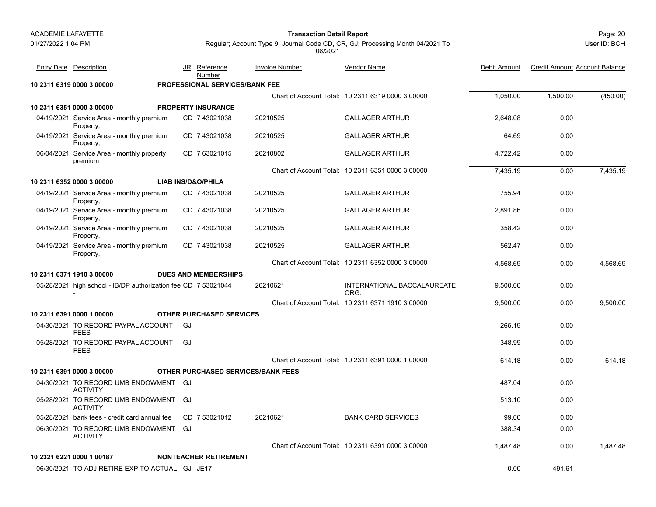#### Page: 20 **Transaction Detail Report**

User ID: BCH

| <b>Entry Date Description</b>                                  |                               | JR Reference<br>Number                | <b>Invoice Number</b>                     | <b>Vendor Name</b>                                | Debit Amount | <b>Credit Amount Account Balance</b> |          |
|----------------------------------------------------------------|-------------------------------|---------------------------------------|-------------------------------------------|---------------------------------------------------|--------------|--------------------------------------|----------|
| 10 2311 6319 0000 3 00000                                      |                               | <b>PROFESSIONAL SERVICES/BANK FEE</b> |                                           |                                                   |              |                                      |          |
|                                                                |                               |                                       |                                           | Chart of Account Total: 10 2311 6319 0000 3 00000 | 1,050.00     | 1,500.00                             | (450.00) |
| 10 2311 6351 0000 3 00000                                      |                               | <b>PROPERTY INSURANCE</b>             |                                           |                                                   |              |                                      |          |
| 04/19/2021 Service Area - monthly premium<br>Property,         |                               | CD 7 43021038                         | 20210525                                  | <b>GALLAGER ARTHUR</b>                            | 2,648.08     | 0.00                                 |          |
| 04/19/2021 Service Area - monthly premium<br>Property,         |                               | CD 7 43021038                         | 20210525                                  | <b>GALLAGER ARTHUR</b>                            | 64.69        | 0.00                                 |          |
| 06/04/2021 Service Area - monthly property<br>premium          |                               | CD 7 63021015                         | 20210802                                  | <b>GALLAGER ARTHUR</b>                            | 4,722.42     | 0.00                                 |          |
|                                                                |                               |                                       |                                           | Chart of Account Total: 10 2311 6351 0000 3 00000 | 7,435.19     | 0.00                                 | 7,435.19 |
| 10 2311 6352 0000 3 00000                                      | <b>LIAB INS/D&amp;O/PHILA</b> |                                       |                                           |                                                   |              |                                      |          |
| 04/19/2021 Service Area - monthly premium<br>Property,         |                               | CD 7 43021038                         | 20210525                                  | <b>GALLAGER ARTHUR</b>                            | 755.94       | 0.00                                 |          |
| 04/19/2021 Service Area - monthly premium<br>Property,         |                               | CD 7 43021038                         | 20210525                                  | <b>GALLAGER ARTHUR</b>                            | 2.891.86     | 0.00                                 |          |
| 04/19/2021 Service Area - monthly premium<br>Property,         |                               | CD 7 43021038                         | 20210525                                  | <b>GALLAGER ARTHUR</b>                            | 358.42       | 0.00                                 |          |
| 04/19/2021 Service Area - monthly premium<br>Property,         |                               | CD 7 43021038                         | 20210525                                  | <b>GALLAGER ARTHUR</b>                            | 562.47       | 0.00                                 |          |
|                                                                |                               |                                       |                                           | Chart of Account Total: 10 2311 6352 0000 3 00000 | 4,568.69     | 0.00                                 | 4,568.69 |
| 10 2311 6371 1910 3 00000                                      |                               | <b>DUES AND MEMBERSHIPS</b>           |                                           |                                                   |              |                                      |          |
| 05/28/2021 high school - IB/DP authorization fee CD 7 53021044 |                               |                                       | 20210621                                  | INTERNATIONAL BACCALAUREATE<br>ORG.               | 9,500.00     | 0.00                                 |          |
|                                                                |                               |                                       |                                           | Chart of Account Total: 10 2311 6371 1910 3 00000 | 9,500.00     | 0.00                                 | 9,500.00 |
| 10 2311 6391 0000 1 00000                                      |                               | <b>OTHER PURCHASED SERVICES</b>       |                                           |                                                   |              |                                      |          |
| 04/30/2021 TO RECORD PAYPAL ACCOUNT<br><b>FEES</b>             | GJ                            |                                       |                                           |                                                   | 265.19       | 0.00                                 |          |
| 05/28/2021 TO RECORD PAYPAL ACCOUNT<br><b>FEES</b>             | GJ                            |                                       |                                           |                                                   | 348.99       | 0.00                                 |          |
|                                                                |                               |                                       |                                           | Chart of Account Total: 10 2311 6391 0000 1 00000 | 614.18       | 0.00                                 | 614.18   |
| 10 2311 6391 0000 3 00000                                      |                               |                                       | <b>OTHER PURCHASED SERVICES/BANK FEES</b> |                                                   |              |                                      |          |
| 04/30/2021 TO RECORD UMB ENDOWMENT GJ<br><b>ACTIVITY</b>       |                               |                                       |                                           |                                                   | 487.04       | 0.00                                 |          |
| 05/28/2021 TO RECORD UMB ENDOWMENT GJ<br><b>ACTIVITY</b>       |                               |                                       |                                           |                                                   | 513.10       | 0.00                                 |          |
| 05/28/2021 bank fees - credit card annual fee                  |                               | CD 7 53021012                         | 20210621                                  | <b>BANK CARD SERVICES</b>                         | 99.00        | 0.00                                 |          |
| 06/30/2021 TO RECORD UMB ENDOWMENT GJ<br><b>ACTIVITY</b>       |                               |                                       |                                           |                                                   | 388.34       | 0.00                                 |          |
|                                                                |                               |                                       |                                           | Chart of Account Total: 10 2311 6391 0000 3 00000 | 1,487.48     | 0.00                                 | 1,487.48 |
| 10 2321 6221 0000 1 00187                                      |                               | <b>NONTEACHER RETIREMENT</b>          |                                           |                                                   |              |                                      |          |
| 06/30/2021 TO ADJ RETIRE EXP TO ACTUAL GJ JE17                 |                               |                                       |                                           |                                                   | 0.00         | 491.61                               |          |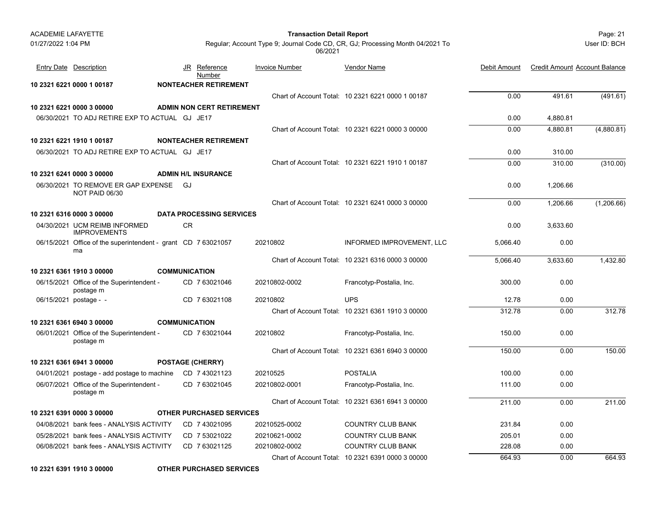| <b>ACADEMIE LAFAYETTE</b> |                                                                     |                                  | <b>Transaction Detail Report</b> |                                                                               |              |                                      | Page: 21     |
|---------------------------|---------------------------------------------------------------------|----------------------------------|----------------------------------|-------------------------------------------------------------------------------|--------------|--------------------------------------|--------------|
| 01/27/2022 1:04 PM        |                                                                     |                                  | 06/2021                          | Regular; Account Type 9; Journal Code CD, CR, GJ; Processing Month 04/2021 To |              |                                      | User ID: BCH |
|                           | <b>Entry Date</b> Description                                       | <u>Reference</u><br>JR<br>Number | <b>Invoice Number</b>            | <b>Vendor Name</b>                                                            | Debit Amount | <b>Credit Amount Account Balance</b> |              |
|                           | 10 2321 6221 0000 1 00187                                           | <b>NONTEACHER RETIREMENT</b>     |                                  |                                                                               |              |                                      |              |
|                           |                                                                     |                                  |                                  | Chart of Account Total: 10 2321 6221 0000 1 00187                             | 0.00         | 491.61                               | (491.61)     |
|                           | 10 2321 6221 0000 3 00000                                           | <b>ADMIN NON CERT RETIREMENT</b> |                                  |                                                                               |              |                                      |              |
|                           | 06/30/2021 TO ADJ RETIRE EXP TO ACTUAL GJ JE17                      |                                  |                                  |                                                                               | 0.00         | 4,880.81                             |              |
|                           |                                                                     |                                  |                                  | Chart of Account Total: 10 2321 6221 0000 3 00000                             | 0.00         | 4,880.81                             | (4,880.81)   |
|                           | 10 2321 6221 1910 1 00187                                           | <b>NONTEACHER RETIREMENT</b>     |                                  |                                                                               |              |                                      |              |
|                           | 06/30/2021 TO ADJ RETIRE EXP TO ACTUAL GJ JE17                      |                                  |                                  |                                                                               | 0.00         | 310.00                               |              |
|                           |                                                                     |                                  |                                  | Chart of Account Total: 10 2321 6221 1910 1 00187                             | 0.00         | 310.00                               | (310.00)     |
|                           | 10 2321 6241 0000 3 00000                                           | <b>ADMIN H/L INSURANCE</b>       |                                  |                                                                               |              |                                      |              |
|                           | 06/30/2021 TO REMOVE ER GAP EXPENSE GJ<br>NOT PAID 06/30            |                                  |                                  |                                                                               | 0.00         | 1,206.66                             |              |
|                           |                                                                     |                                  |                                  | Chart of Account Total: 10 2321 6241 0000 3 00000                             | 0.00         | 1,206.66                             | (1,206.66)   |
|                           | 10 2321 6316 0000 3 00000                                           | <b>DATA PROCESSING SERVICES</b>  |                                  |                                                                               |              |                                      |              |
|                           | 04/30/2021 UCM REIMB INFORMED<br><b>IMPROVEMENTS</b>                | <b>CR</b>                        |                                  |                                                                               | 0.00         | 3,633.60                             |              |
|                           | 06/15/2021 Office of the superintendent - grant CD 7 63021057<br>ma |                                  | 20210802                         | INFORMED IMPROVEMENT, LLC                                                     | 5,066.40     | 0.00                                 |              |
|                           |                                                                     |                                  |                                  | Chart of Account Total: 10 2321 6316 0000 3 00000                             | 5,066.40     | 3,633.60                             | 1,432.80     |
|                           | 10 2321 6361 1910 3 00000                                           | <b>COMMUNICATION</b>             |                                  |                                                                               |              |                                      |              |
|                           | 06/15/2021 Office of the Superintendent -<br>postage m              | CD 7 63021046                    | 20210802-0002                    | Francotyp-Postalia, Inc.                                                      | 300.00       | 0.00                                 |              |
|                           | 06/15/2021 postage - -                                              | CD 7 63021108                    | 20210802                         | <b>UPS</b>                                                                    | 12.78        | 0.00                                 |              |
|                           |                                                                     |                                  |                                  | Chart of Account Total: 10 2321 6361 1910 3 00000                             | 312.78       | 0.00                                 | 312.78       |
|                           | 10 2321 6361 6940 3 00000                                           | <b>COMMUNICATION</b>             |                                  |                                                                               |              |                                      |              |
|                           | 06/01/2021 Office of the Superintendent -<br>postage m              | CD 763021044                     | 20210802                         | Francotyp-Postalia, Inc.                                                      | 150.00       | 0.00                                 |              |
|                           |                                                                     |                                  |                                  | Chart of Account Total: 10 2321 6361 6940 3 00000                             | 150.00       | 0.00                                 | 150.00       |
|                           | 10 2321 6361 6941 3 00000                                           | <b>POSTAGE (CHERRY)</b>          |                                  |                                                                               |              |                                      |              |
|                           | 04/01/2021 postage - add postage to machine                         | CD 743021123                     | 20210525                         | <b>POSTALIA</b>                                                               | 100.00       | 0.00                                 |              |
|                           | 06/07/2021 Office of the Superintendent -<br>postage m              | CD 763021045                     | 20210802-0001                    | Francotyp-Postalia, Inc.                                                      | 111.00       | 0.00                                 |              |
|                           |                                                                     |                                  |                                  | Chart of Account Total: 10 2321 6361 6941 3 00000                             | 211.00       | 0.00                                 | 211.00       |
|                           | 10 2321 6391 0000 3 00000                                           | <b>OTHER PURCHASED SERVICES</b>  |                                  |                                                                               |              |                                      |              |
|                           | 04/08/2021 bank fees - ANALYSIS ACTIVITY                            | CD 7 43021095                    | 20210525-0002                    | COUNTRY CLUB BANK                                                             | 231.84       | 0.00                                 |              |
|                           | 05/28/2021 bank fees - ANALYSIS ACTIVITY                            | CD 7 53021022                    | 20210621-0002                    | <b>COUNTRY CLUB BANK</b>                                                      | 205.01       | 0.00                                 |              |
|                           | 06/08/2021 bank fees - ANALYSIS ACTIVITY                            | CD 763021125                     | 20210802-0002                    | COUNTRY CLUB BANK                                                             | 228.08       | 0.00                                 |              |
|                           |                                                                     |                                  |                                  | Chart of Account Total: 10 2321 6391 0000 3 00000                             | 664.93       | 0.00                                 | 664.93       |

**10 2321 6391 1910 3 00000 OTHER PURCHASED SERVICES**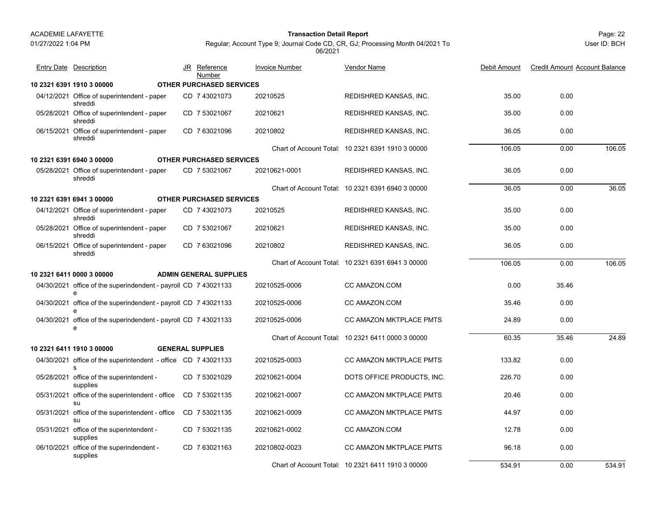#### 01/27/2022 1:04 PM

#### Page: 22 **Transaction Detail Report**

User ID: BCH

Regular; Account Type 9; Journal Code CD, CR, GJ; Processing Month 04/2021 To 06/2021

| <b>Entry Date Description</b>                                        | JR | <u>Reference</u><br>Number      | <b>Invoice Number</b> | Vendor Name                                       | Debit Amount | <b>Credit Amount Account Balance</b> |        |
|----------------------------------------------------------------------|----|---------------------------------|-----------------------|---------------------------------------------------|--------------|--------------------------------------|--------|
| 10 2321 6391 1910 3 00000                                            |    | <b>OTHER PURCHASED SERVICES</b> |                       |                                                   |              |                                      |        |
| 04/12/2021 Office of superintendent - paper<br>shreddi               |    | CD 7 43021073                   | 20210525              | REDISHRED KANSAS, INC.                            | 35.00        | 0.00                                 |        |
| 05/28/2021 Office of superintendent - paper<br>shreddi               |    | CD 7 53021067                   | 20210621              | REDISHRED KANSAS, INC.                            | 35.00        | 0.00                                 |        |
| 06/15/2021 Office of superintendent - paper<br>shreddi               |    | CD 763021096                    | 20210802              | REDISHRED KANSAS, INC.                            | 36.05        | 0.00                                 |        |
|                                                                      |    |                                 |                       | Chart of Account Total: 10 2321 6391 1910 3 00000 | 106.05       | 0.00                                 | 106.05 |
| 10 2321 6391 6940 3 00000                                            |    | <b>OTHER PURCHASED SERVICES</b> |                       |                                                   |              |                                      |        |
| 05/28/2021 Office of superintendent - paper<br>shreddi               |    | CD 7 53021067                   | 20210621-0001         | REDISHRED KANSAS, INC.                            | 36.05        | 0.00                                 |        |
|                                                                      |    |                                 |                       | Chart of Account Total: 10 2321 6391 6940 3 00000 | 36.05        | 0.00                                 | 36.05  |
| 10 2321 6391 6941 3 00000                                            |    | <b>OTHER PURCHASED SERVICES</b> |                       |                                                   |              |                                      |        |
| 04/12/2021 Office of superintendent - paper<br>shreddi               |    | CD 7 43021073                   | 20210525              | REDISHRED KANSAS, INC.                            | 35.00        | 0.00                                 |        |
| 05/28/2021 Office of superintendent - paper<br>shreddi               |    | CD 7 53021067                   | 20210621              | REDISHRED KANSAS, INC.                            | 35.00        | 0.00                                 |        |
| 06/15/2021 Office of superintendent - paper<br>shreddi               |    | CD 763021096                    | 20210802              | REDISHRED KANSAS, INC.                            | 36.05        | 0.00                                 |        |
|                                                                      |    |                                 |                       | Chart of Account Total: 10 2321 6391 6941 3 00000 | 106.05       | 0.00                                 | 106.05 |
| 10 2321 6411 0000 3 00000                                            |    | <b>ADMIN GENERAL SUPPLIES</b>   |                       |                                                   |              |                                      |        |
| 04/30/2021 office of the superindendent - payroll CD 7 43021133<br>e |    |                                 | 20210525-0006         | CC AMAZON COM                                     | 0.00         | 35.46                                |        |
| 04/30/2021 office of the superindendent - payroll CD 7 43021133<br>e |    |                                 | 20210525-0006         | CC AMAZON.COM                                     | 35.46        | 0.00                                 |        |
| 04/30/2021 office of the superindendent - payroll CD 7 43021133<br>e |    |                                 | 20210525-0006         | CC AMAZON MKTPLACE PMTS                           | 24.89        | 0.00                                 |        |
|                                                                      |    |                                 |                       | Chart of Account Total: 10 2321 6411 0000 3 00000 | 60.35        | 35.46                                | 24.89  |
| 10 2321 6411 1910 3 00000                                            |    | <b>GENERAL SUPPLIES</b>         |                       |                                                   |              |                                      |        |
| 04/30/2021 office of the superintendent - office CD 7 43021133<br>s  |    |                                 | 20210525-0003         | CC AMAZON MKTPLACE PMTS                           | 133.82       | 0.00                                 |        |
| 05/28/2021 office of the superintendent -<br>supplies                |    | CD 7 53021029                   | 20210621-0004         | DOTS OFFICE PRODUCTS, INC.                        | 226.70       | 0.00                                 |        |
| 05/31/2021 office of the superintendent - office<br>su               |    | CD 7 53021135                   | 20210621-0007         | CC AMAZON MKTPLACE PMTS                           | 20.46        | 0.00                                 |        |
| 05/31/2021 office of the superintendent - office<br>su               |    | CD 7 53021135                   | 20210621-0009         | CC AMAZON MKTPLACE PMTS                           | 44.97        | 0.00                                 |        |
| 05/31/2021 office of the superintendent -<br>supplies                |    | CD 7 53021135                   | 20210621-0002         | CC AMAZON.COM                                     | 12.78        | 0.00                                 |        |
| 06/10/2021 office of the superindendent -<br>supplies                |    | CD 7 63021163                   | 20210802-0023         | CC AMAZON MKTPLACE PMTS                           | 96.18        | 0.00                                 |        |
|                                                                      |    |                                 |                       | Chart of Account Total: 10 2321 6411 1910 3 00000 | 534.91       | 0.00                                 | 534.91 |

0.00 534.91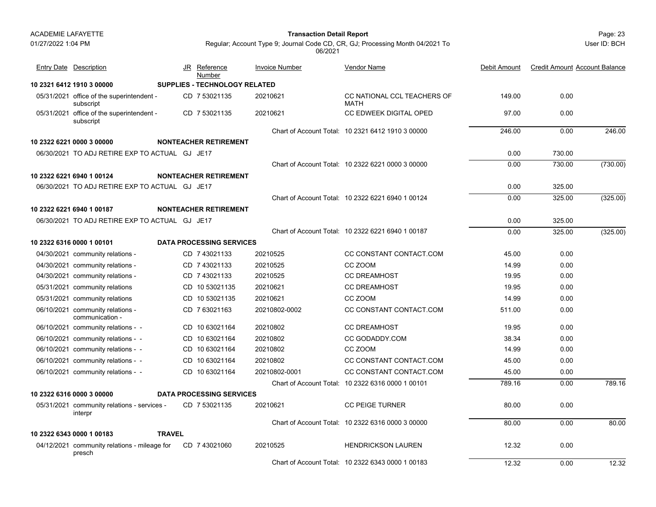01/27/2022 1:04 PM

#### Page: 23 **Transaction Detail Report**

User ID: BCH

| <b>Entry Date Description</b>                          |               | JR Reference<br>Number               | <b>Invoice Number</b> | <b>Vendor Name</b>                                | Debit Amount | <b>Credit Amount Account Balance</b> |          |
|--------------------------------------------------------|---------------|--------------------------------------|-----------------------|---------------------------------------------------|--------------|--------------------------------------|----------|
| 10 2321 6412 1910 3 00000                              |               | <b>SUPPLIES - TECHNOLOGY RELATED</b> |                       |                                                   |              |                                      |          |
| 05/31/2021 office of the superintendent -<br>subscript |               | CD 7 53021135                        | 20210621              | CC NATIONAL CCL TEACHERS OF<br><b>MATH</b>        | 149.00       | 0.00                                 |          |
| 05/31/2021 office of the superintendent -<br>subscript |               | CD 7 53021135                        | 20210621              | CC EDWEEK DIGITAL OPED                            | 97.00        | 0.00                                 |          |
|                                                        |               |                                      |                       | Chart of Account Total: 10 2321 6412 1910 3 00000 | 246.00       | 0.00                                 | 246.00   |
| 10 2322 6221 0000 3 00000                              |               | <b>NONTEACHER RETIREMENT</b>         |                       |                                                   |              |                                      |          |
| 06/30/2021 TO ADJ RETIRE EXP TO ACTUAL GJ JE17         |               |                                      |                       |                                                   | 0.00         | 730.00                               |          |
|                                                        |               |                                      |                       | Chart of Account Total: 10 2322 6221 0000 3 00000 | 0.00         | 730.00                               | (730.00) |
| 10 2322 6221 6940 1 00124                              |               | <b>NONTEACHER RETIREMENT</b>         |                       |                                                   |              |                                      |          |
| 06/30/2021 TO ADJ RETIRE EXP TO ACTUAL GJ JE17         |               |                                      |                       |                                                   | 0.00         | 325.00                               |          |
|                                                        |               |                                      |                       | Chart of Account Total: 10 2322 6221 6940 1 00124 | 0.00         | 325.00                               | (325.00) |
| 10 2322 6221 6940 1 00187                              |               | <b>NONTEACHER RETIREMENT</b>         |                       |                                                   |              |                                      |          |
| 06/30/2021 TO ADJ RETIRE EXP TO ACTUAL GJ JE17         |               |                                      |                       |                                                   | 0.00         | 325.00                               |          |
|                                                        |               |                                      |                       | Chart of Account Total: 10 2322 6221 6940 1 00187 | 0.00         | 325.00                               | (325.00) |
| 10 2322 6316 0000 1 00101                              |               | <b>DATA PROCESSING SERVICES</b>      |                       |                                                   |              |                                      |          |
| 04/30/2021 community relations -                       |               | CD 7 43021133                        | 20210525              | CC CONSTANT CONTACT.COM                           | 45.00        | 0.00                                 |          |
| 04/30/2021 community relations -                       |               | CD 743021133                         | 20210525              | CC ZOOM                                           | 14.99        | 0.00                                 |          |
| 04/30/2021 community relations -                       |               | CD 7 43021133                        | 20210525              | <b>CC DREAMHOST</b>                               | 19.95        | 0.00                                 |          |
| 05/31/2021 community relations                         |               | CD 10 53021135                       | 20210621              | <b>CC DREAMHOST</b>                               | 19.95        | 0.00                                 |          |
| 05/31/2021 community relations                         |               | CD 10 53021135                       | 20210621              | CC ZOOM                                           | 14.99        | 0.00                                 |          |
| 06/10/2021 community relations -<br>communication -    |               | CD 7 63021163                        | 20210802-0002         | CC CONSTANT CONTACT.COM                           | 511.00       | 0.00                                 |          |
| 06/10/2021 community relations - -                     |               | CD 10 63021164                       | 20210802              | <b>CC DREAMHOST</b>                               | 19.95        | 0.00                                 |          |
| 06/10/2021 community relations - -                     |               | CD 10 63021164                       | 20210802              | CC GODADDY.COM                                    | 38.34        | 0.00                                 |          |
| 06/10/2021 community relations - -                     |               | CD 10 63021164                       | 20210802              | CC ZOOM                                           | 14.99        | 0.00                                 |          |
| 06/10/2021 community relations - -                     |               | CD 10 63021164                       | 20210802              | CC CONSTANT CONTACT.COM                           | 45.00        | 0.00                                 |          |
| 06/10/2021 community relations - -                     |               | CD 10 63021164                       | 20210802-0001         | CC CONSTANT CONTACT.COM                           | 45.00        | 0.00                                 |          |
|                                                        |               |                                      |                       | Chart of Account Total: 10 2322 6316 0000 1 00101 | 789.16       | 0.00                                 | 789.16   |
| 10 2322 6316 0000 3 00000                              |               | <b>DATA PROCESSING SERVICES</b>      |                       |                                                   |              |                                      |          |
| 05/31/2021 community relations - services -<br>interpr |               | CD 7 53021135                        | 20210621              | <b>CC PEIGE TURNER</b>                            | 80.00        | 0.00                                 |          |
|                                                        |               |                                      |                       | Chart of Account Total: 10 2322 6316 0000 3 00000 | 80.00        | 0.00                                 | 80.00    |
| 10 2322 6343 0000 1 00183                              | <b>TRAVEL</b> |                                      |                       |                                                   |              |                                      |          |
| 04/12/2021 community relations - mileage for<br>presch |               | CD 7 43021060                        | 20210525              | <b>HENDRICKSON LAUREN</b>                         | 12.32        | 0.00                                 |          |
|                                                        |               |                                      |                       | Chart of Account Total: 10 2322 6343 0000 1 00183 | 12.32        | 0.00                                 | 12.32    |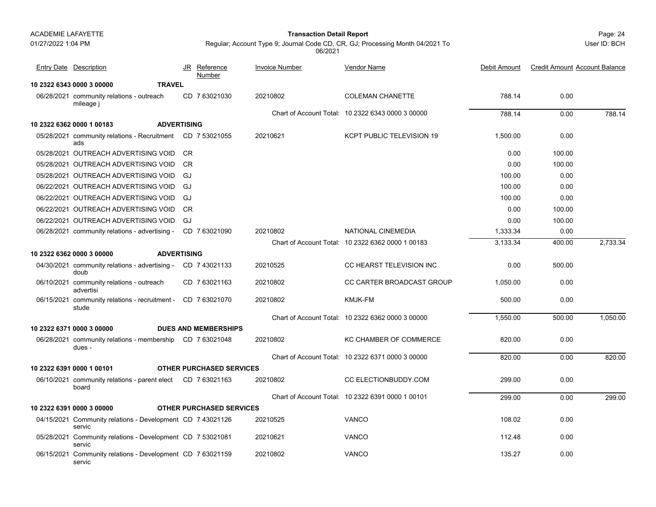01/27/2022 1:04 PM

#### Page: 24 **Transaction Detail Report**

Regular; Account Type 9; Journal Code CD, CR, GJ; Processing Month 04/2021 To 06/2021

**10 2322 6343 0000 3 00000 TRAVEL**06/28/2021 community relations - outreach CD\_7 63021030 20210802 COLEMAN CHANETTE 788.14 0.00 mileage j CD 20210802 COLEMAN CHANETTE 7 63021030 Chart of Account Total: 10 2322 6343 0000 3 00000 788.14 0.00 788.14 **10 2322 6362 0000 1 00183 ADVERTISING**05/28/2021 community relations - Recruitment CD 7 53021055 20210621 KCPT PUBLIC TELEVISION 19 1,500.00 0.00 adsCD 20210621 KCPT PUBLIC TELEVISION 19 7 53021055 05/28/2021 OUTREACH ADVERTISING VOID CRR and the contract of the contract of the contract of the contract of the contract of the contract of the contract of the contract of the contract of the contract of the contract of the contract of the contract of the con 05/28/2021 OUTREACH ADVERTISING VOID CRR and the contract of the contract of the contract of the contract of the contract of the contract of the contract of the contract of the contract of the contract of the contract of the contract of the contract of the con 05/28/2021 OUTREACH ADVERTISING VOID GJ 100.00 0.00 06/22/2021 OUTREACH ADVERTISING VOID GJ 100.00 0.00 06/22/2021 OUTREACH ADVERTISING VOID GJ 100.00 0.00 06/22/2021 OUTREACH ADVERTISING VOID CRR and the contract of the contract of the contract of the contract of the contract of the contract of the contract of the contract of the contract of the contract of the contract of the contract of the contract of the con 06/22/2021 OUTREACH ADVERTISING VOID GJ 0.00 100.00 06/28/2021 community relations - advertising - CD 7 63021090 20210802 NATIONAL CINEMEDIA 1,333.34 0.00 Chart of Account Total: 10 2322 6362 0000 1 00183 3,133.34 400.00 2,733.34 **10 2322 6362 0000 3 00000 ADVERTISING**04/30/2021 community relations - advertising - CD 7 43021133 20210525 CC HEARST TELEVISION INC 0.00 500.00 doubCD 20210525 CC HEARST TELEVISION INC 7 43021133 06/10/2021 community relations - outreach CD\_7 63021163 20210802 CC CARTER BROADCAST GROUP 1,050.00 0.00 advertisiCD 20210802 CC CARTER BROADCAST GROUP 7 63021163 06/15/2021 community relations - recruitment - CD 7 63021070 20210802 KMJK-FM 500.00 0.00 studeChart of Account Total: 10 2322 6362 0000 3 00000 1,550.00 500.00 1,050.00 **10 2322 6371 0000 3 00000 DUES AND MEMBERSHIPS**06/28/2021 community relations - membership CD\_7 63021048 20210802 KC CHAMBER OF COMMERCE 820.00 0.00 dues -CD 20210802 KC CHAMBER OF COMMERCE 7 63021048 Chart of Account Total: 10 2322 6371 0000 3 00000 820.00 0.00 820.00 **10 2322 6391 0000 1 00101 OTHER PURCHASED SERVICES**06/10/2021 community relations - parent elect CD\_7 63021163 20210802 CC ELECTIONBUDDY.COM 299.00 0.00 boardCD 20210802 CC ELECTIONBUDDY.COM 7 63021163 Chart of Account Total: 10 2322 6391 0000 1 00101 299.00 0.00 299.00 **10 2322 6391 0000 3 00000 OTHER PURCHASED SERVICES**04/15/2021 Community relations - Development 108.02 0.00 CD 20210525 VANCO 7 43021126 servic05/28/2021 Community relations - Development CD 7 53021081 20210621 VANCO 0.00 servic06/15/2021 Community relations - Development CD 7 63021159 20210802 VANCO 135.27 0.00 servicJR Reference Invoice Number Vendor NameDebit Amount Credit Amount Account Balance NumberEntry Date Description JR Reference <u>Invoice Number</u> <u>Vendor Name</u> Debit Amount Credit Amount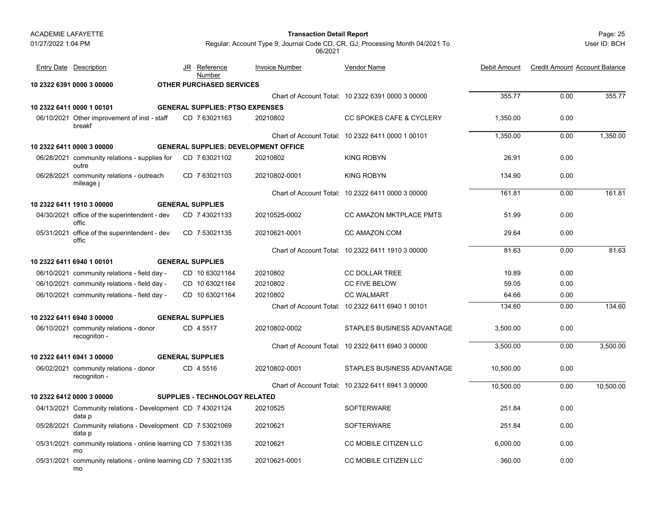| ACADEMIE LAFAYETTE |                                                                      |                                        | <b>Transaction Detail Report</b>            |                                                                               |              |                                      | Page: 25     |
|--------------------|----------------------------------------------------------------------|----------------------------------------|---------------------------------------------|-------------------------------------------------------------------------------|--------------|--------------------------------------|--------------|
| 01/27/2022 1:04 PM |                                                                      |                                        | 06/2021                                     | Regular; Account Type 9; Journal Code CD, CR, GJ; Processing Month 04/2021 To |              |                                      | User ID: BCH |
|                    | <b>Entry Date Description</b>                                        | <u>Reference</u><br>JR<br>Number       | <b>Invoice Number</b>                       | Vendor Name                                                                   | Debit Amount | <b>Credit Amount Account Balance</b> |              |
|                    | 10 2322 6391 0000 3 00000                                            | <b>OTHER PURCHASED SERVICES</b>        |                                             |                                                                               |              |                                      |              |
|                    |                                                                      |                                        |                                             | Chart of Account Total: 10 2322 6391 0000 3 00000                             | 355.77       | 0.00                                 | 355.77       |
|                    | 10 2322 6411 0000 1 00101                                            | <b>GENERAL SUPPLIES: PTSO EXPENSES</b> |                                             |                                                                               |              |                                      |              |
|                    | 06/10/2021 Other improvement of inst - staff<br>breakf               | CD 7 63021163                          | 20210802                                    | <b>CC SPOKES CAFE &amp; CYCLERY</b>                                           | 1,350.00     | 0.00                                 |              |
|                    |                                                                      |                                        |                                             | Chart of Account Total: 10 2322 6411 0000 1 00101                             | 1,350.00     | 0.00                                 | 1,350.00     |
|                    | 10 2322 6411 0000 3 00000                                            |                                        | <b>GENERAL SUPPLIES: DEVELOPMENT OFFICE</b> |                                                                               |              |                                      |              |
|                    | 06/28/2021 community relations - supplies for<br>outre               | CD 7 63021102                          | 20210802                                    | KING ROBYN                                                                    | 26.91        | 0.00                                 |              |
|                    | 06/28/2021 community relations - outreach<br>mileage j               | CD 7 63021103                          | 20210802-0001                               | <b>KING ROBYN</b>                                                             | 134.90       | 0.00                                 |              |
|                    |                                                                      |                                        |                                             | Chart of Account Total: 10 2322 6411 0000 3 00000                             | 161.81       | 0.00                                 | 161.81       |
|                    | 10 2322 6411 1910 3 00000                                            | <b>GENERAL SUPPLIES</b>                |                                             |                                                                               |              |                                      |              |
|                    | 04/30/2021 office of the superintendent - dev<br>offic               | CD 7 43021133                          | 20210525-0002                               | CC AMAZON MKTPLACE PMTS                                                       | 51.99        | 0.00                                 |              |
|                    | 05/31/2021 office of the superintendent - dev<br>offic               | CD 7 53021135                          | 20210621-0001                               | CC AMAZON.COM                                                                 | 29.64        | 0.00                                 |              |
|                    |                                                                      |                                        |                                             | Chart of Account Total: 10 2322 6411 1910 3 00000                             | 81.63        | 0.00                                 | 81.63        |
|                    | 10 2322 6411 6940 1 00101                                            | <b>GENERAL SUPPLIES</b>                |                                             |                                                                               |              |                                      |              |
|                    | 06/10/2021 community relations - field day -                         | CD 10 63021164                         | 20210802                                    | CC DOLLAR TREE                                                                | 10.89        | 0.00                                 |              |
|                    | 06/10/2021 community relations - field day -                         | CD 10 63021164                         | 20210802                                    | CC FIVE BELOW                                                                 | 59.05        | 0.00                                 |              |
|                    | 06/10/2021 community relations - field day -                         | CD 10 63021164                         | 20210802                                    | <b>CC WALMART</b>                                                             | 64.66        | 0.00                                 |              |
|                    |                                                                      |                                        |                                             | Chart of Account Total: 10 2322 6411 6940 1 00101                             | 134.60       | 0.00                                 | 134.60       |
|                    | 10 2322 6411 6940 3 00000                                            | <b>GENERAL SUPPLIES</b>                |                                             |                                                                               |              |                                      |              |
|                    | 06/10/2021 community relations - donor<br>recogniton -               | CD 4 5517                              | 20210802-0002                               | STAPLES BUSINESS ADVANTAGE                                                    | 3,500.00     | 0.00                                 |              |
|                    |                                                                      |                                        |                                             | Chart of Account Total: 10 2322 6411 6940 3 00000                             | 3,500.00     | 0.00                                 | 3,500.00     |
|                    | 10 2322 6411 6941 3 00000                                            | <b>GENERAL SUPPLIES</b>                |                                             |                                                                               |              |                                      |              |
|                    | 06/02/2021 community relations - donor<br>recogniton -               | CD 4 5516                              | 20210802-0001                               | STAPLES BUSINESS ADVANTAGE                                                    | 10,500.00    | 0.00                                 |              |
|                    |                                                                      |                                        |                                             | Chart of Account Total: 10 2322 6411 6941 3 00000                             | 10,500.00    | 0.00                                 | 10,500.00    |
|                    | 10 2322 6412 0000 3 00000                                            | <b>SUPPLIES - TECHNOLOGY RELATED</b>   |                                             |                                                                               |              |                                      |              |
|                    | 04/13/2021 Community relations - Development CD 7 43021124<br>data p |                                        | 20210525                                    | <b>SOFTERWARE</b>                                                             | 251.84       | 0.00                                 |              |
|                    | 05/28/2021 Community relations - Development CD 7 53021069<br>data p |                                        | 20210621                                    | <b>SOFTERWARE</b>                                                             | 251.84       | 0.00                                 |              |
|                    | 05/31/2021 community relations - online learning CD 7 53021135<br>mo |                                        | 20210621                                    | CC MOBILE CITIZEN LLC                                                         | 6,000.00     | 0.00                                 |              |
|                    | 05/31/2021 community relations - online learning CD 7 53021135       |                                        | 20210621-0001                               | CC MOBILE CITIZEN LLC                                                         | 360.00       | 0.00                                 |              |

mo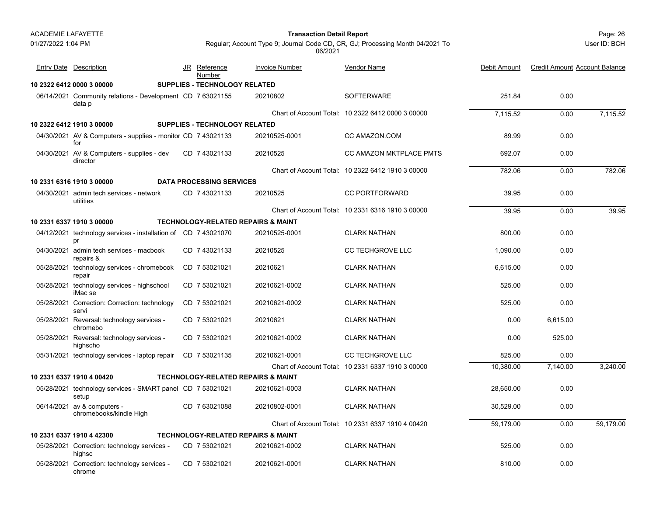| ACADEMIE LAFAYETTE |  |
|--------------------|--|
|--------------------|--|

01/27/2022 1:04 PM

#### Page: 26 **Transaction Detail Report**

User ID: BCH

| <b>Entry Date Description</b>                                        | JR Reference<br>Number               | <b>Invoice Number</b>                         | <b>Vendor Name</b>                                | Debit Amount | <b>Credit Amount Account Balance</b> |           |
|----------------------------------------------------------------------|--------------------------------------|-----------------------------------------------|---------------------------------------------------|--------------|--------------------------------------|-----------|
| 10 2322 6412 0000 3 00000                                            | SUPPLIES - TECHNOLOGY RELATED        |                                               |                                                   |              |                                      |           |
| 06/14/2021 Community relations - Development CD 7 63021155<br>data p |                                      | 20210802                                      | <b>SOFTERWARE</b>                                 | 251.84       | 0.00                                 |           |
|                                                                      |                                      |                                               | Chart of Account Total: 10 2322 6412 0000 3 00000 | 7,115.52     | 0.00                                 | 7,115.52  |
| 10 2322 6412 1910 3 00000                                            | <b>SUPPLIES - TECHNOLOGY RELATED</b> |                                               |                                                   |              |                                      |           |
| 04/30/2021 AV & Computers - supplies - monitor CD 7 43021133<br>for  |                                      | 20210525-0001                                 | CC AMAZON.COM                                     | 89.99        | 0.00                                 |           |
| 04/30/2021 AV & Computers - supplies - dev<br>director               | CD 7 43021133                        | 20210525                                      | CC AMAZON MKTPLACE PMTS                           | 692.07       | 0.00                                 |           |
|                                                                      |                                      |                                               | Chart of Account Total: 10 2322 6412 1910 3 00000 | 782.06       | 0.00                                 | 782.06    |
| 10 2331 6316 1910 3 00000                                            | <b>DATA PROCESSING SERVICES</b>      |                                               |                                                   |              |                                      |           |
| 04/30/2021 admin tech services - network<br>utilities                | CD 743021133                         | 20210525                                      | <b>CC PORTFORWARD</b>                             | 39.95        | 0.00                                 |           |
|                                                                      |                                      |                                               | Chart of Account Total: 10 2331 6316 1910 3 00000 | 39.95        | 0.00                                 | 39.95     |
| 10 2331 6337 1910 3 00000                                            |                                      | <b>TECHNOLOGY-RELATED REPAIRS &amp; MAINT</b> |                                                   |              |                                      |           |
| 04/12/2021 technology services - installation of CD 7 43021070<br>pr |                                      | 20210525-0001                                 | <b>CLARK NATHAN</b>                               | 800.00       | 0.00                                 |           |
| 04/30/2021 admin tech services - macbook<br>repairs &                | CD 7 43021133                        | 20210525                                      | <b>CC TECHGROVE LLC</b>                           | 1,090.00     | 0.00                                 |           |
| 05/28/2021 technology services - chromebook<br>repair                | CD 7 53021021                        | 20210621                                      | <b>CLARK NATHAN</b>                               | 6.615.00     | 0.00                                 |           |
| 05/28/2021 technology services - highschool<br>iMac se               | CD 7 53021021                        | 20210621-0002                                 | <b>CLARK NATHAN</b>                               | 525.00       | 0.00                                 |           |
| 05/28/2021 Correction: Correction: technology<br>servi               | CD 7 53021021                        | 20210621-0002                                 | <b>CLARK NATHAN</b>                               | 525.00       | 0.00                                 |           |
| 05/28/2021 Reversal: technology services -<br>chromebo               | CD 7 53021021                        | 20210621                                      | <b>CLARK NATHAN</b>                               | 0.00         | 6,615.00                             |           |
| 05/28/2021 Reversal: technology services -<br>highscho               | CD 7 53021021                        | 20210621-0002                                 | <b>CLARK NATHAN</b>                               | 0.00         | 525.00                               |           |
| 05/31/2021 technology services - laptop repair                       | CD 753021135                         | 20210621-0001                                 | <b>CC TECHGROVE LLC</b>                           | 825.00       | 0.00                                 |           |
|                                                                      |                                      |                                               | Chart of Account Total: 10 2331 6337 1910 3 00000 | 10,380.00    | 7,140.00                             | 3,240.00  |
| 10 2331 6337 1910 4 00420                                            |                                      | <b>TECHNOLOGY-RELATED REPAIRS &amp; MAINT</b> |                                                   |              |                                      |           |
| 05/28/2021 technology services - SMART panel CD 7 53021021<br>setup  |                                      | 20210621-0003                                 | <b>CLARK NATHAN</b>                               | 28,650.00    | 0.00                                 |           |
| 06/14/2021 av & computers -<br>chromebooks/kindle High               | CD 763021088                         | 20210802-0001                                 | <b>CLARK NATHAN</b>                               | 30,529.00    | 0.00                                 |           |
|                                                                      |                                      |                                               | Chart of Account Total: 10 2331 6337 1910 4 00420 | 59,179.00    | 0.00                                 | 59,179.00 |
| 10 2331 6337 1910 4 42300                                            |                                      | TECHNOLOGY-RELATED REPAIRS & MAINT            |                                                   |              |                                      |           |
| 05/28/2021 Correction: technology services -<br>highsc               | CD 7 53021021                        | 20210621-0002                                 | <b>CLARK NATHAN</b>                               | 525.00       | 0.00                                 |           |
| 05/28/2021 Correction: technology services -<br>chrome               | CD 7 53021021                        | 20210621-0001                                 | <b>CLARK NATHAN</b>                               | 810.00       | 0.00                                 |           |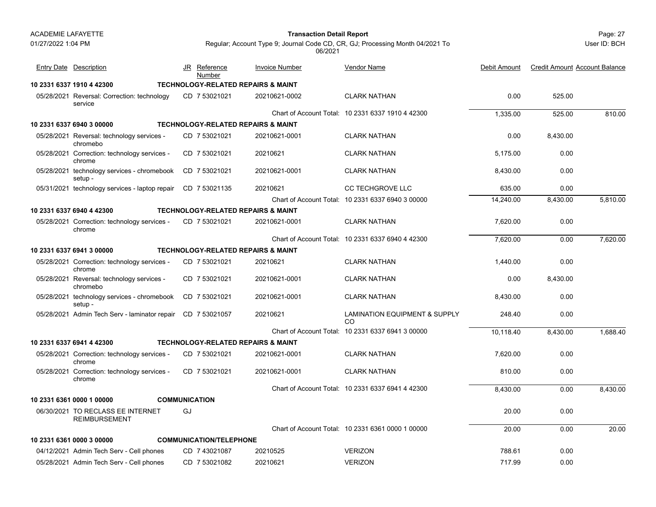chrome

#### Page: 27 **Transaction Detail Report**

JR Reference Invoice Number

Entry Date Description **Entry Date Debit Amount** JR Reference Invoice Number Vendor Name

<u>Number</u>

User ID: BCH

<u>e</u> Debit Amount Credit Amount Account Balance

Regular; Account Type 9; Journal Code CD, CR, GJ; Processing Month 04/2021 To 06/2021

Vendor Name

| 10 2331 6337 1910 4 42300                                   | <b>TECHNOLOGY-RELATED REPAIRS &amp; MAINT</b> |               |                                                   |           |          |          |
|-------------------------------------------------------------|-----------------------------------------------|---------------|---------------------------------------------------|-----------|----------|----------|
| 05/28/2021 Reversal: Correction: technology<br>service      | CD 7 53021021                                 | 20210621-0002 | <b>CLARK NATHAN</b>                               | 0.00      | 525.00   |          |
|                                                             |                                               |               | Chart of Account Total: 10 2331 6337 1910 4 42300 | 1,335.00  | 525.00   | 810.00   |
| 10 2331 6337 6940 3 00000                                   | <b>TECHNOLOGY-RELATED REPAIRS &amp; MAINT</b> |               |                                                   |           |          |          |
| 05/28/2021 Reversal: technology services -<br>chromebo      | CD 7 53021021                                 | 20210621-0001 | <b>CLARK NATHAN</b>                               | 0.00      | 8,430.00 |          |
| 05/28/2021 Correction: technology services -<br>chrome      | CD 7 53021021                                 | 20210621      | <b>CLARK NATHAN</b>                               | 5,175.00  | 0.00     |          |
| 05/28/2021 technology services - chromebook<br>setup -      | CD 7 53021021                                 | 20210621-0001 | <b>CLARK NATHAN</b>                               | 8,430.00  | 0.00     |          |
| 05/31/2021 technology services - laptop repair              | CD 753021135                                  | 20210621      | <b>CC TECHGROVE LLC</b>                           | 635.00    | 0.00     |          |
|                                                             |                                               |               | Chart of Account Total: 10 2331 6337 6940 3 00000 | 14,240.00 | 8,430.00 | 5,810.00 |
| 10 2331 6337 6940 4 42300                                   | <b>TECHNOLOGY-RELATED REPAIRS &amp; MAINT</b> |               |                                                   |           |          |          |
| 05/28/2021 Correction: technology services -<br>chrome      | CD 7 53021021                                 | 20210621-0001 | <b>CLARK NATHAN</b>                               | 7,620.00  | 0.00     |          |
|                                                             |                                               |               | Chart of Account Total: 10 2331 6337 6940 4 42300 | 7,620.00  | 0.00     | 7,620.00 |
| 10 2331 6337 6941 3 00000                                   | <b>TECHNOLOGY-RELATED REPAIRS &amp; MAINT</b> |               |                                                   |           |          |          |
| 05/28/2021 Correction: technology services -<br>chrome      | CD 7 53021021                                 | 20210621      | <b>CLARK NATHAN</b>                               | 1,440.00  | 0.00     |          |
| 05/28/2021 Reversal: technology services -<br>chromebo      | CD 7 53021021                                 | 20210621-0001 | <b>CLARK NATHAN</b>                               | 0.00      | 8,430.00 |          |
| 05/28/2021 technology services - chromebook<br>setup -      | CD 753021021                                  | 20210621-0001 | <b>CLARK NATHAN</b>                               | 8,430.00  | 0.00     |          |
| 05/28/2021 Admin Tech Serv - laminator repair CD 7 53021057 |                                               | 20210621      | <b>LAMINATION EQUIPMENT &amp; SUPPLY</b><br>CO    | 248.40    | 0.00     |          |
|                                                             |                                               |               | Chart of Account Total: 10 2331 6337 6941 3 00000 | 10,118.40 | 8,430.00 | 1,688.40 |
| 10 2331 6337 6941 4 42300                                   | <b>TECHNOLOGY-RELATED REPAIRS &amp; MAINT</b> |               |                                                   |           |          |          |
|                                                             |                                               |               |                                                   |           |          |          |

chromeChart of Account Total: 10 2331 6337 6941 4 42300 8,430.00 0.00 8,430.00 **10 2331 6361 0000 1 00000 COMMUNICATION**06/30/2021 TO RECLASS EE INTERNET 20.00 0.00 REIMBURSEMENTGJChart of Account Total: 10 2331 6361 0000 1 00000 20.00 0.00 20.00 **10 2331 6361 0000 3 00000 COMMUNICATION/TELEPHONE** 04/12/2021 Admin Tech Serv - Cell phones CD 20210525 VERIZON 7 43021087 788.61 0.00 05/28/2021 Admin Tech Serv - Cell phones CD 20210621 VERIZON 7 53021082 717.99 0.00

05/28/2021 Correction: technology services - CD\_7 53021021 20210621-0001 CLARK NATHAN 7,620.00 0.00

05/28/2021 Correction: technology services - CD\_7 53021021 20210621-0001 CLARK NATHAN 810.00 0.00

CD 20210621-0001 CLARK NATHAN 7 53021021

CD 7 53021021 20210621-0001 CLARK NATHAN 20210621-0001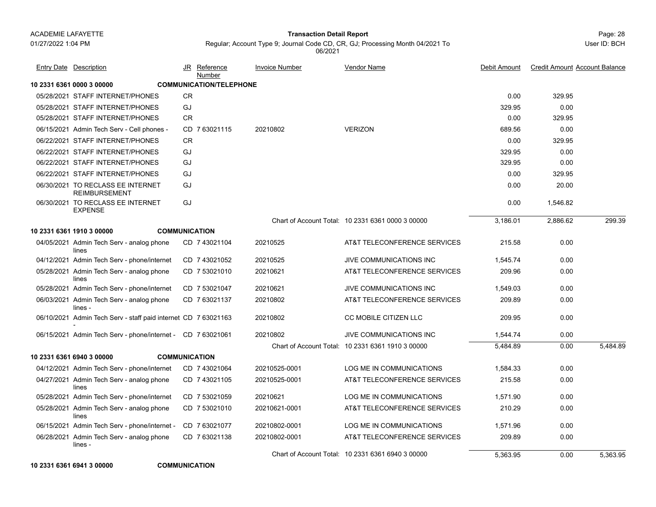Page: 28 **Transaction Detail Report**

User ID: BCH

Regular; Account Type 9; Journal Code CD, CR, GJ; Processing Month 04/2021 To 06/2021

| <b>Entry Date Description</b>                                  |    | <u>JR Reference</u><br>Number  | <b>Invoice Number</b> | <b>Vendor Name</b>                                | Debit Amount | <b>Credit Amount Account Balance</b> |          |
|----------------------------------------------------------------|----|--------------------------------|-----------------------|---------------------------------------------------|--------------|--------------------------------------|----------|
| 10 2331 6361 0000 3 00000                                      |    | <b>COMMUNICATION/TELEPHONE</b> |                       |                                                   |              |                                      |          |
| 05/28/2021 STAFF INTERNET/PHONES                               | CR |                                |                       |                                                   | 0.00         | 329.95                               |          |
| 05/28/2021 STAFF INTERNET/PHONES                               | GJ |                                |                       |                                                   | 329.95       | 0.00                                 |          |
| 05/28/2021 STAFF INTERNET/PHONES                               | CR |                                |                       |                                                   | 0.00         | 329.95                               |          |
| 06/15/2021 Admin Tech Serv - Cell phones -                     |    | CD 763021115                   | 20210802              | <b>VERIZON</b>                                    | 689.56       | 0.00                                 |          |
| 06/22/2021 STAFF INTERNET/PHONES                               | CR |                                |                       |                                                   | 0.00         | 329.95                               |          |
| 06/22/2021 STAFF INTERNET/PHONES                               | GJ |                                |                       |                                                   | 329.95       | 0.00                                 |          |
| 06/22/2021 STAFF INTERNET/PHONES                               | GJ |                                |                       |                                                   | 329.95       | 0.00                                 |          |
| 06/22/2021 STAFF INTERNET/PHONES                               | GJ |                                |                       |                                                   | 0.00         | 329.95                               |          |
| 06/30/2021 TO RECLASS EE INTERNET<br><b>REIMBURSEMENT</b>      | GJ |                                |                       |                                                   | 0.00         | 20.00                                |          |
| 06/30/2021 TO RECLASS EE INTERNET<br><b>EXPENSE</b>            | GJ |                                |                       |                                                   | 0.00         | 1,546.82                             |          |
|                                                                |    |                                |                       | Chart of Account Total: 10 2331 6361 0000 3 00000 | 3,186.01     | 2,886.62                             | 299.39   |
| <b>COMMUNICATION</b><br>10 2331 6361 1910 3 00000              |    |                                |                       |                                                   |              |                                      |          |
| 04/05/2021 Admin Tech Serv - analog phone<br>lines             |    | CD 7 43021104                  | 20210525              | AT&T TELECONFERENCE SERVICES                      | 215.58       | 0.00                                 |          |
| 04/12/2021 Admin Tech Serv - phone/internet                    |    | CD 7 43021052                  | 20210525              | <b>JIVE COMMUNICATIONS INC</b>                    | 1,545.74     | 0.00                                 |          |
| 05/28/2021 Admin Tech Serv - analog phone<br>lines             |    | CD 7 53021010                  | 20210621              | AT&T TELECONFERENCE SERVICES                      | 209.96       | 0.00                                 |          |
| 05/28/2021 Admin Tech Serv - phone/internet                    |    | CD 7 53021047                  | 20210621              | JIVE COMMUNICATIONS INC                           | 1,549.03     | 0.00                                 |          |
| 06/03/2021 Admin Tech Serv - analog phone<br>lines -           |    | CD 763021137                   | 20210802              | AT&T TELECONFERENCE SERVICES                      | 209.89       | 0.00                                 |          |
| 06/10/2021 Admin Tech Serv - staff paid internet CD 7 63021163 |    |                                | 20210802              | CC MOBILE CITIZEN LLC                             | 209.95       | 0.00                                 |          |
| 06/15/2021 Admin Tech Serv - phone/internet - CD 7 63021061    |    |                                | 20210802              | <b>JIVE COMMUNICATIONS INC</b>                    | 1,544.74     | 0.00                                 |          |
|                                                                |    |                                |                       | Chart of Account Total: 10 2331 6361 1910 3 00000 | 5.484.89     | 0.00                                 | 5.484.89 |
| <b>COMMUNICATION</b><br>10 2331 6361 6940 3 00000              |    |                                |                       |                                                   |              |                                      |          |
| 04/12/2021 Admin Tech Serv - phone/internet                    |    | CD 7 43021064                  | 20210525-0001         | LOG ME IN COMMUNICATIONS                          | 1,584.33     | 0.00                                 |          |
| 04/27/2021 Admin Tech Serv - analog phone<br>lines             |    | CD 743021105                   | 20210525-0001         | AT&T TELECONFERENCE SERVICES                      | 215.58       | 0.00                                 |          |
| 05/28/2021 Admin Tech Serv - phone/internet                    |    | CD 7 53021059                  | 20210621              | <b>LOG ME IN COMMUNICATIONS</b>                   | 1.571.90     | 0.00                                 |          |
| 05/28/2021 Admin Tech Serv - analog phone<br>lines             |    | CD 7 53021010                  | 20210621-0001         | AT&T TELECONFERENCE SERVICES                      | 210.29       | 0.00                                 |          |
| 06/15/2021 Admin Tech Serv - phone/internet -                  |    | CD 763021077                   | 20210802-0001         | LOG ME IN COMMUNICATIONS                          | 1,571.96     | 0.00                                 |          |
| 06/28/2021 Admin Tech Serv - analog phone<br>lines -           |    | CD 7 63021138                  | 20210802-0001         | AT&T TELECONFERENCE SERVICES                      | 209.89       | 0.00                                 |          |
|                                                                |    |                                |                       | Chart of Account Total: 10 2331 6361 6940 3 00000 | 5,363.95     | 0.00                                 | 5,363.95 |

**10 2331 6361 6941 3 00000 COMMUNICATION**

**COMMUNICATION**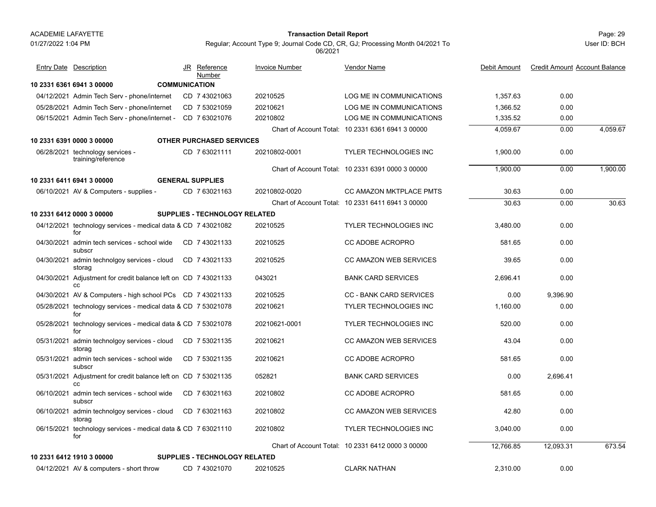### 01/27/2022 1:04 PM

#### Page: 29 **Transaction Detail Report**

Regular; Account Type 9; Journal Code CD, CR, GJ; Processing Month 04/2021 To 06/2021

| <b>Entry Date Description</b>                                        | JR Reference<br><b>Number</b>   | <b>Invoice Number</b> | <b>Vendor Name</b>                                | Debit Amount | <b>Credit Amount Account Balance</b> |          |
|----------------------------------------------------------------------|---------------------------------|-----------------------|---------------------------------------------------|--------------|--------------------------------------|----------|
| 10 2331 6361 6941 3 00000                                            | <b>COMMUNICATION</b>            |                       |                                                   |              |                                      |          |
| 04/12/2021 Admin Tech Serv - phone/internet                          | CD 7 43021063                   | 20210525              | LOG ME IN COMMUNICATIONS                          | 1,357.63     | 0.00                                 |          |
| 05/28/2021 Admin Tech Serv - phone/internet                          | CD 7 53021059                   | 20210621              | LOG ME IN COMMUNICATIONS                          | 1.366.52     | 0.00                                 |          |
| 06/15/2021 Admin Tech Serv - phone/internet - CD 7 63021076          |                                 | 20210802              | LOG ME IN COMMUNICATIONS                          | 1,335.52     | 0.00                                 |          |
|                                                                      |                                 |                       | Chart of Account Total: 10 2331 6361 6941 3 00000 | 4,059.67     | 0.00                                 | 4,059.67 |
| 10 2331 6391 0000 3 00000                                            | <b>OTHER PURCHASED SERVICES</b> |                       |                                                   |              |                                      |          |
| 06/28/2021 technology services -<br>training/reference               | CD 763021111                    | 20210802-0001         | <b>TYLER TECHNOLOGIES INC</b>                     | 1,900.00     | 0.00                                 |          |
|                                                                      |                                 |                       | Chart of Account Total: 10 2331 6391 0000 3 00000 | 1,900.00     | 0.00                                 | 1,900.00 |
| 10 2331 6411 6941 3 00000                                            | <b>GENERAL SUPPLIES</b>         |                       |                                                   |              |                                      |          |
| 06/10/2021 AV & Computers - supplies -                               | CD 763021163                    | 20210802-0020         | CC AMAZON MKTPLACE PMTS                           | 30.63        | 0.00                                 |          |
|                                                                      |                                 |                       | Chart of Account Total: 10 2331 6411 6941 3 00000 | 30.63        | 0.00                                 | 30.63    |
| 10 2331 6412 0000 3 00000                                            | SUPPLIES - TECHNOLOGY RELATED   |                       |                                                   |              |                                      |          |
| 04/12/2021 technology services - medical data & CD 7 43021082<br>for |                                 | 20210525              | <b>TYLER TECHNOLOGIES INC</b>                     | 3.480.00     | 0.00                                 |          |
| 04/30/2021 admin tech services - school wide<br>subscr               | CD 743021133                    | 20210525              | <b>CC ADOBE ACROPRO</b>                           | 581.65       | 0.00                                 |          |
| 04/30/2021 admin technolgoy services - cloud<br>storag               | CD 743021133                    | 20210525              | <b>CC AMAZON WEB SERVICES</b>                     | 39.65        | 0.00                                 |          |
| 04/30/2021 Adjustment for credit balance left on CD 7 43021133<br>cc |                                 | 043021                | <b>BANK CARD SERVICES</b>                         | 2.696.41     | 0.00                                 |          |
| 04/30/2021 AV & Computers - high school PCs CD 7 43021133            |                                 | 20210525              | <b>CC - BANK CARD SERVICES</b>                    | 0.00         | 9,396.90                             |          |
| 05/28/2021 technology services - medical data & CD 7 53021078<br>for |                                 | 20210621              | <b>TYLER TECHNOLOGIES INC</b>                     | 1,160.00     | 0.00                                 |          |
| 05/28/2021 technology services - medical data & CD 7 53021078<br>for |                                 | 20210621-0001         | <b>TYLER TECHNOLOGIES INC</b>                     | 520.00       | 0.00                                 |          |
| 05/31/2021 admin technolgoy services - cloud<br>storag               | CD 7 53021135                   | 20210621              | <b>CC AMAZON WEB SERVICES</b>                     | 43.04        | 0.00                                 |          |
| 05/31/2021 admin tech services - school wide<br>subscr               | CD 7 53021135                   | 20210621              | <b>CC ADOBE ACROPRO</b>                           | 581.65       | 0.00                                 |          |
| 05/31/2021 Adjustment for credit balance left on CD 7 53021135<br>CC |                                 | 052821                | <b>BANK CARD SERVICES</b>                         | 0.00         | 2,696.41                             |          |
| 06/10/2021 admin tech services - school wide<br>subscr               | CD 763021163                    | 20210802              | <b>CC ADOBE ACROPRO</b>                           | 581.65       | 0.00                                 |          |
| 06/10/2021 admin technolgoy services - cloud<br>storag               | CD 763021163                    | 20210802              | <b>CC AMAZON WEB SERVICES</b>                     | 42.80        | 0.00                                 |          |
| 06/15/2021 technology services - medical data & CD 7 63021110<br>for |                                 | 20210802              | <b>TYLER TECHNOLOGIES INC</b>                     | 3,040.00     | 0.00                                 |          |
|                                                                      |                                 |                       | Chart of Account Total: 10 2331 6412 0000 3 00000 | 12,766.85    | 12,093.31                            | 673.54   |
| 10 2331 6412 1910 3 00000                                            | SUPPLIES - TECHNOLOGY RELATED   |                       |                                                   |              |                                      |          |
| 04/12/2021 AV & computers - short throw                              | CD 7 43021070                   | 20210525              | <b>CLARK NATHAN</b>                               | 2,310.00     | 0.00                                 |          |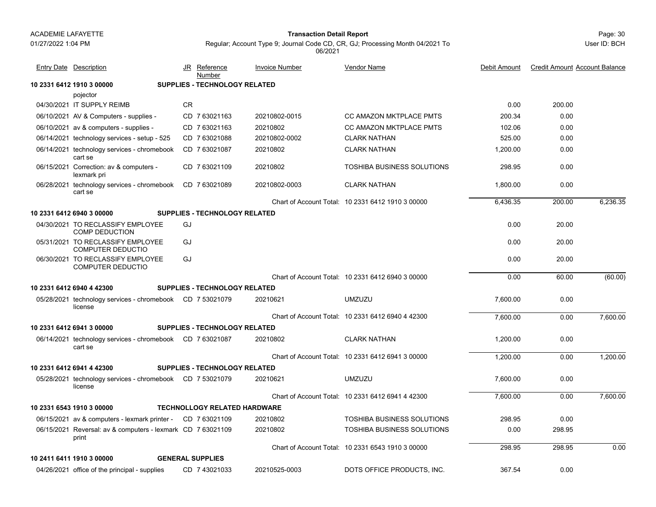01/27/2022 1:04 PM

#### Page: 30 **Transaction Detail Report**

Regular; Account Type 9; Journal Code CD, CR, GJ; Processing Month 04/2021 To 06/2021

| <b>Entry Date Description</b>                                        |    | JR Reference<br>Number               | <b>Invoice Number</b> | <b>Vendor Name</b>                                | Debit Amount | <b>Credit Amount Account Balance</b> |          |
|----------------------------------------------------------------------|----|--------------------------------------|-----------------------|---------------------------------------------------|--------------|--------------------------------------|----------|
| 10 2331 6412 1910 3 00000                                            |    | <b>SUPPLIES - TECHNOLOGY RELATED</b> |                       |                                                   |              |                                      |          |
| pojector                                                             |    |                                      |                       |                                                   |              |                                      |          |
| 04/30/2021 IT SUPPLY REIMB                                           | CR |                                      |                       |                                                   | 0.00         | 200.00                               |          |
| 06/10/2021 AV & Computers - supplies -                               |    | CD 7 63021163                        | 20210802-0015         | <b>CC AMAZON MKTPLACE PMTS</b>                    | 200.34       | 0.00                                 |          |
| 06/10/2021 av & computers - supplies -                               |    | CD 763021163                         | 20210802              | <b>CC AMAZON MKTPLACE PMTS</b>                    | 102.06       | 0.00                                 |          |
| 06/14/2021 technology services - setup - 525                         |    | CD 763021088                         | 20210802-0002         | <b>CLARK NATHAN</b>                               | 525.00       | 0.00                                 |          |
| 06/14/2021 technology services - chromebook<br>cart se               |    | CD 763021087                         | 20210802              | <b>CLARK NATHAN</b>                               | 1.200.00     | 0.00                                 |          |
| 06/15/2021 Correction: av & computers -<br>lexmark pri               |    | CD 763021109                         | 20210802              | <b>TOSHIBA BUSINESS SOLUTIONS</b>                 | 298.95       | 0.00                                 |          |
| 06/28/2021 technology services - chromebook<br>cart se               |    | CD 763021089                         | 20210802-0003         | <b>CLARK NATHAN</b>                               | 1,800.00     | 0.00                                 |          |
|                                                                      |    |                                      |                       | Chart of Account Total: 10 2331 6412 1910 3 00000 | 6,436.35     | 200.00                               | 6,236.35 |
| 10 2331 6412 6940 3 00000                                            |    | <b>SUPPLIES - TECHNOLOGY RELATED</b> |                       |                                                   |              |                                      |          |
| 04/30/2021 TO RECLASSIFY EMPLOYEE<br><b>COMP DEDUCTION</b>           | GJ |                                      |                       |                                                   | 0.00         | 20.00                                |          |
| 05/31/2021 TO RECLASSIFY EMPLOYEE<br><b>COMPUTER DEDUCTIO</b>        | GJ |                                      |                       |                                                   | 0.00         | 20.00                                |          |
| 06/30/2021 TO RECLASSIFY EMPLOYEE<br><b>COMPUTER DEDUCTIO</b>        | GJ |                                      |                       |                                                   | 0.00         | 20.00                                |          |
|                                                                      |    |                                      |                       | Chart of Account Total: 10 2331 6412 6940 3 00000 | 0.00         | 60.00                                | (60.00)  |
| 10 2331 6412 6940 4 42300                                            |    | <b>SUPPLIES - TECHNOLOGY RELATED</b> |                       |                                                   |              |                                      |          |
| 05/28/2021 technology services - chromebook CD 7 53021079<br>license |    |                                      | 20210621              | <b>UMZUZU</b>                                     | 7.600.00     | 0.00                                 |          |
|                                                                      |    |                                      |                       | Chart of Account Total: 10 2331 6412 6940 4 42300 | 7,600.00     | 0.00                                 | 7,600.00 |
| 10 2331 6412 6941 3 00000                                            |    | <b>SUPPLIES - TECHNOLOGY RELATED</b> |                       |                                                   |              |                                      |          |
| 06/14/2021 technology services - chromebook CD 7 63021087<br>cart se |    |                                      | 20210802              | <b>CLARK NATHAN</b>                               | 1,200.00     | 0.00                                 |          |
|                                                                      |    |                                      |                       | Chart of Account Total: 10 2331 6412 6941 3 00000 | 1,200.00     | 0.00                                 | 1,200.00 |
| 10 2331 6412 6941 4 42300                                            |    | <b>SUPPLIES - TECHNOLOGY RELATED</b> |                       |                                                   |              |                                      |          |
| 05/28/2021 technology services - chromebook CD 7 53021079<br>license |    |                                      | 20210621              | <b>UMZUZU</b>                                     | 7,600.00     | 0.00                                 |          |
|                                                                      |    |                                      |                       | Chart of Account Total: 10 2331 6412 6941 4 42300 | 7,600.00     | 0.00                                 | 7,600.00 |
| 10 2331 6543 1910 3 00000                                            |    | <b>TECHNOLLOGY RELATED HARDWARE</b>  |                       |                                                   |              |                                      |          |
| 06/15/2021 av & computers - lexmark printer - CD 7 63021109          |    |                                      | 20210802              | <b>TOSHIBA BUSINESS SOLUTIONS</b>                 | 298.95       | 0.00                                 |          |
| 06/15/2021 Reversal: av & computers - lexmark CD 7 63021109<br>print |    |                                      | 20210802              | TOSHIBA BUSINESS SOLUTIONS                        | 0.00         | 298.95                               |          |
|                                                                      |    |                                      |                       | Chart of Account Total: 10 2331 6543 1910 3 00000 | 298.95       | 298.95                               | 0.00     |
| 10 2411 6411 1910 3 00000                                            |    | <b>GENERAL SUPPLIES</b>              |                       |                                                   |              |                                      |          |
| 04/26/2021 office of the principal - supplies                        |    | CD 7 43021033                        | 20210525-0003         | DOTS OFFICE PRODUCTS, INC.                        | 367.54       | 0.00                                 |          |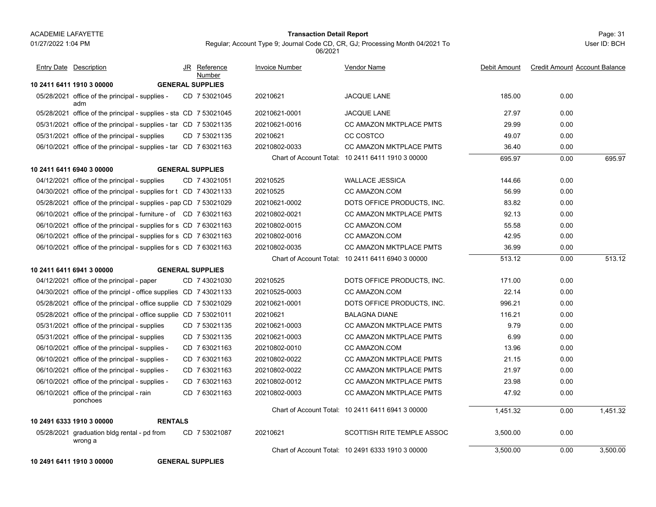#### Page: 31 **Transaction Detail Report**

Regular; Account Type 9; Journal Code CD, CR, GJ; Processing Month 04/2021 To 06/2021

User ID: BCH

| <b>Entry Date Description</b>                                     | JR Reference<br>Number  | <b>Invoice Number</b> | Vendor Name                                       | Debit Amount | <b>Credit Amount Account Balance</b> |          |
|-------------------------------------------------------------------|-------------------------|-----------------------|---------------------------------------------------|--------------|--------------------------------------|----------|
| 10 2411 6411 1910 3 00000                                         | <b>GENERAL SUPPLIES</b> |                       |                                                   |              |                                      |          |
| 05/28/2021 office of the principal - supplies -<br>adm            | CD 7 53021045           | 20210621              | <b>JACQUE LANE</b>                                | 185.00       | 0.00                                 |          |
| 05/28/2021 office of the principal - supplies - sta CD 7 53021045 |                         | 20210621-0001         | <b>JACQUE LANE</b>                                | 27.97        | 0.00                                 |          |
| 05/31/2021 office of the principal - supplies - tar CD 7 53021135 |                         | 20210621-0016         | CC AMAZON MKTPLACE PMTS                           | 29.99        | 0.00                                 |          |
| 05/31/2021 office of the principal - supplies                     | CD 7 53021135           | 20210621              | CC COSTCO                                         | 49.07        | 0.00                                 |          |
| 06/10/2021 office of the principal - supplies - tar CD 7 63021163 |                         | 20210802-0033         | <b>CC AMAZON MKTPLACE PMTS</b>                    | 36.40        | 0.00                                 |          |
|                                                                   |                         |                       | Chart of Account Total: 10 2411 6411 1910 3 00000 | 695.97       | 0.00                                 | 695.97   |
| 10 2411 6411 6940 3 00000                                         | <b>GENERAL SUPPLIES</b> |                       |                                                   |              |                                      |          |
| 04/12/2021 office of the principal - supplies                     | CD 743021051            | 20210525              | <b>WALLACE JESSICA</b>                            | 144.66       | 0.00                                 |          |
| 04/30/2021 office of the principal - supplies for t CD 7 43021133 |                         | 20210525              | CC AMAZON.COM                                     | 56.99        | 0.00                                 |          |
| 05/28/2021 office of the principal - supplies - pap CD 7 53021029 |                         | 20210621-0002         | DOTS OFFICE PRODUCTS, INC.                        | 83.82        | 0.00                                 |          |
| 06/10/2021 office of the principal - furniture - of CD 7 63021163 |                         | 20210802-0021         | <b>CC AMAZON MKTPLACE PMTS</b>                    | 92.13        | 0.00                                 |          |
| 06/10/2021 office of the principal - supplies for s CD 7 63021163 |                         | 20210802-0015         | CC AMAZON.COM                                     | 55.58        | 0.00                                 |          |
| 06/10/2021 office of the principal - supplies for s CD 7 63021163 |                         | 20210802-0016         | CC AMAZON.COM                                     | 42.95        | 0.00                                 |          |
| 06/10/2021 office of the principal - supplies for s CD 7 63021163 |                         | 20210802-0035         | CC AMAZON MKTPLACE PMTS                           | 36.99        | 0.00                                 |          |
|                                                                   |                         |                       | Chart of Account Total: 10 2411 6411 6940 3 00000 | 513.12       | 0.00                                 | 513.12   |
| 10 2411 6411 6941 3 00000                                         | <b>GENERAL SUPPLIES</b> |                       |                                                   |              |                                      |          |
| 04/12/2021 office of the principal - paper                        | CD 7 43021030           | 20210525              | DOTS OFFICE PRODUCTS, INC.                        | 171.00       | 0.00                                 |          |
| 04/30/2021 office of the principl - office supplies CD 7 43021133 |                         | 20210525-0003         | CC AMAZON COM                                     | 22.14        | 0.00                                 |          |
| 05/28/2021 office of the principal - office supplie CD 7 53021029 |                         | 20210621-0001         | DOTS OFFICE PRODUCTS, INC.                        | 996.21       | 0.00                                 |          |
| 05/28/2021 office of the principal - office supplie CD 7 53021011 |                         | 20210621              | <b>BALAGNA DIANE</b>                              | 116.21       | 0.00                                 |          |
| 05/31/2021 office of the principal - supplies                     | CD 7 53021135           | 20210621-0003         | <b>CC AMAZON MKTPLACE PMTS</b>                    | 9.79         | 0.00                                 |          |
| 05/31/2021 office of the principal - supplies                     | CD 7 53021135           | 20210621-0003         | <b>CC AMAZON MKTPLACE PMTS</b>                    | 6.99         | 0.00                                 |          |
| 06/10/2021 office of the principal - supplies -                   | CD 7 63021163           | 20210802-0010         | CC AMAZON.COM                                     | 13.96        | 0.00                                 |          |
| 06/10/2021 office of the principal - supplies -                   | CD 763021163            | 20210802-0022         | <b>CC AMAZON MKTPLACE PMTS</b>                    | 21.15        | 0.00                                 |          |
| 06/10/2021 office of the principal - supplies -                   | CD 763021163            | 20210802-0022         | CC AMAZON MKTPLACE PMTS                           | 21.97        | 0.00                                 |          |
| 06/10/2021 office of the principal - supplies -                   | CD 763021163            | 20210802-0012         | <b>CC AMAZON MKTPLACE PMTS</b>                    | 23.98        | 0.00                                 |          |
| 06/10/2021 office of the principal - rain<br>ponchoes             | CD 763021163            | 20210802-0003         | <b>CC AMAZON MKTPLACE PMTS</b>                    | 47.92        | 0.00                                 |          |
|                                                                   |                         |                       | Chart of Account Total: 10 2411 6411 6941 3 00000 | 1.451.32     | 0.00                                 | 1.451.32 |
| 10 2491 6333 1910 3 00000<br><b>RENTALS</b>                       |                         |                       |                                                   |              |                                      |          |
| 05/28/2021 graduation bldg rental - pd from<br>wrong a            | CD 7 53021087           | 20210621              | <b>SCOTTISH RITE TEMPLE ASSOC</b>                 | 3,500.00     | 0.00                                 |          |
|                                                                   |                         |                       | Chart of Account Total: 10 2491 6333 1910 3 00000 | 3,500.00     | 0.00                                 | 3.500.00 |

**10 2491 6411 1910 3 00000 GENERAL SUPPLIES**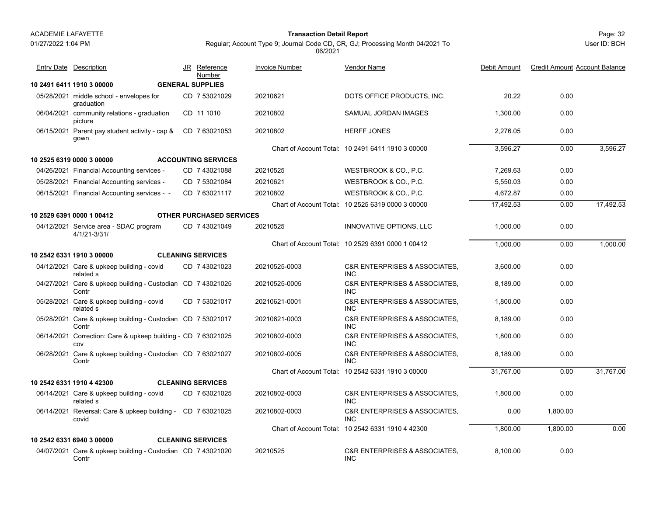01/27/2022 1:04 PM

#### Page: 32 **Transaction Detail Report**

Regular; Account Type 9; Journal Code CD, CR, GJ; Processing Month 04/2021 To 06/2021

| <b>Entry Date Description</b>                                        | JR Reference<br>Number          | <b>Invoice Number</b> | <b>Vendor Name</b>                                         | Debit Amount | <b>Credit Amount Account Balance</b> |           |
|----------------------------------------------------------------------|---------------------------------|-----------------------|------------------------------------------------------------|--------------|--------------------------------------|-----------|
| 10 2491 6411 1910 3 00000                                            | <b>GENERAL SUPPLIES</b>         |                       |                                                            |              |                                      |           |
| 05/28/2021 middle school - envelopes for<br>graduation               | CD 7 53021029                   | 20210621              | DOTS OFFICE PRODUCTS, INC.                                 | 20.22        | 0.00                                 |           |
| 06/04/2021 community relations - graduation<br>picture               | CD 11 1010                      | 20210802              | SAMUAL JORDAN IMAGES                                       | 1,300.00     | 0.00                                 |           |
| 06/15/2021 Parent pay student activity - cap &<br>gown               | CD 763021053                    | 20210802              | <b>HERFF JONES</b>                                         | 2.276.05     | 0.00                                 |           |
|                                                                      |                                 |                       | Chart of Account Total: 10 2491 6411 1910 3 00000          | 3,596.27     | 0.00                                 | 3,596.27  |
| 10 2525 6319 0000 3 00000                                            | <b>ACCOUNTING SERVICES</b>      |                       |                                                            |              |                                      |           |
| 04/26/2021 Financial Accounting services -                           | CD 7 43021088                   | 20210525              | WESTBROOK & CO., P.C.                                      | 7,269.63     | 0.00                                 |           |
| 05/28/2021 Financial Accounting services -                           | CD 7 53021084                   | 20210621              | WESTBROOK & CO., P.C.                                      | 5,550.03     | 0.00                                 |           |
| 06/15/2021 Financial Accounting services - -                         | CD 763021117                    | 20210802              | WESTBROOK & CO., P.C.                                      | 4,672.87     | 0.00                                 |           |
|                                                                      |                                 |                       | Chart of Account Total: 10 2525 6319 0000 3 00000          | 17,492.53    | 0.00                                 | 17,492.53 |
| 10 2529 6391 0000 1 00412                                            | <b>OTHER PURCHASED SERVICES</b> |                       |                                                            |              |                                      |           |
| 04/12/2021 Service area - SDAC program<br>$4/1/21 - 3/31/$           | CD 7 43021049                   | 20210525              | INNOVATIVE OPTIONS, LLC                                    | 1.000.00     | 0.00                                 |           |
|                                                                      |                                 |                       | Chart of Account Total: 10 2529 6391 0000 1 00412          | 1,000.00     | 0.00                                 | 1,000.00  |
| 10 2542 6331 1910 3 00000                                            | <b>CLEANING SERVICES</b>        |                       |                                                            |              |                                      |           |
| 04/12/2021 Care & upkeep building - covid<br>related s               | CD 743021023                    | 20210525-0003         | <b>C&amp;R ENTERPRISES &amp; ASSOCIATES,</b><br><b>INC</b> | 3,600.00     | 0.00                                 |           |
| 04/27/2021 Care & upkeep building - Custodian CD 7 43021025<br>Contr |                                 | 20210525-0005         | <b>C&amp;R ENTERPRISES &amp; ASSOCIATES.</b><br><b>INC</b> | 8,189.00     | 0.00                                 |           |
| 05/28/2021 Care & upkeep building - covid<br>related s               | CD 7 53021017                   | 20210621-0001         | <b>C&amp;R ENTERPRISES &amp; ASSOCIATES.</b><br><b>INC</b> | 1.800.00     | 0.00                                 |           |
| 05/28/2021 Care & upkeep building - Custodian CD 7 53021017<br>Contr |                                 | 20210621-0003         | <b>C&amp;R ENTERPRISES &amp; ASSOCIATES.</b><br><b>INC</b> | 8,189.00     | 0.00                                 |           |
| 06/14/2021 Correction: Care & upkeep building - CD 7 63021025<br>COV |                                 | 20210802-0003         | <b>C&amp;R ENTERPRISES &amp; ASSOCIATES.</b><br><b>INC</b> | 1.800.00     | 0.00                                 |           |
| 06/28/2021 Care & upkeep building - Custodian CD 7 63021027<br>Contr |                                 | 20210802-0005         | C&R ENTERPRISES & ASSOCIATES,<br><b>INC</b>                | 8.189.00     | 0.00                                 |           |
|                                                                      |                                 |                       | Chart of Account Total: 10 2542 6331 1910 3 00000          | 31,767.00    | 0.00                                 | 31,767.00 |
| 10 2542 6331 1910 4 42300                                            | <b>CLEANING SERVICES</b>        |                       |                                                            |              |                                      |           |
| 06/14/2021 Care & upkeep building - covid<br>related s               | CD 7 63021025                   | 20210802-0003         | C&R ENTERPRISES & ASSOCIATES,<br><b>INC</b>                | 1,800.00     | 0.00                                 |           |
| 06/14/2021 Reversal: Care & upkeep building - CD 7 63021025<br>covid |                                 | 20210802-0003         | <b>C&amp;R ENTERPRISES &amp; ASSOCIATES.</b><br><b>INC</b> | 0.00         | 1,800.00                             |           |
|                                                                      |                                 |                       | Chart of Account Total: 10 2542 6331 1910 4 42300          | 1,800.00     | 1,800.00                             | 0.00      |
| 10 2542 6331 6940 3 00000                                            | <b>CLEANING SERVICES</b>        |                       |                                                            |              |                                      |           |
| 04/07/2021 Care & upkeep building - Custodian CD 7 43021020<br>Contr |                                 | 20210525              | <b>C&amp;R ENTERPRISES &amp; ASSOCIATES.</b><br><b>INC</b> | 8.100.00     | 0.00                                 |           |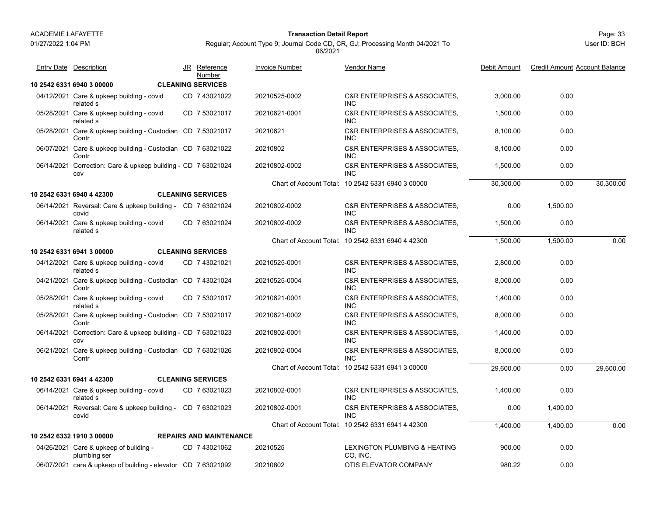01/27/2022 1:04 PM

#### Page: 33 **Transaction Detail Report**

Regular; Account Type 9; Journal Code CD, CR, GJ; Processing Month 04/2021 To 06/2021

| <b>Entry Date Description</b>                                        | JR Reference<br>Number         | <b>Invoice Number</b> | Vendor Name                                                | Debit Amount | <b>Credit Amount Account Balance</b> |           |
|----------------------------------------------------------------------|--------------------------------|-----------------------|------------------------------------------------------------|--------------|--------------------------------------|-----------|
| 10 2542 6331 6940 3 00000                                            | <b>CLEANING SERVICES</b>       |                       |                                                            |              |                                      |           |
| 04/12/2021 Care & upkeep building - covid<br>related s               | CD 7 43021022                  | 20210525-0002         | <b>C&amp;R ENTERPRISES &amp; ASSOCIATES.</b><br><b>INC</b> | 3,000.00     | 0.00                                 |           |
| 05/28/2021 Care & upkeep building - covid<br>related s               | CD 7 53021017                  | 20210621-0001         | <b>C&amp;R ENTERPRISES &amp; ASSOCIATES.</b><br><b>INC</b> | 1,500.00     | 0.00                                 |           |
| 05/28/2021 Care & upkeep building - Custodian CD 7 53021017<br>Contr |                                | 20210621              | <b>C&amp;R ENTERPRISES &amp; ASSOCIATES.</b><br><b>INC</b> | 8,100.00     | 0.00                                 |           |
| 06/07/2021 Care & upkeep building - Custodian CD 7 63021022<br>Contr |                                | 20210802              | <b>C&amp;R ENTERPRISES &amp; ASSOCIATES.</b><br><b>INC</b> | 8,100.00     | 0.00                                 |           |
| 06/14/2021 Correction: Care & upkeep building - CD 7 63021024<br>COV |                                | 20210802-0002         | <b>C&amp;R ENTERPRISES &amp; ASSOCIATES.</b><br>INC.       | 1,500.00     | 0.00                                 |           |
|                                                                      |                                |                       | Chart of Account Total: 10 2542 6331 6940 3 00000          | 30,300.00    | 0.00                                 | 30,300.00 |
| 10 2542 6331 6940 4 42300                                            | <b>CLEANING SERVICES</b>       |                       |                                                            |              |                                      |           |
| 06/14/2021 Reversal: Care & upkeep building - CD 7 63021024<br>covid |                                | 20210802-0002         | <b>C&amp;R ENTERPRISES &amp; ASSOCIATES.</b><br><b>INC</b> | 0.00         | 1,500.00                             |           |
| 06/14/2021 Care & upkeep building - covid<br>related s               | CD 7 63021024                  | 20210802-0002         | C&R ENTERPRISES & ASSOCIATES,<br><b>INC</b>                | 1,500.00     | 0.00                                 |           |
|                                                                      |                                |                       | Chart of Account Total: 10 2542 6331 6940 4 42300          | 1,500.00     | 1,500.00                             | 0.00      |
| 10 2542 6331 6941 3 00000                                            | <b>CLEANING SERVICES</b>       |                       |                                                            |              |                                      |           |
| 04/12/2021 Care & upkeep building - covid<br>related s               | CD 7 43021021                  | 20210525-0001         | <b>C&amp;R ENTERPRISES &amp; ASSOCIATES.</b><br>INC.       | 2,800.00     | 0.00                                 |           |
| 04/21/2021 Care & upkeep building - Custodian CD 7 43021024<br>Contr |                                | 20210525-0004         | <b>C&amp;R ENTERPRISES &amp; ASSOCIATES.</b><br><b>INC</b> | 8,000.00     | 0.00                                 |           |
| 05/28/2021 Care & upkeep building - covid<br>related s               | CD 7 53021017                  | 20210621-0001         | C&R ENTERPRISES & ASSOCIATES,<br><b>INC</b>                | 1,400.00     | 0.00                                 |           |
| 05/28/2021 Care & upkeep building - Custodian CD 7 53021017<br>Contr |                                | 20210621-0002         | <b>C&amp;R ENTERPRISES &amp; ASSOCIATES.</b><br><b>INC</b> | 8.000.00     | 0.00                                 |           |
| 06/14/2021 Correction: Care & upkeep building - CD 7 63021023<br>COV |                                | 20210802-0001         | C&R ENTERPRISES & ASSOCIATES,<br><b>INC</b>                | 1,400.00     | 0.00                                 |           |
| 06/21/2021 Care & upkeep building - Custodian CD 7 63021026<br>Contr |                                | 20210802-0004         | C&R ENTERPRISES & ASSOCIATES,<br><b>INC</b>                | 8,000.00     | 0.00                                 |           |
|                                                                      |                                |                       | Chart of Account Total: 10 2542 6331 6941 3 00000          | 29,600.00    | 0.00                                 | 29.600.00 |
| 10 2542 6331 6941 4 42300                                            | <b>CLEANING SERVICES</b>       |                       |                                                            |              |                                      |           |
| 06/14/2021 Care & upkeep building - covid<br>related s               | CD 763021023                   | 20210802-0001         | C&R ENTERPRISES & ASSOCIATES,<br><b>INC</b>                | 1,400.00     | 0.00                                 |           |
| 06/14/2021 Reversal: Care & upkeep building - CD 7 63021023<br>covid |                                | 20210802-0001         | <b>C&amp;R ENTERPRISES &amp; ASSOCIATES.</b><br><b>INC</b> | 0.00         | 1,400.00                             |           |
|                                                                      |                                |                       | Chart of Account Total: 10 2542 6331 6941 4 42300          | 1.400.00     | 1.400.00                             | 0.00      |
| 10 2542 6332 1910 3 00000                                            | <b>REPAIRS AND MAINTENANCE</b> |                       |                                                            |              |                                      |           |
| 04/26/2021 Care & upkeep of building -<br>plumbing ser               | CD 743021062                   | 20210525              | <b>LEXINGTON PLUMBING &amp; HEATING</b><br>CO, INC.        | 900.00       | 0.00                                 |           |
| 06/07/2021 care & upkeep of building - elevator CD 7 63021092        |                                | 20210802              | OTIS ELEVATOR COMPANY                                      | 980.22       | 0.00                                 |           |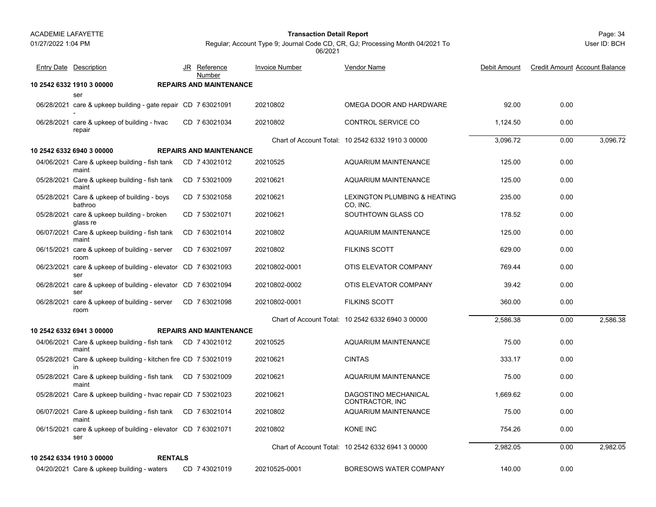#### Page: 34 **Transaction Detail Report**

Regular; Account Type 9; Journal Code CD, CR, GJ; Processing Month 04/2021 To 06/2021

| <b>Entry Date Description</b>                                        | JR Reference<br>Number         | <b>Invoice Number</b> | Vendor Name                                       | Debit Amount | <b>Credit Amount Account Balance</b> |          |
|----------------------------------------------------------------------|--------------------------------|-----------------------|---------------------------------------------------|--------------|--------------------------------------|----------|
| 10 2542 6332 1910 3 00000                                            | <b>REPAIRS AND MAINTENANCE</b> |                       |                                                   |              |                                      |          |
| ser                                                                  |                                |                       |                                                   |              |                                      |          |
| 06/28/2021 care & upkeep building - gate repair CD 7 63021091        |                                | 20210802              | OMEGA DOOR AND HARDWARE                           | 92.00        | 0.00                                 |          |
| 06/28/2021 care & upkeep of building - hvac<br>repair                | CD 763021034                   | 20210802              | CONTROL SERVICE CO                                | 1,124.50     | 0.00                                 |          |
|                                                                      |                                |                       | Chart of Account Total: 10 2542 6332 1910 3 00000 | 3.096.72     | 0.00                                 | 3.096.72 |
| 10 2542 6332 6940 3 00000                                            | <b>REPAIRS AND MAINTENANCE</b> |                       |                                                   |              |                                      |          |
| 04/06/2021 Care & upkeep building - fish tank<br>maint               | CD 7 43021012                  | 20210525              | <b>AQUARIUM MAINTENANCE</b>                       | 125.00       | 0.00                                 |          |
| 05/28/2021 Care & upkeep building - fish tank<br>maint               | CD 7 53021009                  | 20210621              | <b>AQUARIUM MAINTENANCE</b>                       | 125.00       | 0.00                                 |          |
| 05/28/2021 Care & upkeep of building - boys<br>bathroo               | CD 7 53021058                  | 20210621              | LEXINGTON PLUMBING & HEATING<br>CO, INC.          | 235.00       | 0.00                                 |          |
| 05/28/2021 care & upkeep building - broken<br>glass re               | CD 7 53021071                  | 20210621              | SOUTHTOWN GLASS CO                                | 178.52       | 0.00                                 |          |
| 06/07/2021 Care & upkeep building - fish tank<br>maint               | CD 763021014                   | 20210802              | AQUARIUM MAINTENANCE                              | 125.00       | 0.00                                 |          |
| 06/15/2021 care & upkeep of building - server<br>room                | CD 763021097                   | 20210802              | <b>FILKINS SCOTT</b>                              | 629.00       | 0.00                                 |          |
| 06/23/2021 care & upkeep of building - elevator CD 7 63021093<br>ser |                                | 20210802-0001         | OTIS ELEVATOR COMPANY                             | 769.44       | 0.00                                 |          |
| 06/28/2021 care & upkeep of building - elevator CD 7 63021094<br>ser |                                | 20210802-0002         | OTIS ELEVATOR COMPANY                             | 39.42        | 0.00                                 |          |
| 06/28/2021 care & upkeep of building - server<br>room                | CD 763021098                   | 20210802-0001         | <b>FILKINS SCOTT</b>                              | 360.00       | 0.00                                 |          |
|                                                                      |                                |                       | Chart of Account Total: 10 2542 6332 6940 3 00000 | 2,586.38     | 0.00                                 | 2,586.38 |
| 10 2542 6332 6941 3 00000                                            | <b>REPAIRS AND MAINTENANCE</b> |                       |                                                   |              |                                      |          |
| 04/06/2021 Care & upkeep building - fish tank CD 7 43021012<br>maint |                                | 20210525              | <b>AQUARIUM MAINTENANCE</b>                       | 75.00        | 0.00                                 |          |
| 05/28/2021 Care & upkeep building - kitchen fire CD 7 53021019<br>in |                                | 20210621              | <b>CINTAS</b>                                     | 333.17       | 0.00                                 |          |
| 05/28/2021 Care & upkeep building - fish tank CD 7 53021009<br>maint |                                | 20210621              | <b>AQUARIUM MAINTENANCE</b>                       | 75.00        | 0.00                                 |          |
| 05/28/2021 Care & upkeep building - hvac repair CD 7 53021023        |                                | 20210621              | DAGOSTINO MECHANICAL<br>CONTRACTOR, INC           | 1,669.62     | 0.00                                 |          |
| 06/07/2021 Care & upkeep building - fish tank CD 7 63021014<br>maint |                                | 20210802              | <b>AQUARIUM MAINTENANCE</b>                       | 75.00        | 0.00                                 |          |
| 06/15/2021 care & upkeep of building - elevator CD 7 63021071<br>ser |                                | 20210802              | <b>KONE INC</b>                                   | 754.26       | 0.00                                 |          |
|                                                                      |                                |                       | Chart of Account Total: 10 2542 6332 6941 3 00000 | 2,982.05     | 0.00                                 | 2,982.05 |
| 10 2542 6334 1910 3 00000<br><b>RENTALS</b>                          |                                |                       |                                                   |              |                                      |          |
| 04/20/2021 Care & upkeep building - waters                           | CD 7 43021019                  | 20210525-0001         | BORESOWS WATER COMPANY                            | 140.00       | 0.00                                 |          |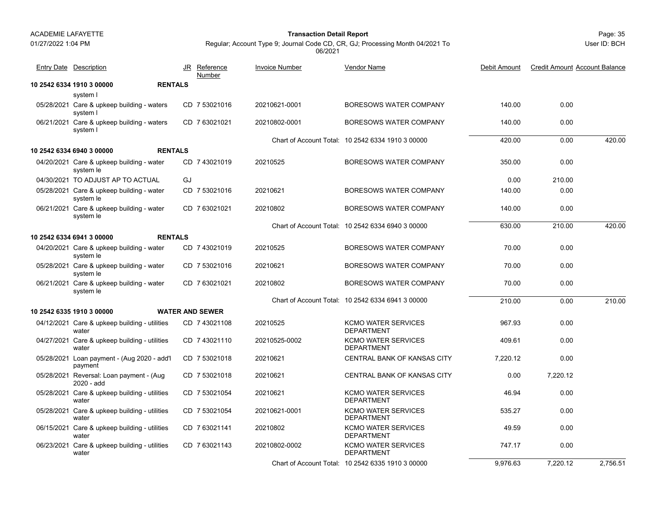01/27/2022 1:04 PM

#### Page: 35 **Transaction Detail Report**

Regular; Account Type 9; Journal Code CD, CR, GJ; Processing Month 04/2021 To 06/2021

| Entry Date Description                                 |    | JR Reference<br>Number | <b>Invoice Number</b> | Vendor Name                                       | Debit Amount | <b>Credit Amount Account Balance</b> |          |
|--------------------------------------------------------|----|------------------------|-----------------------|---------------------------------------------------|--------------|--------------------------------------|----------|
| <b>RENTALS</b><br>10 2542 6334 1910 3 00000            |    |                        |                       |                                                   |              |                                      |          |
| system I                                               |    |                        |                       |                                                   |              |                                      |          |
| 05/28/2021 Care & upkeep building - waters<br>system I |    | CD 7 53021016          | 20210621-0001         | BORESOWS WATER COMPANY                            | 140.00       | 0.00                                 |          |
| 06/21/2021 Care & upkeep building - waters<br>system I |    | CD 763021021           | 20210802-0001         | BORESOWS WATER COMPANY                            | 140.00       | 0.00                                 |          |
|                                                        |    |                        |                       | Chart of Account Total: 10 2542 6334 1910 3 00000 | 420.00       | 0.00                                 | 420.00   |
| <b>RENTALS</b><br>10 2542 6334 6940 3 00000            |    |                        |                       |                                                   |              |                                      |          |
| 04/20/2021 Care & upkeep building - water<br>system le |    | CD 7 43021019          | 20210525              | <b>BORESOWS WATER COMPANY</b>                     | 350.00       | 0.00                                 |          |
| 04/30/2021 TO ADJUST AP TO ACTUAL                      | GJ |                        |                       |                                                   | 0.00         | 210.00                               |          |
| 05/28/2021 Care & upkeep building - water<br>system le |    | CD 7 53021016          | 20210621              | BORESOWS WATER COMPANY                            | 140.00       | 0.00                                 |          |
| 06/21/2021 Care & upkeep building - water<br>system le |    | CD 763021021           | 20210802              | BORESOWS WATER COMPANY                            | 140.00       | 0.00                                 |          |
|                                                        |    |                        |                       | Chart of Account Total: 10 2542 6334 6940 3 00000 | 630.00       | 210.00                               | 420.00   |
| <b>RENTALS</b><br>10 2542 6334 6941 3 00000            |    |                        |                       |                                                   |              |                                      |          |
| 04/20/2021 Care & upkeep building - water<br>system le |    | CD 743021019           | 20210525              | BORESOWS WATER COMPANY                            | 70.00        | 0.00                                 |          |
| 05/28/2021 Care & upkeep building - water<br>system le |    | CD 7 53021016          | 20210621              | BORESOWS WATER COMPANY                            | 70.00        | 0.00                                 |          |
| 06/21/2021 Care & upkeep building - water<br>system le |    | CD 763021021           | 20210802              | BORESOWS WATER COMPANY                            | 70.00        | 0.00                                 |          |
|                                                        |    |                        |                       | Chart of Account Total: 10 2542 6334 6941 3 00000 | 210.00       | 0.00                                 | 210.00   |
| 10 2542 6335 1910 3 00000                              |    | <b>WATER AND SEWER</b> |                       |                                                   |              |                                      |          |
| 04/12/2021 Care & upkeep building - utilities<br>water |    | CD 7 43021108          | 20210525              | <b>KCMO WATER SERVICES</b><br><b>DEPARTMENT</b>   | 967.93       | 0.00                                 |          |
| 04/27/2021 Care & upkeep building - utilities<br>water |    | CD 743021110           | 20210525-0002         | <b>KCMO WATER SERVICES</b><br><b>DEPARTMENT</b>   | 409.61       | 0.00                                 |          |
| 05/28/2021 Loan payment - (Aug 2020 - add'l<br>payment |    | CD 7 53021018          | 20210621              | CENTRAL BANK OF KANSAS CITY                       | 7,220.12     | 0.00                                 |          |
| 05/28/2021 Reversal: Loan payment - (Aug<br>2020 - add |    | CD 7 53021018          | 20210621              | <b>CENTRAL BANK OF KANSAS CITY</b>                | 0.00         | 7.220.12                             |          |
| 05/28/2021 Care & upkeep building - utilities<br>water |    | CD 7 53021054          | 20210621              | <b>KCMO WATER SERVICES</b><br><b>DEPARTMENT</b>   | 46.94        | 0.00                                 |          |
| 05/28/2021 Care & upkeep building - utilities<br>water |    | CD 7 53021054          | 20210621-0001         | <b>KCMO WATER SERVICES</b><br><b>DEPARTMENT</b>   | 535.27       | 0.00                                 |          |
| 06/15/2021 Care & upkeep building - utilities<br>water |    | CD 763021141           | 20210802              | <b>KCMO WATER SERVICES</b><br><b>DEPARTMENT</b>   | 49.59        | 0.00                                 |          |
| 06/23/2021 Care & upkeep building - utilities<br>water |    | CD 763021143           | 20210802-0002         | <b>KCMO WATER SERVICES</b><br><b>DEPARTMENT</b>   | 747.17       | 0.00                                 |          |
|                                                        |    |                        |                       | Chart of Account Total: 10 2542 6335 1910 3 00000 | 9,976.63     | 7.220.12                             | 2,756.51 |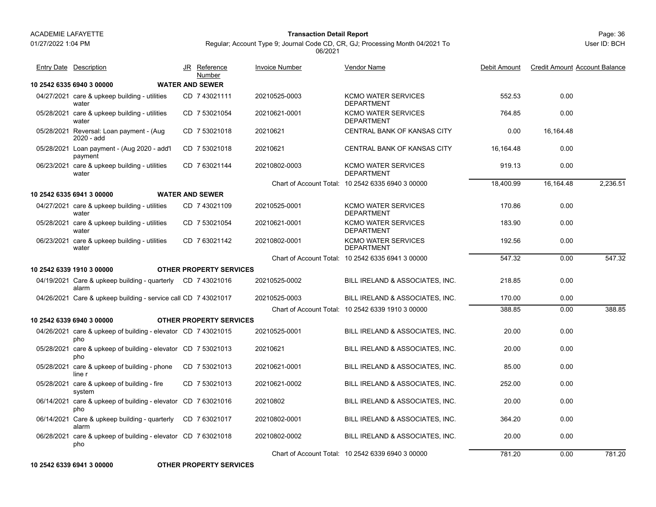01/27/2022 1:04 PM

#### Page: 36 **Transaction Detail Report**

Regular; Account Type 9; Journal Code CD, CR, GJ; Processing Month 04/2021 To 06/2021

User ID: BCH

| <b>Entry Date</b> Description                                        | JR Reference                     | <b>Invoice Number</b> | Vendor Name                                       | Debit Amount | <b>Credit Amount Account Balance</b> |          |
|----------------------------------------------------------------------|----------------------------------|-----------------------|---------------------------------------------------|--------------|--------------------------------------|----------|
| 10 2542 6335 6940 3 00000                                            | Number<br><b>WATER AND SEWER</b> |                       |                                                   |              |                                      |          |
| 04/27/2021 care & upkeep building - utilities                        | CD 7 43021111                    | 20210525-0003         | <b>KCMO WATER SERVICES</b>                        | 552.53       | 0.00                                 |          |
| water                                                                |                                  |                       | <b>DEPARTMENT</b>                                 |              |                                      |          |
| 05/28/2021 care & upkeep building - utilities<br>water               | CD 7 53021054                    | 20210621-0001         | <b>KCMO WATER SERVICES</b><br><b>DEPARTMENT</b>   | 764.85       | 0.00                                 |          |
| 05/28/2021 Reversal: Loan payment - (Aug.<br>2020 - add              | CD 7 53021018                    | 20210621              | CENTRAL BANK OF KANSAS CITY                       | 0.00         | 16,164.48                            |          |
| 05/28/2021 Loan payment - (Aug 2020 - add'l<br>payment               | CD 7 53021018                    | 20210621              | CENTRAL BANK OF KANSAS CITY                       | 16.164.48    | 0.00                                 |          |
| 06/23/2021 care & upkeep building - utilities<br>water               | CD 763021144                     | 20210802-0003         | <b>KCMO WATER SERVICES</b><br><b>DEPARTMENT</b>   | 919.13       | 0.00                                 |          |
|                                                                      |                                  |                       | Chart of Account Total: 10 2542 6335 6940 3 00000 | 18.400.99    | 16,164.48                            | 2.236.51 |
| 10 2542 6335 6941 3 00000                                            | <b>WATER AND SEWER</b>           |                       |                                                   |              |                                      |          |
| 04/27/2021 care & upkeep building - utilities<br>water               | CD 7 43021109                    | 20210525-0001         | <b>KCMO WATER SERVICES</b><br><b>DEPARTMENT</b>   | 170.86       | 0.00                                 |          |
| 05/28/2021 care & upkeep building - utilities<br>water               | CD 7 53021054                    | 20210621-0001         | <b>KCMO WATER SERVICES</b><br><b>DEPARTMENT</b>   | 183.90       | 0.00                                 |          |
| 06/23/2021 care & upkeep building - utilities<br>water               | CD 763021142                     | 20210802-0001         | <b>KCMO WATER SERVICES</b><br><b>DEPARTMENT</b>   | 192.56       | 0.00                                 |          |
|                                                                      |                                  |                       | Chart of Account Total: 10 2542 6335 6941 3 00000 | 547.32       | 0.00                                 | 547.32   |
| 10 2542 6339 1910 3 00000                                            | <b>OTHER PROPERTY SERVICES</b>   |                       |                                                   |              |                                      |          |
| 04/19/2021 Care & upkeep building - quarterly CD 7 43021016<br>alarm |                                  | 20210525-0002         | BILL IRELAND & ASSOCIATES, INC.                   | 218.85       | 0.00                                 |          |
| 04/26/2021 Care & upkeep building - service call CD 7 43021017       |                                  | 20210525-0003         | BILL IRELAND & ASSOCIATES, INC.                   | 170.00       | 0.00                                 |          |
|                                                                      |                                  |                       | Chart of Account Total: 10 2542 6339 1910 3 00000 | 388.85       | 0.00                                 | 388.85   |
| 10 2542 6339 6940 3 00000                                            | <b>OTHER PROPERTY SERVICES</b>   |                       |                                                   |              |                                      |          |
| 04/26/2021 care & upkeep of building - elevator CD 7 43021015<br>pho |                                  | 20210525-0001         | BILL IRELAND & ASSOCIATES, INC.                   | 20.00        | 0.00                                 |          |
| 05/28/2021 care & upkeep of building - elevator CD 7 53021013<br>pho |                                  | 20210621              | BILL IRELAND & ASSOCIATES, INC.                   | 20.00        | 0.00                                 |          |
| 05/28/2021 care & upkeep of building - phone<br>line r               | CD 7 53021013                    | 20210621-0001         | BILL IRELAND & ASSOCIATES, INC.                   | 85.00        | 0.00                                 |          |
| 05/28/2021 care & upkeep of building - fire<br>system                | CD 7 53021013                    | 20210621-0002         | BILL IRELAND & ASSOCIATES, INC.                   | 252.00       | 0.00                                 |          |
| 06/14/2021 care & upkeep of building - elevator CD 7 63021016<br>pho |                                  | 20210802              | BILL IRELAND & ASSOCIATES, INC.                   | 20.00        | 0.00                                 |          |
| 06/14/2021 Care & upkeep building - quarterly<br>alarm               | CD 763021017                     | 20210802-0001         | BILL IRELAND & ASSOCIATES, INC.                   | 364.20       | 0.00                                 |          |
| 06/28/2021 care & upkeep of building - elevator CD 7 63021018<br>pho |                                  | 20210802-0002         | BILL IRELAND & ASSOCIATES, INC.                   | 20.00        | 0.00                                 |          |
|                                                                      |                                  |                       | Chart of Account Total: 10 2542 6339 6940 3 00000 | 781.20       | 0.00                                 | 781.20   |

**10 2542 6339 6941 3 00000 OTHER PROPERTY SERVICES**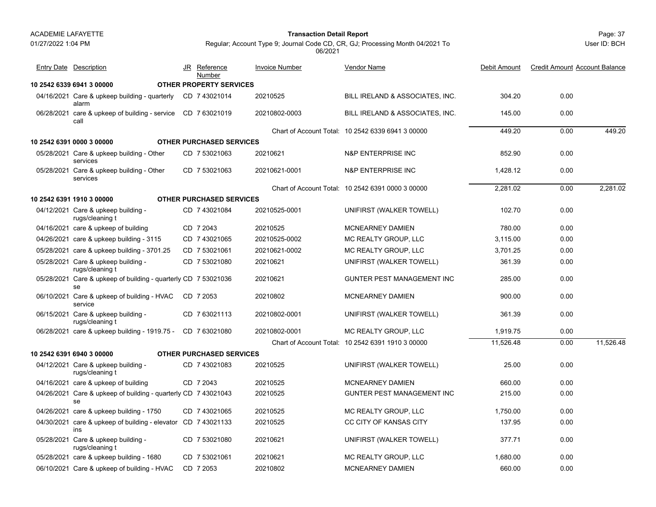01/27/2022 1:04 PM

#### Page: 37 **Transaction Detail Report**

Regular; Account Type 9; Journal Code CD, CR, GJ; Processing Month 04/2021 To 06/2021

| <b>Entry Date</b> Description                                        |     | JR Reference<br>Number          | Invoice Number | <b>Vendor Name</b>                                | Debit Amount | <b>Credit Amount Account Balance</b> |           |
|----------------------------------------------------------------------|-----|---------------------------------|----------------|---------------------------------------------------|--------------|--------------------------------------|-----------|
| 10 2542 6339 6941 3 00000                                            |     | <b>OTHER PROPERTY SERVICES</b>  |                |                                                   |              |                                      |           |
| 04/16/2021 Care & upkeep building - quarterly<br>alarm               |     | CD 7 43021014                   | 20210525       | BILL IRELAND & ASSOCIATES, INC.                   | 304.20       | 0.00                                 |           |
| 06/28/2021 care & upkeep of building - service<br>call               |     | CD 763021019                    | 20210802-0003  | BILL IRELAND & ASSOCIATES, INC.                   | 145.00       | 0.00                                 |           |
|                                                                      |     |                                 |                | Chart of Account Total: 10 2542 6339 6941 3 00000 | 449.20       | 0.00                                 | 449.20    |
| 10 2542 6391 0000 3 00000                                            |     | <b>OTHER PURCHASED SERVICES</b> |                |                                                   |              |                                      |           |
| 05/28/2021 Care & upkeep building - Other<br>services                |     | CD 7 53021063                   | 20210621       | <b>N&amp;P ENTERPRISE INC</b>                     | 852.90       | 0.00                                 |           |
| 05/28/2021 Care & upkeep building - Other<br>services                |     | CD 7 53021063                   | 20210621-0001  | N&P ENTERPRISE INC                                | 1.428.12     | 0.00                                 |           |
|                                                                      |     |                                 |                | Chart of Account Total: 10 2542 6391 0000 3 00000 | 2,281.02     | 0.00                                 | 2,281.02  |
| 10 2542 6391 1910 3 00000                                            |     | <b>OTHER PURCHASED SERVICES</b> |                |                                                   |              |                                      |           |
| 04/12/2021 Care & upkeep building -<br>rugs/cleaning t               |     | CD 7 43021084                   | 20210525-0001  | UNIFIRST (WALKER TOWELL)                          | 102.70       | 0.00                                 |           |
| 04/16/2021 care & upkeep of building                                 |     | CD 7 2043                       | 20210525       | <b>MCNEARNEY DAMIEN</b>                           | 780.00       | 0.00                                 |           |
| 04/26/2021 care & upkeep building - 3115                             |     | CD 7 43021065                   | 20210525-0002  | MC REALTY GROUP, LLC                              | 3.115.00     | 0.00                                 |           |
| 05/28/2021 care & upkeep building - 3701.25                          |     | CD 7 53021061                   | 20210621-0002  | MC REALTY GROUP, LLC                              | 3,701.25     | 0.00                                 |           |
| 05/28/2021 Care & upkeep building -<br>rugs/cleaning t               |     | CD 7 53021080                   | 20210621       | UNIFIRST (WALKER TOWELL)                          | 361.39       | 0.00                                 |           |
| 05/28/2021 Care & upkeep of building - quarterly CD 7 53021036<br>se |     |                                 | 20210621       | GUNTER PEST MANAGEMENT INC                        | 285.00       | 0.00                                 |           |
| 06/10/2021 Care & upkeep of building - HVAC<br>service               |     | CD 7 2053                       | 20210802       | MCNEARNEY DAMIEN                                  | 900.00       | 0.00                                 |           |
| 06/15/2021 Care & upkeep building -<br>rugs/cleaning t               |     | CD 7 63021113                   | 20210802-0001  | UNIFIRST (WALKER TOWELL)                          | 361.39       | 0.00                                 |           |
| 06/28/2021 care & upkeep building - 1919.75 -                        |     | CD 763021080                    | 20210802-0001  | MC REALTY GROUP, LLC                              | 1.919.75     | 0.00                                 |           |
|                                                                      |     |                                 |                | Chart of Account Total: 10 2542 6391 1910 3 00000 | 11,526.48    | 0.00                                 | 11.526.48 |
| 10 2542 6391 6940 3 00000                                            |     | <b>OTHER PURCHASED SERVICES</b> |                |                                                   |              |                                      |           |
| 04/12/2021 Care & upkeep building -<br>rugs/cleaning t               |     | CD 7 43021083                   | 20210525       | UNIFIRST (WALKER TOWELL)                          | 25.00        | 0.00                                 |           |
| 04/16/2021 care & upkeep of building                                 |     | CD 7 2043                       | 20210525       | <b>MCNEARNEY DAMIEN</b>                           | 660.00       | 0.00                                 |           |
| 04/26/2021 Care & upkeep of building - quarterly CD 7 43021043<br>se |     |                                 | 20210525       | <b>GUNTER PEST MANAGEMENT INC</b>                 | 215.00       | 0.00                                 |           |
| 04/26/2021 care & upkeep building - 1750                             |     | CD 7 43021065                   | 20210525       | MC REALTY GROUP, LLC                              | 1,750.00     | 0.00                                 |           |
| 04/30/2021 care & upkeep of building - elevator CD 7 43021133<br>ins |     |                                 | 20210525       | CC CITY OF KANSAS CITY                            | 137.95       | 0.00                                 |           |
| 05/28/2021 Care & upkeep building -<br>rugs/cleaning t               |     | CD 7 53021080                   | 20210621       | UNIFIRST (WALKER TOWELL)                          | 377.71       | 0.00                                 |           |
| 05/28/2021 care & upkeep building - 1680                             | CD. | 7 53021061                      | 20210621       | MC REALTY GROUP, LLC                              | 1.680.00     | 0.00                                 |           |
| 06/10/2021 Care & upkeep of building - HVAC                          |     | CD 7 2053                       | 20210802       | <b>MCNEARNEY DAMIEN</b>                           | 660.00       | 0.00                                 |           |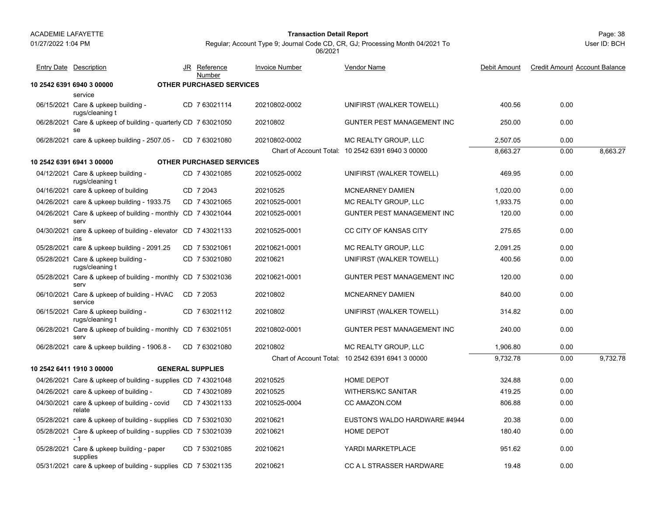01/27/2022 1:04 PM

#### Page: 38 **Transaction Detail Report**

User ID: BCH

| <b>Entry Date Description</b>                                        | JR Reference<br>Number   | <b>Invoice Number</b> | <b>Vendor Name</b>                                | Debit Amount | <b>Credit Amount Account Balance</b> |          |
|----------------------------------------------------------------------|--------------------------|-----------------------|---------------------------------------------------|--------------|--------------------------------------|----------|
| 10 2542 6391 6940 3 00000                                            | OTHER PURCHASED SERVICES |                       |                                                   |              |                                      |          |
| service                                                              |                          |                       |                                                   |              |                                      |          |
| 06/15/2021 Care & upkeep building -<br>rugs/cleaning t               | CD 7 63021114            | 20210802-0002         | UNIFIRST (WALKER TOWELL)                          | 400.56       | 0.00                                 |          |
| 06/28/2021 Care & upkeep of building - quarterly CD 7 63021050<br>se |                          | 20210802              | GUNTER PEST MANAGEMENT INC                        | 250.00       | 0.00                                 |          |
| 06/28/2021 care & upkeep building - 2507.05 - CD 7 63021080          |                          | 20210802-0002         | MC REALTY GROUP, LLC                              | 2,507.05     | 0.00                                 |          |
|                                                                      |                          |                       | Chart of Account Total: 10 2542 6391 6940 3 00000 | 8,663.27     | 0.00                                 | 8,663.27 |
| 10 2542 6391 6941 3 00000                                            | OTHER PURCHASED SERVICES |                       |                                                   |              |                                      |          |
| 04/12/2021 Care & upkeep building -<br>rugs/cleaning t               | CD 743021085             | 20210525-0002         | UNIFIRST (WALKER TOWELL)                          | 469.95       | 0.00                                 |          |
| 04/16/2021 care & upkeep of building                                 | CD 7 2043                | 20210525              | <b>MCNEARNEY DAMIEN</b>                           | 1,020.00     | 0.00                                 |          |
| 04/26/2021 care & upkeep building - 1933.75                          | CD 7 43021065            | 20210525-0001         | MC REALTY GROUP, LLC                              | 1,933.75     | 0.00                                 |          |
| 04/26/2021 Care & upkeep of building - monthly CD 7 43021044<br>serv |                          | 20210525-0001         | <b>GUNTER PEST MANAGEMENT INC</b>                 | 120.00       | 0.00                                 |          |
| 04/30/2021 care & upkeep of building - elevator CD 7 43021133<br>ins |                          | 20210525-0001         | CC CITY OF KANSAS CITY                            | 275.65       | 0.00                                 |          |
| 05/28/2021 care & upkeep building - 2091.25                          | CD 7 53021061            | 20210621-0001         | MC REALTY GROUP, LLC                              | 2,091.25     | 0.00                                 |          |
| 05/28/2021 Care & upkeep building -<br>rugs/cleaning t               | CD 7 53021080            | 20210621              | UNIFIRST (WALKER TOWELL)                          | 400.56       | 0.00                                 |          |
| 05/28/2021 Care & upkeep of building - monthly CD 7 53021036<br>serv |                          | 20210621-0001         | GUNTER PEST MANAGEMENT INC                        | 120.00       | 0.00                                 |          |
| 06/10/2021 Care & upkeep of building - HVAC<br>service               | CD 7 2053                | 20210802              | MCNEARNEY DAMIEN                                  | 840.00       | 0.00                                 |          |
| 06/15/2021 Care & upkeep building -<br>rugs/cleaning t               | CD 763021112             | 20210802              | UNIFIRST (WALKER TOWELL)                          | 314.82       | 0.00                                 |          |
| 06/28/2021 Care & upkeep of building - monthly CD 7 63021051<br>serv |                          | 20210802-0001         | GUNTER PEST MANAGEMENT INC                        | 240.00       | 0.00                                 |          |
| 06/28/2021 care & upkeep building - 1906.8 -                         | CD 763021080             | 20210802              | MC REALTY GROUP, LLC                              | 1,906.80     | 0.00                                 |          |
|                                                                      |                          |                       | Chart of Account Total: 10 2542 6391 6941 3 00000 | 9,732.78     | 0.00                                 | 9,732.78 |
| 10 2542 6411 1910 3 00000                                            | <b>GENERAL SUPPLIES</b>  |                       |                                                   |              |                                      |          |
| 04/26/2021 Care & upkeep of building - supplies CD 7 43021048        |                          | 20210525              | <b>HOME DEPOT</b>                                 | 324.88       | 0.00                                 |          |
| 04/26/2021 care & upkeep of building -                               | CD 7 43021089            | 20210525              | <b>WITHERS/KC SANITAR</b>                         | 419.25       | 0.00                                 |          |
| 04/30/2021 care & upkeep of building - covid<br>relate               | CD 7 43021133            | 20210525-0004         | CC AMAZON.COM                                     | 806.88       | 0.00                                 |          |
| 05/28/2021 care & upkeep of building - supplies CD 7 53021030        |                          | 20210621              | EUSTON'S WALDO HARDWARE #4944                     | 20.38        | 0.00                                 |          |
| 05/28/2021 Care & upkeep of building - supplies CD 7 53021039<br>- 1 |                          | 20210621              | HOME DEPOT                                        | 180.40       | 0.00                                 |          |
| 05/28/2021 Care & upkeep building - paper<br>supplies                | CD 7 53021085            | 20210621              | YARDI MARKETPLACE                                 | 951.62       | 0.00                                 |          |
| 05/31/2021 care & upkeep of building - supplies CD 7 53021135        |                          | 20210621              | <b>CC A L STRASSER HARDWARE</b>                   | 19.48        | 0.00                                 |          |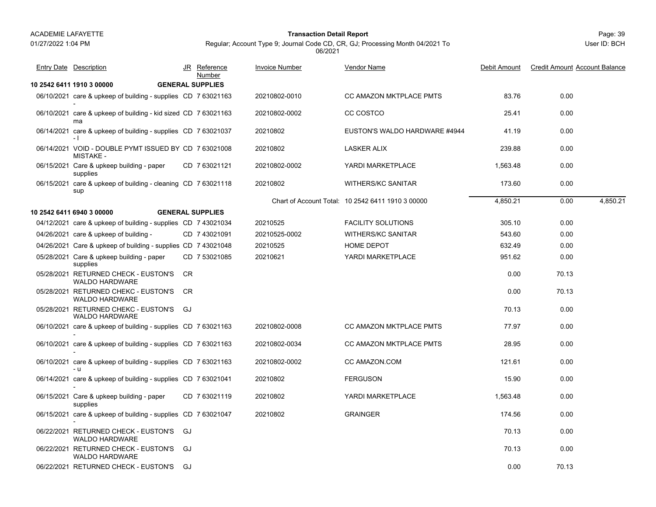#### Page: 39 **Transaction Detail Report**

Regular; Account Type 9; Journal Code CD, CR, GJ; Processing Month 04/2021 To 06/2021

| <b>Entry Date Description</b>                                             |           | JR Reference<br>Number  | <b>Invoice Number</b> | <b>Vendor Name</b>                                | Debit Amount | <b>Credit Amount Account Balance</b> |          |
|---------------------------------------------------------------------------|-----------|-------------------------|-----------------------|---------------------------------------------------|--------------|--------------------------------------|----------|
| 10 2542 6411 1910 3 00000                                                 |           | <b>GENERAL SUPPLIES</b> |                       |                                                   |              |                                      |          |
| 06/10/2021 care & upkeep of building - supplies CD 7 63021163             |           |                         | 20210802-0010         | CC AMAZON MKTPLACE PMTS                           | 83.76        | 0.00                                 |          |
| 06/10/2021 care & upkeep of building - kid sized CD 7 63021163<br>ma      |           |                         | 20210802-0002         | CC COSTCO                                         | 25.41        | 0.00                                 |          |
| 06/14/2021 care & upkeep of building - supplies CD 7 63021037<br>$-1$     |           |                         | 20210802              | EUSTON'S WALDO HARDWARE #4944                     | 41.19        | 0.00                                 |          |
| 06/14/2021 VOID - DOUBLE PYMT ISSUED BY CD 7 63021008<br><b>MISTAKE -</b> |           |                         | 20210802              | <b>LASKER ALIX</b>                                | 239.88       | 0.00                                 |          |
| 06/15/2021 Care & upkeep building - paper<br>supplies                     |           | CD 763021121            | 20210802-0002         | YARDI MARKETPLACE                                 | 1.563.48     | 0.00                                 |          |
| 06/15/2021 care & upkeep of building - cleaning CD 7 63021118<br>sup      |           |                         | 20210802              | <b>WITHERS/KC SANITAR</b>                         | 173.60       | 0.00                                 |          |
|                                                                           |           |                         |                       | Chart of Account Total: 10 2542 6411 1910 3 00000 | 4,850.21     | 0.00                                 | 4.850.21 |
| 10 2542 6411 6940 3 00000                                                 |           | <b>GENERAL SUPPLIES</b> |                       |                                                   |              |                                      |          |
| 04/12/2021 care & upkeep of building - supplies CD 743021034              |           |                         | 20210525              | <b>FACILITY SOLUTIONS</b>                         | 305.10       | 0.00                                 |          |
| 04/26/2021 care & upkeep of building -                                    |           | CD 7 43021091           | 20210525-0002         | <b>WITHERS/KC SANITAR</b>                         | 543.60       | 0.00                                 |          |
| 04/26/2021 Care & upkeep of building - supplies CD 7 43021048             |           |                         | 20210525              | HOME DEPOT                                        | 632.49       | 0.00                                 |          |
| 05/28/2021 Care & upkeep building - paper<br>supplies                     |           | CD 7 53021085           | 20210621              | YARDI MARKETPLACE                                 | 951.62       | 0.00                                 |          |
| 05/28/2021 RETURNED CHECK - EUSTON'S<br><b>WALDO HARDWARE</b>             | CR.       |                         |                       |                                                   | 0.00         | 70.13                                |          |
| 05/28/2021 RETURNED CHEKC - EUSTON'S<br><b>WALDO HARDWARE</b>             | <b>CR</b> |                         |                       |                                                   | 0.00         | 70.13                                |          |
| 05/28/2021 RETURNED CHEKC - EUSTON'S GJ<br><b>WALDO HARDWARE</b>          |           |                         |                       |                                                   | 70.13        | 0.00                                 |          |
| 06/10/2021 care & upkeep of building - supplies CD 7 63021163             |           |                         | 20210802-0008         | <b>CC AMAZON MKTPLACE PMTS</b>                    | 77.97        | 0.00                                 |          |
| 06/10/2021 care & upkeep of building - supplies CD 7 63021163             |           |                         | 20210802-0034         | <b>CC AMAZON MKTPLACE PMTS</b>                    | 28.95        | 0.00                                 |          |
| 06/10/2021 care & upkeep of building - supplies CD 7 63021163<br>- u      |           |                         | 20210802-0002         | CC AMAZON.COM                                     | 121.61       | 0.00                                 |          |
| 06/14/2021 care & upkeep of building - supplies CD 7 63021041             |           |                         | 20210802              | <b>FERGUSON</b>                                   | 15.90        | 0.00                                 |          |
| 06/15/2021 Care & upkeep building - paper<br>supplies                     |           | CD 763021119            | 20210802              | YARDI MARKETPLACE                                 | 1,563.48     | 0.00                                 |          |
| 06/15/2021 care & upkeep of building - supplies CD 7 63021047             |           |                         | 20210802              | <b>GRAINGER</b>                                   | 174.56       | 0.00                                 |          |
| 06/22/2021 RETURNED CHECK - EUSTON'S<br><b>WALDO HARDWARE</b>             | GJ        |                         |                       |                                                   | 70.13        | 0.00                                 |          |
| 06/22/2021 RETURNED CHECK - EUSTON'S<br><b>WALDO HARDWARE</b>             | GJ        |                         |                       |                                                   | 70.13        | 0.00                                 |          |
| 06/22/2021 RETURNED CHECK - EUSTON'S                                      | GJ        |                         |                       |                                                   | 0.00         | 70.13                                |          |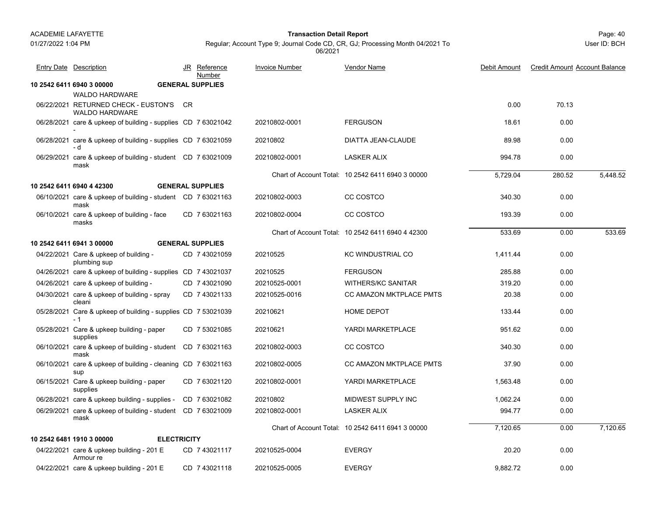01/27/2022 1:04 PM

#### Page: 40 **Transaction Detail Report**

Regular; Account Type 9; Journal Code CD, CR, GJ; Processing Month 04/2021 To 06/2021

| <b>Entry Date Description</b>                                         |     | JR Reference<br>Number  | <b>Invoice Number</b> | <b>Vendor Name</b>                                | Debit Amount | <b>Credit Amount Account Balance</b> |          |
|-----------------------------------------------------------------------|-----|-------------------------|-----------------------|---------------------------------------------------|--------------|--------------------------------------|----------|
| 10 2542 6411 6940 3 00000                                             |     | <b>GENERAL SUPPLIES</b> |                       |                                                   |              |                                      |          |
| <b>WALDO HARDWARE</b>                                                 |     |                         |                       |                                                   |              |                                      |          |
| 06/22/2021 RETURNED CHECK - EUSTON'S<br><b>WALDO HARDWARE</b>         | CR. |                         |                       |                                                   | 0.00         | 70.13                                |          |
| 06/28/2021 care & upkeep of building - supplies CD 7 63021042         |     |                         | 20210802-0001         | <b>FERGUSON</b>                                   | 18.61        | 0.00                                 |          |
| 06/28/2021 care & upkeep of building - supplies CD 7 63021059<br>- d  |     |                         | 20210802              | DIATTA JEAN-CLAUDE                                | 89.98        | 0.00                                 |          |
| 06/29/2021 care & upkeep of building - student CD 7 63021009<br>mask  |     |                         | 20210802-0001         | <b>LASKER ALIX</b>                                | 994.78       | 0.00                                 |          |
|                                                                       |     |                         |                       | Chart of Account Total: 10 2542 6411 6940 3 00000 | 5.729.04     | 280.52                               | 5.448.52 |
| 10 2542 6411 6940 4 42300                                             |     | <b>GENERAL SUPPLIES</b> |                       |                                                   |              |                                      |          |
| 06/10/2021 care & upkeep of building - student CD 7 63021163<br>mask  |     |                         | 20210802-0003         | CC COSTCO                                         | 340.30       | 0.00                                 |          |
| 06/10/2021 care & upkeep of building - face<br>masks                  |     | CD 763021163            | 20210802-0004         | CC COSTCO                                         | 193.39       | 0.00                                 |          |
|                                                                       |     |                         |                       | Chart of Account Total: 10 2542 6411 6940 4 42300 | 533.69       | 0.00                                 | 533.69   |
| 10 2542 6411 6941 3 00000                                             |     | <b>GENERAL SUPPLIES</b> |                       |                                                   |              |                                      |          |
| 04/22/2021 Care & upkeep of building -<br>plumbing sup                |     | CD 7 43021059           | 20210525              | <b>KC WINDUSTRIAL CO</b>                          | 1.411.44     | 0.00                                 |          |
| 04/26/2021 care & upkeep of building - supplies CD 7 43021037         |     |                         | 20210525              | <b>FERGUSON</b>                                   | 285.88       | 0.00                                 |          |
| 04/26/2021 care & upkeep of building -                                |     | CD 7 43021090           | 20210525-0001         | <b>WITHERS/KC SANITAR</b>                         | 319.20       | 0.00                                 |          |
| 04/30/2021 care & upkeep of building - spray<br>cleani                |     | CD 743021133            | 20210525-0016         | <b>CC AMAZON MKTPLACE PMTS</b>                    | 20.38        | 0.00                                 |          |
| 05/28/2021 Care & upkeep of building - supplies CD 7 53021039<br>$-1$ |     |                         | 20210621              | HOME DEPOT                                        | 133.44       | 0.00                                 |          |
| 05/28/2021 Care & upkeep building - paper<br>supplies                 |     | CD 7 53021085           | 20210621              | YARDI MARKETPLACE                                 | 951.62       | 0.00                                 |          |
| 06/10/2021 care & upkeep of building - student CD 7 63021163<br>mask  |     |                         | 20210802-0003         | CC COSTCO                                         | 340.30       | 0.00                                 |          |
| 06/10/2021 care & upkeep of building - cleaning CD 7 63021163<br>sup  |     |                         | 20210802-0005         | <b>CC AMAZON MKTPLACE PMTS</b>                    | 37.90        | 0.00                                 |          |
| 06/15/2021 Care & upkeep building - paper<br>supplies                 |     | CD 7 63021120           | 20210802-0001         | YARDI MARKETPLACE                                 | 1,563.48     | 0.00                                 |          |
| 06/28/2021 care & upkeep building - supplies -                        |     | CD 763021082            | 20210802              | MIDWEST SUPPLY INC                                | 1,062.24     | 0.00                                 |          |
| 06/29/2021 care & upkeep of building - student CD 7 63021009<br>mask  |     |                         | 20210802-0001         | <b>LASKER ALIX</b>                                | 994.77       | 0.00                                 |          |
|                                                                       |     |                         |                       | Chart of Account Total: 10 2542 6411 6941 3 00000 | 7,120.65     | 0.00                                 | 7.120.65 |
| 10 2542 6481 1910 3 00000<br><b>ELECTRICITY</b>                       |     |                         |                       |                                                   |              |                                      |          |
| 04/22/2021 care & upkeep building - 201 E<br>Armour re                |     | CD 7 43021117           | 20210525-0004         | <b>EVERGY</b>                                     | 20.20        | 0.00                                 |          |
| 04/22/2021 care & upkeep building - 201 E                             |     | CD 7 43021118           | 20210525-0005         | <b>EVERGY</b>                                     | 9,882.72     | 0.00                                 |          |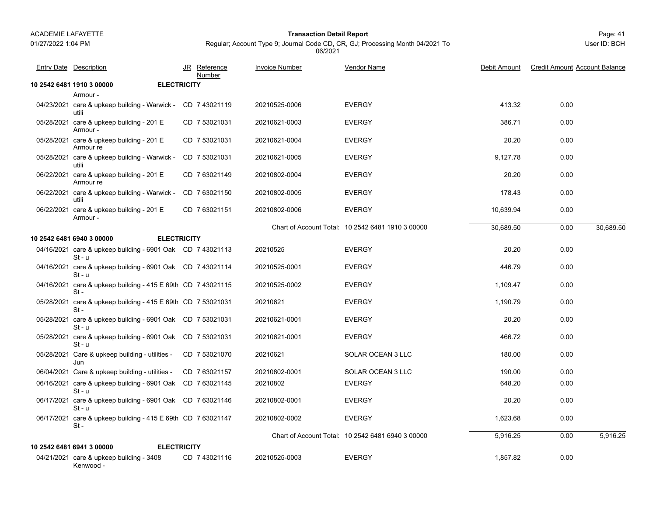#### Page: 41 **Transaction Detail Report**

Regular; Account Type 9; Journal Code CD, CR, GJ; Processing Month 04/2021 To 06/2021

|            | <b>Entry Date Description</b>                                          |                    | JR Reference<br>Number | <b>Invoice Number</b> | Vendor Name                                       | Debit Amount | <b>Credit Amount Account Balance</b> |           |
|------------|------------------------------------------------------------------------|--------------------|------------------------|-----------------------|---------------------------------------------------|--------------|--------------------------------------|-----------|
|            | 10 2542 6481 1910 3 00000                                              | <b>ELECTRICITY</b> |                        |                       |                                                   |              |                                      |           |
|            | Armour -                                                               |                    |                        |                       |                                                   |              |                                      |           |
|            | 04/23/2021 care & upkeep building - Warwick - CD 7 43021119<br>utili   |                    |                        | 20210525-0006         | <b>EVERGY</b>                                     | 413.32       | 0.00                                 |           |
|            | 05/28/2021 care & upkeep building - 201 E<br>Armour -                  |                    | CD 7 53021031          | 20210621-0003         | <b>EVERGY</b>                                     | 386.71       | 0.00                                 |           |
|            | 05/28/2021 care & upkeep building - 201 E<br>Armour re                 |                    | CD 7 53021031          | 20210621-0004         | <b>EVERGY</b>                                     | 20.20        | 0.00                                 |           |
|            | 05/28/2021 care & upkeep building - Warwick -<br>utili                 |                    | CD 7 53021031          | 20210621-0005         | <b>EVERGY</b>                                     | 9,127.78     | 0.00                                 |           |
|            | 06/22/2021 care & upkeep building - 201 E<br>Armour re                 |                    | CD 7 63021149          | 20210802-0004         | <b>EVERGY</b>                                     | 20.20        | 0.00                                 |           |
|            | 06/22/2021 care & upkeep building - Warwick -<br>utili                 |                    | CD 763021150           | 20210802-0005         | <b>EVERGY</b>                                     | 178.43       | 0.00                                 |           |
| 06/22/2021 | care & upkeep building - 201 E<br>Armour -                             |                    | CD 763021151           | 20210802-0006         | <b>EVERGY</b>                                     | 10,639.94    | 0.00                                 |           |
|            |                                                                        |                    |                        |                       | Chart of Account Total: 10 2542 6481 1910 3 00000 | 30,689.50    | 0.00                                 | 30,689.50 |
|            | 10 2542 6481 6940 3 00000                                              | <b>ELECTRICITY</b> |                        |                       |                                                   |              |                                      |           |
|            | 04/16/2021 care & upkeep building - 6901 Oak CD 7 43021113<br>$St - u$ |                    |                        | 20210525              | <b>EVERGY</b>                                     | 20.20        | 0.00                                 |           |
|            | 04/16/2021 care & upkeep building - 6901 Oak CD 7 43021114<br>$St - u$ |                    |                        | 20210525-0001         | <b>EVERGY</b>                                     | 446.79       | 0.00                                 |           |
|            | 04/16/2021 care & upkeep building - 415 E 69th CD 7 43021115<br>$St -$ |                    |                        | 20210525-0002         | <b>EVERGY</b>                                     | 1.109.47     | 0.00                                 |           |
|            | 05/28/2021 care & upkeep building - 415 E 69th CD 7 53021031<br>$St -$ |                    |                        | 20210621              | <b>EVERGY</b>                                     | 1,190.79     | 0.00                                 |           |
|            | 05/28/2021 care & upkeep building - 6901 Oak CD 7 53021031<br>$St - u$ |                    |                        | 20210621-0001         | <b>EVERGY</b>                                     | 20.20        | 0.00                                 |           |
|            | 05/28/2021 care & upkeep building - 6901 Oak CD 7 53021031<br>$St - u$ |                    |                        | 20210621-0001         | <b>EVERGY</b>                                     | 466.72       | 0.00                                 |           |
|            | 05/28/2021 Care & upkeep building - utilities -<br>Jun                 |                    | CD 7 53021070          | 20210621              | SOLAR OCEAN 3 LLC                                 | 180.00       | 0.00                                 |           |
|            | 06/04/2021 Care & upkeep building - utilities -                        |                    | CD 763021157           | 20210802-0001         | SOLAR OCEAN 3 LLC                                 | 190.00       | 0.00                                 |           |
|            | 06/16/2021 care & upkeep building - 6901 Oak CD 7 63021145<br>$St - u$ |                    |                        | 20210802              | <b>EVERGY</b>                                     | 648.20       | 0.00                                 |           |
|            | 06/17/2021 care & upkeep building - 6901 Oak CD 7 63021146<br>$St - u$ |                    |                        | 20210802-0001         | <b>EVERGY</b>                                     | 20.20        | 0.00                                 |           |
|            | 06/17/2021 care & upkeep building - 415 E 69th CD 7 63021147<br>$St -$ |                    |                        | 20210802-0002         | <b>EVERGY</b>                                     | 1,623.68     | 0.00                                 |           |
|            |                                                                        |                    |                        |                       | Chart of Account Total: 10 2542 6481 6940 3 00000 | 5,916.25     | 0.00                                 | 5,916.25  |
|            | 10 2542 6481 6941 3 00000                                              | <b>ELECTRICITY</b> |                        |                       |                                                   |              |                                      |           |
|            | 04/21/2021 care & upkeep building - 3408<br>Kenwood -                  |                    | CD 7 43021116          | 20210525-0003         | <b>EVERGY</b>                                     | 1.857.82     | 0.00                                 |           |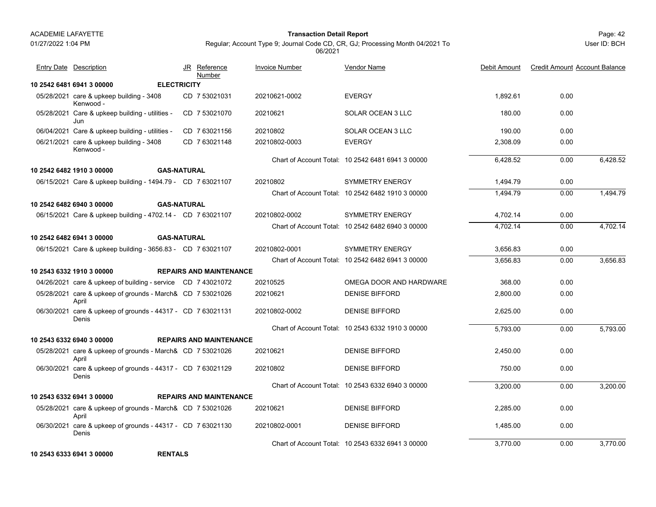01/27/2022 1:04 PM

#### Page: 42 **Transaction Detail Report**

Regular; Account Type 9; Journal Code CD, CR, GJ; Processing Month 04/2021 To 06/2021

User ID: BCH

| Entry Date Description                                               |                    | JR Reference<br>Number         | <b>Invoice Number</b> | Vendor Name                                       | Debit Amount | <b>Credit Amount Account Balance</b> |          |
|----------------------------------------------------------------------|--------------------|--------------------------------|-----------------------|---------------------------------------------------|--------------|--------------------------------------|----------|
| 10 2542 6481 6941 3 00000                                            | <b>ELECTRICITY</b> |                                |                       |                                                   |              |                                      |          |
| 05/28/2021 care & upkeep building - 3408<br>Kenwood -                |                    | CD 7 53021031                  | 20210621-0002         | <b>EVERGY</b>                                     | 1.892.61     | 0.00                                 |          |
| 05/28/2021 Care & upkeep building - utilities -<br>Jun               |                    | CD 7 53021070                  | 20210621              | SOLAR OCEAN 3 LLC                                 | 180.00       | 0.00                                 |          |
| 06/04/2021 Care & upkeep building - utilities -                      |                    | CD 7 63021156                  | 20210802              | <b>SOLAR OCEAN 3 LLC</b>                          | 190.00       | 0.00                                 |          |
| 06/21/2021 care & upkeep building - 3408<br>Kenwood -                |                    | CD 763021148                   | 20210802-0003         | <b>EVERGY</b>                                     | 2,308.09     | 0.00                                 |          |
|                                                                      |                    |                                |                       | Chart of Account Total: 10 2542 6481 6941 3 00000 | 6,428.52     | 0.00                                 | 6,428.52 |
| 10 2542 6482 1910 3 00000                                            | <b>GAS-NATURAL</b> |                                |                       |                                                   |              |                                      |          |
| 06/15/2021 Care & upkeep building - 1494.79 - CD 7 63021107          |                    |                                | 20210802              | <b>SYMMETRY ENERGY</b>                            | 1,494.79     | 0.00                                 |          |
|                                                                      |                    |                                |                       | Chart of Account Total: 10 2542 6482 1910 3 00000 | 1.494.79     | 0.00                                 | 1,494.79 |
| 10 2542 6482 6940 3 00000                                            | <b>GAS-NATURAL</b> |                                |                       |                                                   |              |                                      |          |
| 06/15/2021 Care & upkeep building - 4702.14 - CD 7 63021107          |                    |                                | 20210802-0002         | <b>SYMMETRY ENERGY</b>                            | 4,702.14     | 0.00                                 |          |
|                                                                      |                    |                                |                       | Chart of Account Total: 10 2542 6482 6940 3 00000 | 4,702.14     | 0.00                                 | 4,702.14 |
| 10 2542 6482 6941 3 00000                                            | <b>GAS-NATURAL</b> |                                |                       |                                                   |              |                                      |          |
| 06/15/2021 Care & upkeep building - 3656.83 - CD 7 63021107          |                    |                                | 20210802-0001         | <b>SYMMETRY ENERGY</b>                            | 3,656.83     | 0.00                                 |          |
|                                                                      |                    |                                |                       | Chart of Account Total: 10 2542 6482 6941 3 00000 | 3.656.83     | 0.00                                 | 3,656.83 |
| 10 2543 6332 1910 3 00000                                            |                    | <b>REPAIRS AND MAINTENANCE</b> |                       |                                                   |              |                                      |          |
| 04/26/2021 care & upkeep of building - service CD 7 43021072         |                    |                                | 20210525              | OMEGA DOOR AND HARDWARE                           | 368.00       | 0.00                                 |          |
| 05/28/2021 care & upkeep of grounds - March& CD 7 53021026<br>April  |                    |                                | 20210621              | <b>DENISE BIFFORD</b>                             | 2,800.00     | 0.00                                 |          |
| 06/30/2021 care & upkeep of grounds - 44317 - CD 7 63021131<br>Denis |                    |                                | 20210802-0002         | <b>DENISE BIFFORD</b>                             | 2,625.00     | 0.00                                 |          |
|                                                                      |                    |                                |                       | Chart of Account Total: 10 2543 6332 1910 3 00000 | 5,793.00     | 0.00                                 | 5,793.00 |
| 10 2543 6332 6940 3 00000                                            |                    | <b>REPAIRS AND MAINTENANCE</b> |                       |                                                   |              |                                      |          |
| 05/28/2021 care & upkeep of grounds - March& CD 7 53021026<br>April  |                    |                                | 20210621              | <b>DENISE BIFFORD</b>                             | 2,450.00     | 0.00                                 |          |
| 06/30/2021 care & upkeep of grounds - 44317 - CD 7 63021129<br>Denis |                    |                                | 20210802              | <b>DENISE BIFFORD</b>                             | 750.00       | 0.00                                 |          |
|                                                                      |                    |                                |                       | Chart of Account Total: 10 2543 6332 6940 3 00000 | 3,200.00     | 0.00                                 | 3,200.00 |
| 10 2543 6332 6941 3 00000                                            |                    | <b>REPAIRS AND MAINTENANCE</b> |                       |                                                   |              |                                      |          |
| 05/28/2021 care & upkeep of grounds - March& CD 7 53021026<br>April  |                    |                                | 20210621              | <b>DENISE BIFFORD</b>                             | 2,285.00     | 0.00                                 |          |
| 06/30/2021 care & upkeep of grounds - 44317 - CD 7 63021130<br>Denis |                    |                                | 20210802-0001         | <b>DENISE BIFFORD</b>                             | 1,485.00     | 0.00                                 |          |
|                                                                      |                    |                                |                       | Chart of Account Total: 10 2543 6332 6941 3 00000 | 3.770.00     | 0.00                                 | 3.770.00 |

**10 2543 6333 6941 3 00000 RENTALSRENTALS**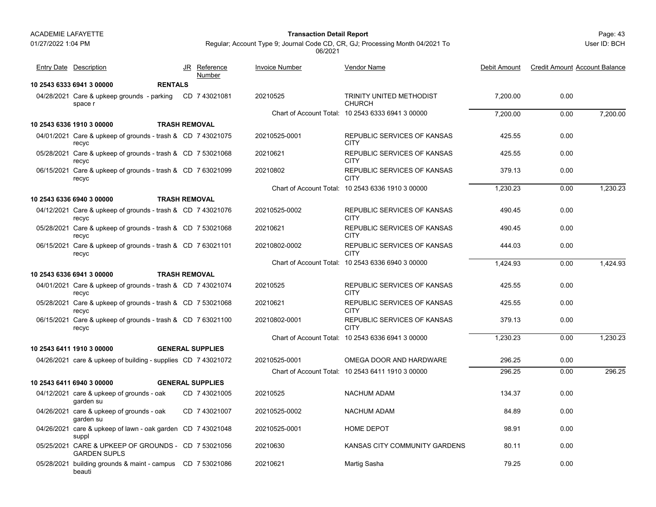beauti

01/27/2022 1:04 PM

#### Page: 43 **Transaction Detail Report**

Regular; Account Type 9; Journal Code CD, CR, GJ; Processing Month 04/2021 To 06/2021

| <b>Entry Date</b> Description                                              | JR Reference<br>Number  | <b>Invoice Number</b> | Vendor Name                                       | Debit Amount | <b>Credit Amount Account Balance</b> |          |
|----------------------------------------------------------------------------|-------------------------|-----------------------|---------------------------------------------------|--------------|--------------------------------------|----------|
| <b>RENTALS</b><br>10 2543 6333 6941 3 00000                                |                         |                       |                                                   |              |                                      |          |
| 04/28/2021 Care & upkeep grounds - parking<br>space r                      | CD 743021081            | 20210525              | TRINITY UNITED METHODIST<br><b>CHURCH</b>         | 7,200.00     | 0.00                                 |          |
|                                                                            |                         |                       | Chart of Account Total: 10 2543 6333 6941 3 00000 | 7.200.00     | 0.00                                 | 7.200.00 |
| 10 2543 6336 1910 3 00000                                                  | <b>TRASH REMOVAL</b>    |                       |                                                   |              |                                      |          |
| 04/01/2021 Care & upkeep of grounds - trash & CD 7 43021075<br>recyc       |                         | 20210525-0001         | REPUBLIC SERVICES OF KANSAS<br><b>CITY</b>        | 425.55       | 0.00                                 |          |
| 05/28/2021 Care & upkeep of grounds - trash & CD 7 53021068<br>recyc       |                         | 20210621              | REPUBLIC SERVICES OF KANSAS<br><b>CITY</b>        | 425.55       | 0.00                                 |          |
| 06/15/2021 Care & upkeep of grounds - trash & CD 7 63021099<br>recyc       |                         | 20210802              | REPUBLIC SERVICES OF KANSAS<br><b>CITY</b>        | 379.13       | 0.00                                 |          |
|                                                                            |                         |                       | Chart of Account Total: 10 2543 6336 1910 3 00000 | 1,230.23     | 0.00                                 | 1,230.23 |
| 10 2543 6336 6940 3 00000                                                  | <b>TRASH REMOVAL</b>    |                       |                                                   |              |                                      |          |
| 04/12/2021 Care & upkeep of grounds - trash & CD 7 43021076<br>recyc       |                         | 20210525-0002         | REPUBLIC SERVICES OF KANSAS<br><b>CITY</b>        | 490.45       | 0.00                                 |          |
| 05/28/2021 Care & upkeep of grounds - trash & CD 7 53021068<br>recyc       |                         | 20210621              | REPUBLIC SERVICES OF KANSAS<br><b>CITY</b>        | 490.45       | 0.00                                 |          |
| 06/15/2021 Care & upkeep of grounds - trash & CD 7 63021101<br>recyc       |                         | 20210802-0002         | REPUBLIC SERVICES OF KANSAS<br>CITY               | 444.03       | 0.00                                 |          |
|                                                                            |                         |                       | Chart of Account Total: 10 2543 6336 6940 3 00000 | 1.424.93     | 0.00                                 | 1.424.93 |
| 10 2543 6336 6941 3 00000                                                  | <b>TRASH REMOVAL</b>    |                       |                                                   |              |                                      |          |
| 04/01/2021 Care & upkeep of grounds - trash & CD 7 43021074<br>recyc       |                         | 20210525              | REPUBLIC SERVICES OF KANSAS<br><b>CITY</b>        | 425.55       | 0.00                                 |          |
| 05/28/2021 Care & upkeep of grounds - trash & CD 7 53021068<br>recyc       |                         | 20210621              | REPUBLIC SERVICES OF KANSAS<br><b>CITY</b>        | 425.55       | 0.00                                 |          |
| 06/15/2021 Care & upkeep of grounds - trash & CD 7 63021100<br>recyc       |                         | 20210802-0001         | REPUBLIC SERVICES OF KANSAS<br><b>CITY</b>        | 379.13       | 0.00                                 |          |
|                                                                            |                         |                       | Chart of Account Total: 10 2543 6336 6941 3 00000 | 1,230.23     | 0.00                                 | 1,230.23 |
| 10 2543 6411 1910 3 00000                                                  | <b>GENERAL SUPPLIES</b> |                       |                                                   |              |                                      |          |
| 04/26/2021 care & upkeep of building - supplies CD 7 43021072              |                         | 20210525-0001         | OMEGA DOOR AND HARDWARE                           | 296.25       | 0.00                                 |          |
|                                                                            |                         |                       | Chart of Account Total: 10 2543 6411 1910 3 00000 | 296.25       | 0.00                                 | 296.25   |
| 10 2543 6411 6940 3 00000                                                  | <b>GENERAL SUPPLIES</b> |                       |                                                   |              |                                      |          |
| 04/12/2021 care & upkeep of grounds - oak<br>garden su                     | CD 7 43021005           | 20210525              | <b>NACHUM ADAM</b>                                | 134.37       | 0.00                                 |          |
| 04/26/2021 care & upkeep of grounds - oak<br>garden su                     | CD 7 43021007           | 20210525-0002         | <b>NACHUM ADAM</b>                                | 84.89        | 0.00                                 |          |
| 04/26/2021 care & upkeep of lawn - oak garden CD 7 43021048<br>suppl       |                         | 20210525-0001         | <b>HOME DEPOT</b>                                 | 98.91        | 0.00                                 |          |
| 05/25/2021 CARE & UPKEEP OF GROUNDS - CD 7 53021056<br><b>GARDEN SUPLS</b> |                         | 20210630              | KANSAS CITY COMMUNITY GARDENS                     | 80.11        | 0.00                                 |          |
| 05/28/2021 building grounds & maint - campus CD 7 53021086                 |                         | 20210621              | Martig Sasha                                      | 79.25        | 0.00                                 |          |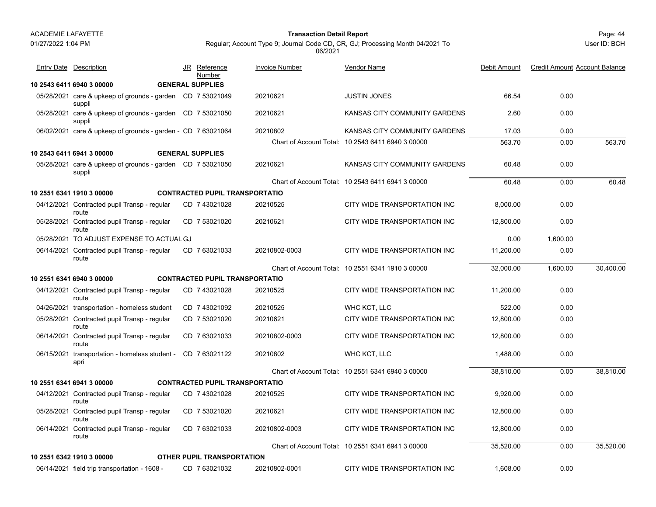## 01/27/2022 1:04 PM

#### Page: 44 **Transaction Detail Report**

Regular; Account Type 9; Journal Code CD, CR, GJ; Processing Month 04/2021 To 06/2021

| Entry Date Description                                               | JR<br>Reference<br>Number             | <b>Invoice Number</b> | Vendor Name                                       | Debit Amount | <b>Credit Amount Account Balance</b> |           |
|----------------------------------------------------------------------|---------------------------------------|-----------------------|---------------------------------------------------|--------------|--------------------------------------|-----------|
| 10 2543 6411 6940 3 00000                                            | <b>GENERAL SUPPLIES</b>               |                       |                                                   |              |                                      |           |
| 05/28/2021 care & upkeep of grounds - garden CD 7 53021049<br>suppli |                                       | 20210621              | <b>JUSTIN JONES</b>                               | 66.54        | 0.00                                 |           |
| 05/28/2021 care & upkeep of grounds - garden CD 7 53021050<br>suppli |                                       | 20210621              | KANSAS CITY COMMUNITY GARDENS                     | 2.60         | 0.00                                 |           |
| 06/02/2021 care & upkeep of grounds - garden - CD 7 63021064         |                                       | 20210802              | KANSAS CITY COMMUNITY GARDENS                     | 17.03        | 0.00                                 |           |
|                                                                      |                                       |                       | Chart of Account Total: 10 2543 6411 6940 3 00000 | 563.70       | 0.00                                 | 563.70    |
| 10 2543 6411 6941 3 00000                                            | <b>GENERAL SUPPLIES</b>               |                       |                                                   |              |                                      |           |
| 05/28/2021 care & upkeep of grounds - garden CD 7 53021050<br>suppli |                                       | 20210621              | KANSAS CITY COMMUNITY GARDENS                     | 60.48        | 0.00                                 |           |
|                                                                      |                                       |                       | Chart of Account Total: 10 2543 6411 6941 3 00000 | 60.48        | 0.00                                 | 60.48     |
| 10 2551 6341 1910 3 00000                                            | <b>CONTRACTED PUPIL TRANSPORTATIO</b> |                       |                                                   |              |                                      |           |
| 04/12/2021 Contracted pupil Transp - regular<br>route                | CD 7 43021028                         | 20210525              | CITY WIDE TRANSPORTATION INC                      | 8,000.00     | 0.00                                 |           |
| 05/28/2021 Contracted pupil Transp - regular<br>route                | CD 7 53021020                         | 20210621              | CITY WIDE TRANSPORTATION INC                      | 12.800.00    | 0.00                                 |           |
| 05/28/2021 TO ADJUST EXPENSE TO ACTUAL GJ                            |                                       |                       |                                                   | 0.00         | 1,600.00                             |           |
| 06/14/2021 Contracted pupil Transp - regular<br>route                | CD 763021033                          | 20210802-0003         | CITY WIDE TRANSPORTATION INC                      | 11,200.00    | 0.00                                 |           |
|                                                                      |                                       |                       | Chart of Account Total: 10 2551 6341 1910 3 00000 | 32,000.00    | 1,600.00                             | 30,400.00 |
| 10 2551 6341 6940 3 00000                                            | <b>CONTRACTED PUPIL TRANSPORTATIO</b> |                       |                                                   |              |                                      |           |
| 04/12/2021 Contracted pupil Transp - regular<br>route                | CD 7 43021028                         | 20210525              | CITY WIDE TRANSPORTATION INC                      | 11,200.00    | 0.00                                 |           |
| 04/26/2021 transportation - homeless student                         | CD 7 43021092                         | 20210525              | WHC KCT, LLC                                      | 522.00       | 0.00                                 |           |
| 05/28/2021 Contracted pupil Transp - regular<br>route                | CD 7 53021020                         | 20210621              | CITY WIDE TRANSPORTATION INC                      | 12,800.00    | 0.00                                 |           |
| 06/14/2021 Contracted pupil Transp - regular<br>route                | CD 763021033                          | 20210802-0003         | CITY WIDE TRANSPORTATION INC                      | 12,800.00    | 0.00                                 |           |
| 06/15/2021 transportation - homeless student - CD 7 63021122<br>apri |                                       | 20210802              | WHC KCT, LLC                                      | 1,488.00     | 0.00                                 |           |
|                                                                      |                                       |                       | Chart of Account Total: 10 2551 6341 6940 3 00000 | 38,810.00    | 0.00                                 | 38,810.00 |
| 10 2551 6341 6941 3 00000                                            | <b>CONTRACTED PUPIL TRANSPORTATIO</b> |                       |                                                   |              |                                      |           |
| 04/12/2021 Contracted pupil Transp - regular<br>route                | CD 7 43021028                         | 20210525              | CITY WIDE TRANSPORTATION INC                      | 9,920.00     | 0.00                                 |           |
| 05/28/2021 Contracted pupil Transp - regular<br>route                | CD 7 53021020                         | 20210621              | CITY WIDE TRANSPORTATION INC                      | 12,800.00    | 0.00                                 |           |
| 06/14/2021 Contracted pupil Transp - regular<br>route                | CD 763021033                          | 20210802-0003         | CITY WIDE TRANSPORTATION INC                      | 12,800.00    | 0.00                                 |           |
|                                                                      |                                       |                       | Chart of Account Total: 10 2551 6341 6941 3 00000 | 35,520.00    | 0.00                                 | 35,520.00 |
| 10 2551 6342 1910 3 00000                                            | <b>OTHER PUPIL TRANSPORTATION</b>     |                       |                                                   |              |                                      |           |
| 06/14/2021 field trip transportation - 1608 -                        | CD 7 63021032                         | 20210802-0001         | CITY WIDE TRANSPORTATION INC                      | 1,608.00     | 0.00                                 |           |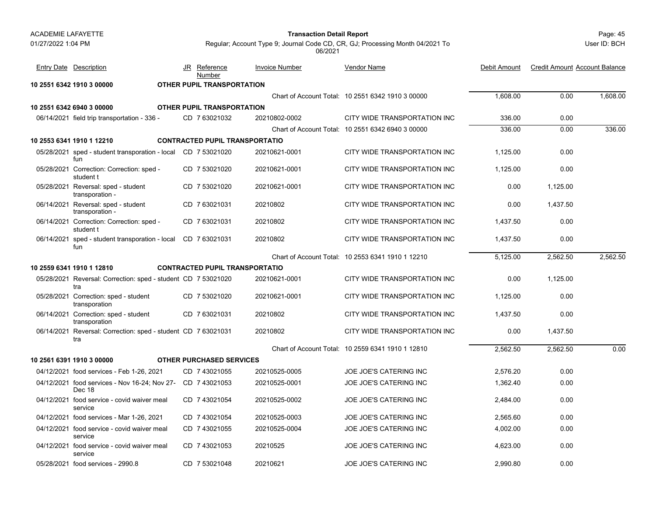#### Page: 45 **Transaction Detail Report**

User ID: BCH

| <b>Entry Date Description</b>                                         | JR Reference<br>Number            | <b>Invoice Number</b>                 | <b>Vendor Name</b>                                | Debit Amount | <b>Credit Amount Account Balance</b> |          |
|-----------------------------------------------------------------------|-----------------------------------|---------------------------------------|---------------------------------------------------|--------------|--------------------------------------|----------|
| 10 2551 6342 1910 3 00000                                             | OTHER PUPIL TRANSPORTATION        |                                       |                                                   |              |                                      |          |
|                                                                       |                                   |                                       | Chart of Account Total: 10 2551 6342 1910 3 00000 | 1,608.00     | 0.00                                 | 1,608.00 |
| 10 2551 6342 6940 3 00000                                             | <b>OTHER PUPIL TRANSPORTATION</b> |                                       |                                                   |              |                                      |          |
| 06/14/2021 field trip transportation - 336 -                          | CD 7 63021032                     | 20210802-0002                         | CITY WIDE TRANSPORTATION INC                      | 336.00       | 0.00                                 |          |
|                                                                       |                                   |                                       | Chart of Account Total: 10 2551 6342 6940 3 00000 | 336.00       | 0.00                                 | 336.00   |
| 10 2553 6341 1910 1 12210                                             |                                   | <b>CONTRACTED PUPIL TRANSPORTATIO</b> |                                                   |              |                                      |          |
| 05/28/2021 sped - student transporation - local CD 7 53021020<br>fun  |                                   | 20210621-0001                         | CITY WIDE TRANSPORTATION INC                      | 1,125.00     | 0.00                                 |          |
| 05/28/2021 Correction: Correction: sped -<br>student t                | CD 7 53021020                     | 20210621-0001                         | CITY WIDE TRANSPORTATION INC                      | 1,125.00     | 0.00                                 |          |
| 05/28/2021 Reversal: sped - student<br>transporation -                | CD 7 53021020                     | 20210621-0001                         | CITY WIDE TRANSPORTATION INC                      | 0.00         | 1,125.00                             |          |
| 06/14/2021 Reversal: sped - student<br>transporation -                | CD 763021031                      | 20210802                              | CITY WIDE TRANSPORTATION INC                      | 0.00         | 1.437.50                             |          |
| 06/14/2021 Correction: Correction: sped -<br>student t                | CD 7 63021031                     | 20210802                              | CITY WIDE TRANSPORTATION INC                      | 1,437.50     | 0.00                                 |          |
| 06/14/2021 sped - student transporation - local<br>fun                | CD 763021031                      | 20210802                              | CITY WIDE TRANSPORTATION INC                      | 1.437.50     | 0.00                                 |          |
|                                                                       |                                   |                                       | Chart of Account Total: 10 2553 6341 1910 1 12210 | 5,125.00     | 2.562.50                             | 2.562.50 |
| 10 2559 6341 1910 1 12810                                             |                                   | <b>CONTRACTED PUPIL TRANSPORTATIO</b> |                                                   |              |                                      |          |
| 05/28/2021 Reversal: Correction: sped - student CD 7 53021020<br>tra  |                                   | 20210621-0001                         | CITY WIDE TRANSPORTATION INC                      | 0.00         | 1,125.00                             |          |
| 05/28/2021 Correction: sped - student<br>transporation                | CD 7 53021020                     | 20210621-0001                         | CITY WIDE TRANSPORTATION INC                      | 1.125.00     | 0.00                                 |          |
| 06/14/2021 Correction: sped - student<br>transporation                | CD 7 63021031                     | 20210802                              | CITY WIDE TRANSPORTATION INC                      | 1,437.50     | 0.00                                 |          |
| 06/14/2021 Reversal: Correction: sped - student CD 7 63021031<br>tra  |                                   | 20210802                              | CITY WIDE TRANSPORTATION INC                      | 0.00         | 1.437.50                             |          |
|                                                                       |                                   |                                       | Chart of Account Total: 10 2559 6341 1910 1 12810 | 2,562.50     | 2,562.50                             | 0.00     |
| 10 2561 6391 1910 3 00000                                             | <b>OTHER PURCHASED SERVICES</b>   |                                       |                                                   |              |                                      |          |
| 04/12/2021 food services - Feb 1-26, 2021                             | CD 7 43021055                     | 20210525-0005                         | JOE JOE'S CATERING INC                            | 2,576.20     | 0.00                                 |          |
| 04/12/2021 food services - Nov 16-24; Nov 27- CD 7 43021053<br>Dec 18 |                                   | 20210525-0001                         | JOE JOE'S CATERING INC                            | 1,362.40     | 0.00                                 |          |
| 04/12/2021 food service - covid waiver meal<br>service                | CD 7 43021054                     | 20210525-0002                         | JOE JOE'S CATERING INC                            | 2,484.00     | 0.00                                 |          |
| 04/12/2021 food services - Mar 1-26, 2021                             | CD 7 43021054                     | 20210525-0003                         | JOE JOE'S CATERING INC                            | 2,565.60     | 0.00                                 |          |
| 04/12/2021 food service - covid waiver meal<br>service                | CD 7 43021055                     | 20210525-0004                         | JOE JOE'S CATERING INC                            | 4,002.00     | 0.00                                 |          |
| 04/12/2021 food service - covid waiver meal<br>service                | CD 743021053                      | 20210525                              | JOE JOE'S CATERING INC                            | 4,623.00     | 0.00                                 |          |
| 05/28/2021 food services - 2990.8                                     | CD 7 53021048                     | 20210621                              | <b>JOE JOE'S CATERING INC</b>                     | 2.990.80     | 0.00                                 |          |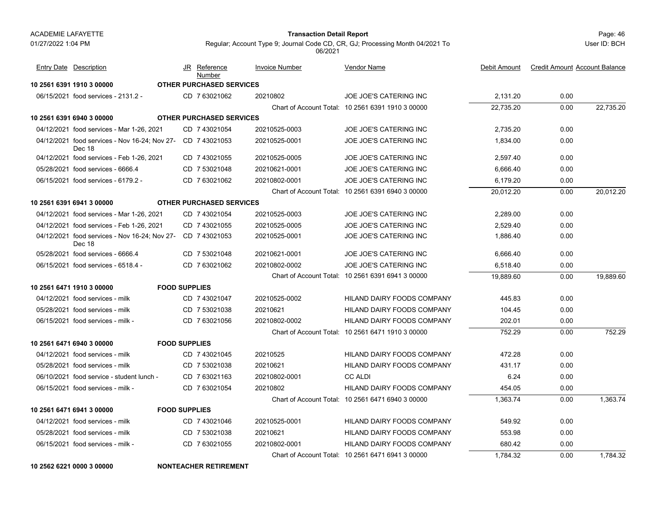#### Page: 46 **Transaction Detail Report**

User ID: BCH

Regular; Account Type 9; Journal Code CD, CR, GJ; Processing Month 04/2021 To 06/2021

| <b>Entry Date Description</b>             |                                                             | JR Reference<br>Number          | <b>Invoice Number</b> | Vendor Name                                       | Debit Amount | <b>Credit Amount Account Balance</b> |           |
|-------------------------------------------|-------------------------------------------------------------|---------------------------------|-----------------------|---------------------------------------------------|--------------|--------------------------------------|-----------|
| 10 2561 6391 1910 3 00000                 |                                                             | OTHER PURCHASED SERVICES        |                       |                                                   |              |                                      |           |
| 06/15/2021 food services - 2131.2 -       |                                                             | CD 7 63021062                   | 20210802              | JOE JOE'S CATERING INC                            | 2,131.20     | 0.00                                 |           |
|                                           |                                                             |                                 |                       | Chart of Account Total: 10 2561 6391 1910 3 00000 | 22,735.20    | 0.00                                 | 22,735.20 |
| 10 2561 6391 6940 3 00000                 |                                                             | <b>OTHER PURCHASED SERVICES</b> |                       |                                                   |              |                                      |           |
| 04/12/2021 food services - Mar 1-26, 2021 |                                                             | CD 7 43021054                   | 20210525-0003         | <b>JOE JOE'S CATERING INC</b>                     | 2,735.20     | 0.00                                 |           |
| Dec 18                                    | 04/12/2021 food services - Nov 16-24; Nov 27- CD 7 43021053 |                                 | 20210525-0001         | JOE JOE'S CATERING INC                            | 1,834.00     | 0.00                                 |           |
| 04/12/2021 food services - Feb 1-26, 2021 |                                                             | CD 7 43021055                   | 20210525-0005         | JOE JOE'S CATERING INC                            | 2,597.40     | 0.00                                 |           |
| 05/28/2021 food services - 6666.4         |                                                             | CD 7 53021048                   | 20210621-0001         | <b>JOE JOE'S CATERING INC</b>                     | 6,666.40     | 0.00                                 |           |
| 06/15/2021 food services - 6179.2 -       |                                                             | CD 763021062                    | 20210802-0001         | JOE JOE'S CATERING INC                            | 6,179.20     | 0.00                                 |           |
|                                           |                                                             |                                 |                       | Chart of Account Total: 10 2561 6391 6940 3 00000 | 20.012.20    | 0.00                                 | 20.012.20 |
| 10 2561 6391 6941 3 00000                 |                                                             | <b>OTHER PURCHASED SERVICES</b> |                       |                                                   |              |                                      |           |
| 04/12/2021 food services - Mar 1-26, 2021 |                                                             | CD 7 43021054                   | 20210525-0003         | <b>JOE JOE'S CATERING INC</b>                     | 2,289.00     | 0.00                                 |           |
| 04/12/2021 food services - Feb 1-26, 2021 |                                                             | CD 7 43021055                   | 20210525-0005         | <b>JOE JOE'S CATERING INC</b>                     | 2,529.40     | 0.00                                 |           |
| Dec 18                                    | 04/12/2021 food services - Nov 16-24; Nov 27- CD 7 43021053 |                                 | 20210525-0001         | <b>JOE JOE'S CATERING INC</b>                     | 1.886.40     | 0.00                                 |           |
| 05/28/2021 food services - 6666.4         |                                                             | CD 7 53021048                   | 20210621-0001         | JOE JOE'S CATERING INC                            | 6,666.40     | 0.00                                 |           |
| 06/15/2021 food services - 6518.4 -       |                                                             | CD 763021062                    | 20210802-0002         | <b>JOE JOE'S CATERING INC</b>                     | 6,518.40     | 0.00                                 |           |
|                                           |                                                             |                                 |                       | Chart of Account Total: 10 2561 6391 6941 3 00000 | 19,889.60    | 0.00                                 | 19,889.60 |
| 10 2561 6471 1910 3 00000                 | <b>FOOD SUPPLIES</b>                                        |                                 |                       |                                                   |              |                                      |           |
| 04/12/2021 food services - milk           |                                                             | CD 7 43021047                   | 20210525-0002         | <b>HILAND DAIRY FOODS COMPANY</b>                 | 445.83       | 0.00                                 |           |
| 05/28/2021 food services - milk           |                                                             | CD 7 53021038                   | 20210621              | <b>HILAND DAIRY FOODS COMPANY</b>                 | 104.45       | 0.00                                 |           |
| 06/15/2021 food services - milk -         |                                                             | CD 763021056                    | 20210802-0002         | HILAND DAIRY FOODS COMPANY                        | 202.01       | 0.00                                 |           |
|                                           |                                                             |                                 |                       | Chart of Account Total: 10 2561 6471 1910 3 00000 | 752.29       | 0.00                                 | 752.29    |
| 10 2561 6471 6940 3 00000                 | <b>FOOD SUPPLIES</b>                                        |                                 |                       |                                                   |              |                                      |           |
| 04/12/2021 food services - milk           |                                                             | CD 7 43021045                   | 20210525              | <b>HILAND DAIRY FOODS COMPANY</b>                 | 472.28       | 0.00                                 |           |
| 05/28/2021 food services - milk           |                                                             | CD 7 53021038                   | 20210621              | <b>HILAND DAIRY FOODS COMPANY</b>                 | 431.17       | 0.00                                 |           |
| 06/10/2021 food service - student lunch - |                                                             | CD 763021163                    | 20210802-0001         | <b>CC ALDI</b>                                    | 6.24         | 0.00                                 |           |
| 06/15/2021 food services - milk -         |                                                             | CD 763021054                    | 20210802              | <b>HILAND DAIRY FOODS COMPANY</b>                 | 454.05       | 0.00                                 |           |
|                                           |                                                             |                                 |                       | Chart of Account Total: 10 2561 6471 6940 3 00000 | 1,363.74     | 0.00                                 | 1,363.74  |
| 10 2561 6471 6941 3 00000                 | <b>FOOD SUPPLIES</b>                                        |                                 |                       |                                                   |              |                                      |           |
| 04/12/2021 food services - milk           |                                                             | CD 7 43021046                   | 20210525-0001         | HILAND DAIRY FOODS COMPANY                        | 549.92       | 0.00                                 |           |
| 05/28/2021 food services - milk           |                                                             | CD 7 53021038                   | 20210621              | HILAND DAIRY FOODS COMPANY                        | 553.98       | 0.00                                 |           |
| 06/15/2021 food services - milk -         |                                                             | CD 7 63021055                   | 20210802-0001         | HILAND DAIRY FOODS COMPANY                        | 680.42       | 0.00                                 |           |
|                                           |                                                             |                                 |                       | Chart of Account Total: 10 2561 6471 6941 3 00000 | 1,784.32     | 0.00                                 | 1,784.32  |

**10 2562 6221 0000 3 00000 NONTEACHER RETIREMENT**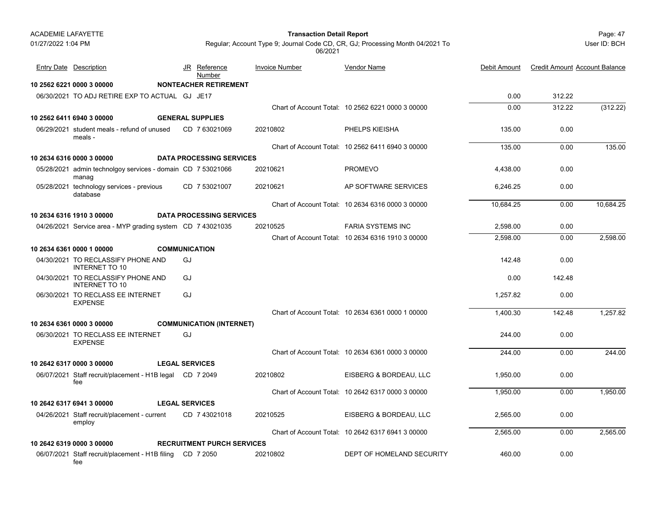#### Page: 47 **Transaction Detail Report**

User ID: BCH

| <b>Entry Date Description</b>                                        |                       |    | JR Reference<br>Number            | <b>Invoice Number</b> | <b>Vendor Name</b>                                | Debit Amount | <b>Credit Amount Account Balance</b> |           |
|----------------------------------------------------------------------|-----------------------|----|-----------------------------------|-----------------------|---------------------------------------------------|--------------|--------------------------------------|-----------|
| 10 2562 6221 0000 3 00000                                            |                       |    | <b>NONTEACHER RETIREMENT</b>      |                       |                                                   |              |                                      |           |
| 06/30/2021 TO ADJ RETIRE EXP TO ACTUAL GJ JE17                       |                       |    |                                   |                       |                                                   | 0.00         | 312.22                               |           |
|                                                                      |                       |    |                                   |                       | Chart of Account Total: 10 2562 6221 0000 3 00000 | 0.00         | 312.22                               | (312.22)  |
| 10 2562 6411 6940 3 00000                                            |                       |    | <b>GENERAL SUPPLIES</b>           |                       |                                                   |              |                                      |           |
| 06/29/2021 student meals - refund of unused<br>meals -               |                       |    | CD 763021069                      | 20210802              | PHELPS KIEISHA                                    | 135.00       | 0.00                                 |           |
|                                                                      |                       |    |                                   |                       | Chart of Account Total: 10 2562 6411 6940 3 00000 | 135.00       | 0.00                                 | 135.00    |
| 10 2634 6316 0000 3 00000                                            |                       |    | <b>DATA PROCESSING SERVICES</b>   |                       |                                                   |              |                                      |           |
| 05/28/2021 admin technolgoy services - domain CD 7 53021066<br>manag |                       |    |                                   | 20210621              | <b>PROMEVO</b>                                    | 4,438.00     | 0.00                                 |           |
| 05/28/2021 technology services - previous<br>database                |                       |    | CD 7 53021007                     | 20210621              | AP SOFTWARE SERVICES                              | 6.246.25     | 0.00                                 |           |
|                                                                      |                       |    |                                   |                       | Chart of Account Total: 10 2634 6316 0000 3 00000 | 10,684.25    | 0.00                                 | 10,684.25 |
| 10 2634 6316 1910 3 00000                                            |                       |    | <b>DATA PROCESSING SERVICES</b>   |                       |                                                   |              |                                      |           |
| 04/26/2021 Service area - MYP grading system CD 7 43021035           |                       |    |                                   | 20210525              | <b>FARIA SYSTEMS INC</b>                          | 2,598.00     | 0.00                                 |           |
|                                                                      |                       |    |                                   |                       | Chart of Account Total: 10 2634 6316 1910 3 00000 | 2.598.00     | 0.00                                 | 2,598.00  |
| 10 2634 6361 0000 1 00000                                            | <b>COMMUNICATION</b>  |    |                                   |                       |                                                   |              |                                      |           |
| 04/30/2021 TO RECLASSIFY PHONE AND<br><b>INTERNET TO 10</b>          |                       | GJ |                                   |                       |                                                   | 142.48       | 0.00                                 |           |
| 04/30/2021 TO RECLASSIFY PHONE AND<br><b>INTERNET TO 10</b>          |                       | GJ |                                   |                       |                                                   | 0.00         | 142.48                               |           |
| 06/30/2021 TO RECLASS EE INTERNET<br><b>EXPENSE</b>                  |                       | GJ |                                   |                       |                                                   | 1,257.82     | 0.00                                 |           |
|                                                                      |                       |    |                                   |                       | Chart of Account Total: 10 2634 6361 0000 1 00000 | 1.400.30     | 142.48                               | 1,257.82  |
| 10 2634 6361 0000 3 00000                                            |                       |    | <b>COMMUNICATION (INTERNET)</b>   |                       |                                                   |              |                                      |           |
| 06/30/2021 TO RECLASS EE INTERNET<br><b>EXPENSE</b>                  |                       | GJ |                                   |                       |                                                   | 244.00       | 0.00                                 |           |
|                                                                      |                       |    |                                   |                       | Chart of Account Total: 10 2634 6361 0000 3 00000 | 244.00       | 0.00                                 | 244.00    |
| 10 2642 6317 0000 3 00000                                            | <b>LEGAL SERVICES</b> |    |                                   |                       |                                                   |              |                                      |           |
| 06/07/2021 Staff recruit/placement - H1B legal CD 7 2049<br>fee      |                       |    |                                   | 20210802              | EISBERG & BORDEAU, LLC                            | 1,950.00     | 0.00                                 |           |
|                                                                      |                       |    |                                   |                       | Chart of Account Total: 10 2642 6317 0000 3 00000 | 1,950.00     | 0.00                                 | 1,950.00  |
| 10 2642 6317 6941 3 00000                                            | <b>LEGAL SERVICES</b> |    |                                   |                       |                                                   |              |                                      |           |
| 04/26/2021 Staff recruit/placement - current<br>employ               |                       |    | CD 7 43021018                     | 20210525              | EISBERG & BORDEAU, LLC                            | 2,565.00     | 0.00                                 |           |
|                                                                      |                       |    |                                   |                       | Chart of Account Total: 10 2642 6317 6941 3 00000 | 2,565.00     | 0.00                                 | 2,565.00  |
| 10 2642 6319 0000 3 00000                                            |                       |    | <b>RECRUITMENT PURCH SERVICES</b> |                       |                                                   |              |                                      |           |
| 06/07/2021 Staff recruit/placement - H1B filing CD 7 2050<br>fee     |                       |    |                                   | 20210802              | DEPT OF HOMELAND SECURITY                         | 460.00       | 0.00                                 |           |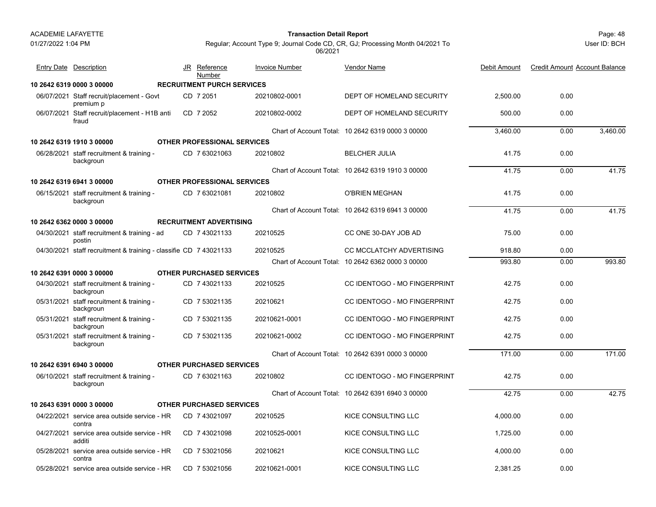backgroun

**10 2642 6319 0000 3 00000 RECRUITMENT PURCH SERVICES**

01/27/2022 1:04 PM

#### Page: 48 **Transaction Detail Report**

JR Reference Invoice Number

Entry Date Description **Entry Date Description** JR Reference Invoice Number Vendor Name

<u>Number</u>

Regular; Account Type 9; Journal Code CD, CR, GJ; Processing Month 04/2021 To 06/2021

Vendor Name

| 06/07/2021 | Staff recruit/placement - Govt<br>premium p                       |  | CD 7 2051                          | 20210802-0001 | DEPT OF HOMELAND SECURITY                         | 2,500.00 | 0.00 |          |
|------------|-------------------------------------------------------------------|--|------------------------------------|---------------|---------------------------------------------------|----------|------|----------|
| 06/07/2021 | Staff recruit/placement - H1B anti<br>fraud                       |  | CD 7 2052                          | 20210802-0002 | DEPT OF HOMELAND SECURITY                         | 500.00   | 0.00 |          |
|            |                                                                   |  |                                    |               | Chart of Account Total: 10 2642 6319 0000 3 00000 | 3.460.00 | 0.00 | 3,460.00 |
|            | 10 2642 6319 1910 3 00000                                         |  | <b>OTHER PROFESSIONAL SERVICES</b> |               |                                                   |          |      |          |
|            | 06/28/2021 staff recruitment & training -<br>backgroun            |  | CD 763021063                       | 20210802      | <b>BELCHER JULIA</b>                              | 41.75    | 0.00 |          |
|            |                                                                   |  |                                    |               | Chart of Account Total: 10 2642 6319 1910 3 00000 | 41.75    | 0.00 | 41.75    |
|            | 10 2642 6319 6941 3 00000                                         |  | <b>OTHER PROFESSIONAL SERVICES</b> |               |                                                   |          |      |          |
|            | 06/15/2021 staff recruitment & training -<br>backgroun            |  | CD 763021081                       | 20210802      | <b>O'BRIEN MEGHAN</b>                             | 41.75    | 0.00 |          |
|            |                                                                   |  |                                    |               | Chart of Account Total: 10 2642 6319 6941 3 00000 | 41.75    | 0.00 | 41.75    |
|            | 10 2642 6362 0000 3 00000                                         |  | <b>RECRUITMENT ADVERTISING</b>     |               |                                                   |          |      |          |
|            | 04/30/2021 staff recruitment & training - ad<br>postin            |  | CD 7 43021133                      | 20210525      | CC ONE 30-DAY JOB AD                              | 75.00    | 0.00 |          |
|            | 04/30/2021 staff recruitment & training - classifie CD 7 43021133 |  |                                    | 20210525      | <b>CC MCCLATCHY ADVERTISING</b>                   | 918.80   | 0.00 |          |
|            |                                                                   |  |                                    |               | Chart of Account Total: 10 2642 6362 0000 3 00000 | 993.80   | 0.00 | 993.80   |
|            | 10 2642 6391 0000 3 00000                                         |  | <b>OTHER PURCHASED SERVICES</b>    |               |                                                   |          |      |          |
|            | 04/30/2021 staff recruitment & training -<br>backgroun            |  | CD 743021133                       | 20210525      | <b>CC IDENTOGO - MO FINGERPRINT</b>               | 42.75    | 0.00 |          |
| 05/31/2021 | staff recruitment & training -<br>backgroun                       |  | CD 7 53021135                      | 20210621      | <b>CC IDENTOGO - MO FINGERPRINT</b>               | 42.75    | 0.00 |          |
| 05/31/2021 | staff recruitment & training -<br>backgroun                       |  | CD 7 53021135                      | 20210621-0001 | <b>CC IDENTOGO - MO FINGERPRINT</b>               | 42.75    | 0.00 |          |

|            | 10 2642 6391 6940 3 00000                   | <b>OTHER PURCHASED SERVICES</b> |               |                                                   |          |      |       |
|------------|---------------------------------------------|---------------------------------|---------------|---------------------------------------------------|----------|------|-------|
| 06/10/2021 | staff recruitment & training -<br>backgroun | CD 763021163                    | 20210802      | CC IDENTOGO - MO FINGERPRINT                      | 42.75    | 0.00 |       |
|            |                                             |                                 |               | Chart of Account Total: 10 2642 6391 6940 3 00000 | 42.75    | 0.00 | 42.75 |
|            | 10 2643 6391 0000 3 00000                   | <b>OTHER PURCHASED SERVICES</b> |               |                                                   |          |      |       |
| 04/22/2021 | service area outside service - HR<br>contra | CD 743021097                    | 20210525      | KICE CONSULTING LLC                               | 4.000.00 | 0.00 |       |
| 04/27/2021 | service area outside service - HR<br>additi | CD 743021098                    | 20210525-0001 | KICE CONSULTING LLC                               | 1.725.00 | 0.00 |       |
| 05/28/2021 | service area outside service - HR<br>contra | 7 53021056<br>CD.               | 20210621      | KICE CONSULTING LLC                               | 4.000.00 | 0.00 |       |
| 05/28/2021 | service area outside service - HR           | CD 753021056                    | 20210621-0001 | KICE CONSULTING LLC                               | 2.381.25 | 0.00 |       |

Chart of Account Total: 10 2642 6391 0000 3 00000

05/31/2021 staff recruitment & training - CD\_7 53021135 20210621-0002 CC IDENTOGO - MO FINGERPRINT 42.75 0.00

CD\_7 53021135 20210621-0002 CC IDENTOGO - MO FINGERPRINT

<u>e</u> Debit Amount Credit Amount Account Balance

171.00 0.00 171.00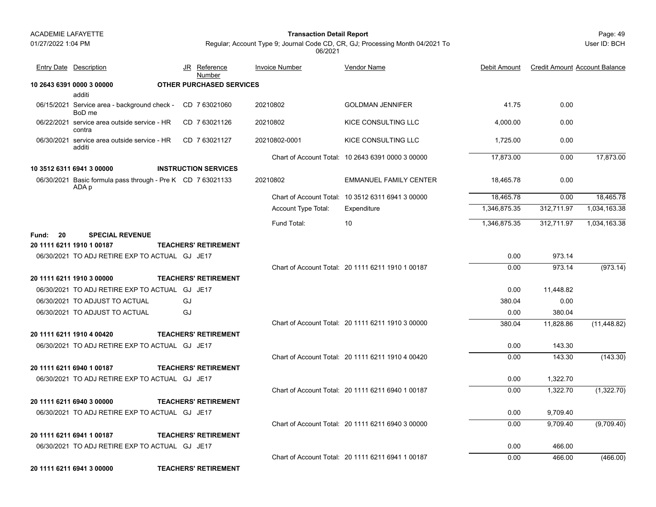01/27/2022 1:04 PM

Page: 49 **Transaction Detail Report**

User ID: BCH

Regular; Account Type 9; Journal Code CD, CR, GJ; Processing Month 04/2021 To 06/2021

Vendor Name

| <b>Entry Date</b> Description |                                                                      | JR | Reference<br>Number             | <b>Invoice Number</b> | <b>Vendor Name</b>                                | Debit Amount | <b>Credit Amount Account Balance</b> |              |
|-------------------------------|----------------------------------------------------------------------|----|---------------------------------|-----------------------|---------------------------------------------------|--------------|--------------------------------------|--------------|
| 10 2643 6391 0000 3 00000     |                                                                      |    | <b>OTHER PURCHASED SERVICES</b> |                       |                                                   |              |                                      |              |
|                               | additi                                                               |    |                                 |                       |                                                   |              |                                      |              |
| 06/15/2021                    | Service area - background check -<br>BoD me                          |    | CD 763021060                    | 20210802              | <b>GOLDMAN JENNIFER</b>                           | 41.75        | 0.00                                 |              |
| 06/22/2021                    | service area outside service - HR<br>contra                          |    | CD 763021126                    | 20210802              | KICE CONSULTING LLC                               | 4,000.00     | 0.00                                 |              |
| 06/30/2021                    | service area outside service - HR<br>additi                          |    | CD 763021127                    | 20210802-0001         | KICE CONSULTING LLC                               | 1,725.00     | 0.00                                 |              |
|                               |                                                                      |    |                                 |                       | Chart of Account Total: 10 2643 6391 0000 3 00000 | 17,873.00    | 0.00                                 | 17,873.00    |
| 10 3512 6311 6941 3 00000     |                                                                      |    | <b>INSTRUCTION SERVICES</b>     |                       |                                                   |              |                                      |              |
|                               | 06/30/2021 Basic formula pass through - Pre K CD 7 63021133<br>ADA p |    |                                 | 20210802              | <b>EMMANUEL FAMILY CENTER</b>                     | 18,465.78    | 0.00                                 |              |
|                               |                                                                      |    |                                 |                       | Chart of Account Total: 10 3512 6311 6941 3 00000 | 18,465.78    | 0.00                                 | 18,465.78    |
|                               |                                                                      |    |                                 | Account Type Total:   | Expenditure                                       | 1,346,875.35 | 312,711.97                           | 1,034,163.38 |
|                               |                                                                      |    |                                 | Fund Total:           | 10                                                | 1,346,875.35 | 312,711.97                           | 1,034,163.38 |
| 20<br>Fund:                   | <b>SPECIAL REVENUE</b>                                               |    |                                 |                       |                                                   |              |                                      |              |

| 20 1111 6211 1910 1 00187               | <b>TEACHERS' RETIREMENT</b> |
|-----------------------------------------|-----------------------------|
| $0.00000004$ TO ABIBETIBE EVB TO ACTUAL |                             |

|              | 973.14    | 0.00   |                                                   |                             | 06/30/2021 TO ADJ RETIRE EXP TO ACTUAL GJ JE17 |
|--------------|-----------|--------|---------------------------------------------------|-----------------------------|------------------------------------------------|
| (973.14)     | 973.14    | 0.00   | Chart of Account Total: 20 1111 6211 1910 1 00187 |                             |                                                |
|              |           |        |                                                   | <b>TEACHERS' RETIREMENT</b> | 20 1111 6211 1910 3 00000                      |
|              | 11,448.82 | 0.00   |                                                   |                             | 06/30/2021 TO ADJ RETIRE EXP TO ACTUAL GJ JE17 |
|              | 0.00      | 380.04 |                                                   | GJ                          | 06/30/2021 TO ADJUST TO ACTUAL                 |
|              | 380.04    | 0.00   |                                                   | GJ                          | 06/30/2021 TO ADJUST TO ACTUAL                 |
| (11, 448.82) | 11,828.86 | 380.04 | Chart of Account Total: 20 1111 6211 1910 3 00000 |                             |                                                |
|              |           |        |                                                   | <b>TEACHERS' RETIREMENT</b> | 20 1111 6211 1910 4 00420                      |
|              | 143.30    | 0.00   |                                                   |                             | 06/30/2021 TO ADJ RETIRE EXP TO ACTUAL GJ JE17 |
| (143.30)     | 143.30    | 0.00   | Chart of Account Total: 20 1111 6211 1910 4 00420 |                             |                                                |
|              |           |        |                                                   | <b>TEACHERS' RETIREMENT</b> | 20 1111 6211 6940 1 00187                      |
|              | 1,322.70  | 0.00   |                                                   |                             | 06/30/2021 TO ADJ RETIRE EXP TO ACTUAL GJ JE17 |
| (1,322.70)   | 1,322.70  | 0.00   | Chart of Account Total: 20 1111 6211 6940 1 00187 |                             |                                                |
|              |           |        |                                                   | <b>TEACHERS' RETIREMENT</b> | 20 1111 6211 6940 3 00000                      |
|              | 9,709.40  | 0.00   |                                                   |                             | 06/30/2021 TO ADJ RETIRE EXP TO ACTUAL GJ JE17 |
| (9,709.40)   | 9,709.40  | 0.00   | Chart of Account Total: 20 1111 6211 6940 3 00000 |                             |                                                |
|              |           |        |                                                   | <b>TEACHERS' RETIREMENT</b> | 20 1111 6211 6941 1 00187                      |
|              | 466.00    | 0.00   |                                                   |                             | 06/30/2021 TO ADJ RETIRE EXP TO ACTUAL GJ JE17 |
| (466.00)     | 466.00    | 0.00   | Chart of Account Total: 20 1111 6211 6941 1 00187 |                             |                                                |
|              |           |        |                                                   | <b>TEACHERS' RETIREMENT</b> | 20 1111 6211 6941 3 00000                      |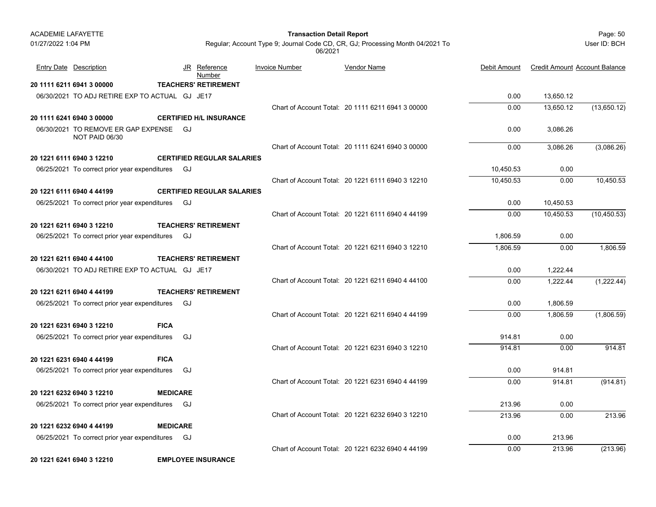| <b>ACADEMIE LAFAYETTE</b> |                                                                            |                 |                                   | <b>Transaction Detail Report</b> |                                                                               |              |                                      | Page: 50     |
|---------------------------|----------------------------------------------------------------------------|-----------------|-----------------------------------|----------------------------------|-------------------------------------------------------------------------------|--------------|--------------------------------------|--------------|
| 01/27/2022 1:04 PM        |                                                                            |                 |                                   | 06/2021                          | Regular; Account Type 9; Journal Code CD, CR, GJ; Processing Month 04/2021 To |              |                                      | User ID: BCH |
|                           | <b>Entry Date Description</b>                                              |                 | <u>Reference</u><br>JR<br>Number  | <b>Invoice Number</b>            | <b>Vendor Name</b>                                                            | Debit Amount | <b>Credit Amount Account Balance</b> |              |
|                           | 20 1111 6211 6941 3 00000                                                  |                 | <b>TEACHERS' RETIREMENT</b>       |                                  |                                                                               |              |                                      |              |
|                           | 06/30/2021 TO ADJ RETIRE EXP TO ACTUAL GJ JE17                             |                 |                                   |                                  |                                                                               | 0.00         | 13,650.12                            |              |
|                           |                                                                            |                 |                                   |                                  | Chart of Account Total: 20 1111 6211 6941 3 00000                             | 0.00         | 13,650.12                            | (13,650.12)  |
|                           | 20 1111 6241 6940 3 00000                                                  |                 | <b>CERTIFIED H/L INSURANCE</b>    |                                  |                                                                               |              |                                      |              |
|                           | 06/30/2021 TO REMOVE ER GAP EXPENSE<br>NOT PAID 06/30                      |                 | GJ                                |                                  |                                                                               | 0.00         | 3,086.26                             |              |
|                           |                                                                            |                 |                                   |                                  | Chart of Account Total: 20 1111 6241 6940 3 00000                             | 0.00         | 3.086.26                             | (3,086.26)   |
|                           | 20 1221 6111 6940 3 12210                                                  |                 | <b>CERTIFIED REGULAR SALARIES</b> |                                  |                                                                               |              |                                      |              |
|                           | 06/25/2021 To correct prior year expenditures                              |                 | GJ                                |                                  |                                                                               | 10,450.53    | 0.00                                 |              |
|                           |                                                                            |                 |                                   |                                  | Chart of Account Total: 20 1221 6111 6940 3 12210                             | 10,450.53    | 0.00                                 | 10,450.53    |
|                           | 20 1221 6111 6940 4 44199                                                  |                 | <b>CERTIFIED REGULAR SALARIES</b> |                                  |                                                                               |              |                                      |              |
|                           | 06/25/2021 To correct prior year expenditures                              |                 | GJ                                |                                  |                                                                               | 0.00         | 10,450.53                            |              |
|                           |                                                                            |                 |                                   |                                  | Chart of Account Total: 20 1221 6111 6940 4 44199                             | 0.00         | 10,450.53                            | (10, 450.53) |
|                           | 20 1221 6211 6940 3 12210<br>06/25/2021 To correct prior year expenditures |                 | <b>TEACHERS' RETIREMENT</b><br>GJ |                                  |                                                                               | 1,806.59     | 0.00                                 |              |
|                           |                                                                            |                 |                                   |                                  | Chart of Account Total: 20 1221 6211 6940 3 12210                             | 1,806.59     | 0.00                                 | 1,806.59     |
|                           | 20 1221 6211 6940 4 44100                                                  |                 | <b>TEACHERS' RETIREMENT</b>       |                                  |                                                                               |              |                                      |              |
|                           | 06/30/2021 TO ADJ RETIRE EXP TO ACTUAL GJ JE17                             |                 |                                   |                                  |                                                                               | 0.00         | 1,222.44                             |              |
|                           |                                                                            |                 |                                   |                                  | Chart of Account Total: 20 1221 6211 6940 4 44100                             | 0.00         | 1,222.44                             | (1,222.44)   |
|                           | 20 1221 6211 6940 4 44199                                                  |                 | <b>TEACHERS' RETIREMENT</b>       |                                  |                                                                               |              |                                      |              |
|                           | 06/25/2021 To correct prior year expenditures                              |                 | GJ                                |                                  |                                                                               | 0.00         | 1,806.59                             |              |
|                           |                                                                            |                 |                                   |                                  | Chart of Account Total: 20 1221 6211 6940 4 44199                             | 0.00         | 1,806.59                             | (1,806.59)   |
|                           | 20 1221 6231 6940 3 12210                                                  | <b>FICA</b>     |                                   |                                  |                                                                               |              |                                      |              |
|                           | 06/25/2021 To correct prior year expenditures                              |                 | GJ                                |                                  |                                                                               | 914.81       | 0.00                                 |              |
|                           |                                                                            |                 |                                   |                                  | Chart of Account Total: 20 1221 6231 6940 3 12210                             | 914.81       | 0.00                                 | 914.81       |
|                           | 20 1221 6231 6940 4 44199                                                  | <b>FICA</b>     |                                   |                                  |                                                                               |              |                                      |              |
|                           | 06/25/2021 To correct prior year expenditures                              |                 | GJ                                |                                  |                                                                               | 0.00         | 914.81                               |              |
|                           |                                                                            |                 |                                   |                                  | Chart of Account Total: 20 1221 6231 6940 4 44199                             | 0.00         | 914.81                               | (914.81)     |
|                           | 20 1221 6232 6940 3 12210                                                  | <b>MEDICARE</b> |                                   |                                  |                                                                               |              |                                      |              |
|                           | 06/25/2021 To correct prior year expenditures                              |                 | GJ                                |                                  |                                                                               | 213.96       | 0.00                                 |              |
|                           |                                                                            |                 |                                   |                                  | Chart of Account Total: 20 1221 6232 6940 3 12210                             | 213.96       | 0.00                                 | 213.96       |
|                           | 20 1221 6232 6940 4 44199                                                  | <b>MEDICARE</b> |                                   |                                  |                                                                               |              |                                      |              |
|                           | 06/25/2021 To correct prior year expenditures GJ                           |                 |                                   |                                  |                                                                               | 0.00         | 213.96                               |              |
|                           |                                                                            |                 |                                   |                                  | Chart of Account Total: 20 1221 6232 6940 4 44199                             | 0.00         | 213.96                               | (213.96)     |
|                           | 20 1221 6241 6940 3 12210                                                  |                 | <b>EMPLOYEE INSURANCE</b>         |                                  |                                                                               |              |                                      |              |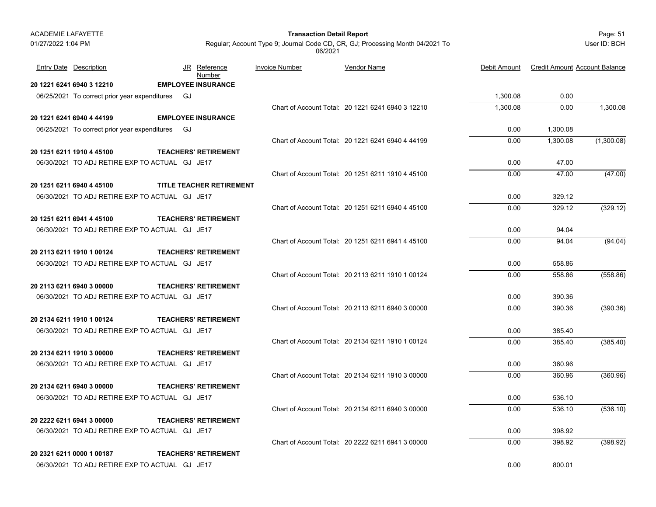| <b>ACADEMIE I AFAYETTE</b> |                                                |     |    |                             |
|----------------------------|------------------------------------------------|-----|----|-----------------------------|
| 01/27/2022 1:04 PM         |                                                |     |    | Regular; Accoun             |
|                            | <b>Entry Date</b> Description                  |     |    | JR Reference                |
|                            |                                                |     |    | Number                      |
|                            | 20 1221 6241 6940 3 12210                      |     |    | <b>EMPLOYEE INSURANCE</b>   |
|                            | 06/25/2021 To correct prior year expenditures  |     | GJ |                             |
|                            |                                                |     |    |                             |
|                            | 20 1221 6241 6940 4 44199                      |     |    | <b>EMPLOYEE INSURANCE</b>   |
|                            | 06/25/2021 To correct prior year expenditures  |     | GJ |                             |
|                            |                                                |     |    |                             |
|                            | 20 1251 6211 1910 4 45100                      |     |    | <b>TEACHERS' RETIREMENT</b> |
|                            | 06/30/2021 TO ADJ RETIRE EXP TO ACTUAL GJ JE17 |     |    |                             |
|                            |                                                |     |    |                             |
|                            | 20 1251 6211 6940 4 45100                      |     |    | TITLE TEACHER RETIREMENT    |
|                            | 06/30/2021 TO ADJ RETIRE EXP TO ACTUAL GJ JE17 |     |    |                             |
|                            |                                                |     |    |                             |
|                            | 20 1251 6211 6941 4 45100                      |     |    | <b>TEACHERS' RETIREMENT</b> |
|                            | 06/30/2021 TO ADJ RETIRE EXP TO ACTUAL GJ JE17 |     |    |                             |
|                            |                                                |     |    |                             |
|                            | ,,,,,,,,,,,,,,,,,,,,,,,,,                      | --- |    |                             |

| 20 2113 6211 1910 1 00124                      | <b>TEACHERS' RETIREMENT</b> |
|------------------------------------------------|-----------------------------|
| 06/30/2021 TO ADJ RETIRE EXP TO ACTUAL GJ JE17 |                             |

| 20 2113 6211 6940 3 00000                      |  | <b>TEACHERS' RETIREMENT</b> |
|------------------------------------------------|--|-----------------------------|
| 06/30/2021 TO ADJ RETIRE EXP TO ACTUAL GJ JE17 |  |                             |

 Page: 51 **Transaction Detail Report** Regular; Account Type 9; Journal Code CD, CR, GJ; Processing Month 04/2021 To

User ID: BCH

| Entry Date Description | JR Reference<br><u>Number</u> | Invoice Number | <b>Vendor Name</b> | Debit Amount | Credit Amount Account Balance |
|------------------------|-------------------------------|----------------|--------------------|--------------|-------------------------------|
| 1221 6241 6940 3 12210 | <b>EMPLOYEE INSURANCE</b>     |                |                    |              |                               |

06/2021

| 06/25/2021 To correct prior year expenditures GJ |                             |                                                   | 1,300.08 | 0.00     |            |
|--------------------------------------------------|-----------------------------|---------------------------------------------------|----------|----------|------------|
|                                                  |                             | Chart of Account Total: 20 1221 6241 6940 3 12210 | 1,300.08 | 0.00     | 1,300.08   |
| 01221 6241 6940 4 44199                          | <b>EMPLOYEE INSURANCE</b>   |                                                   |          |          |            |
| 06/25/2021 To correct prior year expenditures GJ |                             |                                                   | 0.00     | 1,300.08 |            |
|                                                  |                             | Chart of Account Total: 20 1221 6241 6940 4 44199 | 0.00     | 1,300.08 | (1,300.08) |
| 1251 6211 1910 4 45100                           | <b>TEACHERS' RETIREMENT</b> |                                                   |          |          |            |
| 06/30/2021 TO ADJ RETIRE EXP TO ACTUAL GJ JE17   |                             |                                                   | 0.00     | 47.00    |            |
|                                                  |                             | Chart of Account Total: 20 1251 6211 1910 4 45100 | 0.00     | 47.00    | (47.00)    |
| 1251 6211 6940 4 45100                           | TITLE TEACHER RETIREMENT    |                                                   |          |          |            |
| 06/30/2021 TO ADJ RETIRE EXP TO ACTUAL GJ JE17   |                             |                                                   | 0.00     | 329.12   |            |
|                                                  |                             | Chart of Account Total: 20 1251 6211 6940 4 45100 | 0.00     | 329.12   | (329.12)   |
| 1251 6211 6941 4 45100                           | <b>TEACHERS' RETIREMENT</b> |                                                   |          |          |            |
| 06/30/2021 TO ADJ RETIRE EXP TO ACTUAL GJ JE17   |                             |                                                   | 0.00     | 94.04    |            |
|                                                  |                             | Chart of Account Total: 20 1251 6211 6941 4 45100 | 0.00     | 94.04    | (94.04)    |
| 2113 6211 1910 1 00124                           | <b>TEACHERS' RETIREMENT</b> |                                                   |          |          |            |
| 06/30/2021 TO ADJ RETIRE EXP TO ACTUAL GJ JE17   |                             |                                                   | 0.00     | 558.86   |            |
|                                                  |                             | Chart of Account Total: 20 2113 6211 1910 1 00124 | 0.00     | 558.86   | (558.86)   |
| 2113 6211 6940 3 00000                           | <b>TEACHERS' RETIREMENT</b> |                                                   |          |          |            |
| 06/30/2021 TO ADJ RETIRE EXP TO ACTUAL GJ JE17   |                             |                                                   | 0.00     | 390.36   |            |
|                                                  |                             | Chart of Account Total: 20 2113 6211 6940 3 00000 | 0.00     | 390.36   | (390.36)   |
| 2134 6211 1910 1 00124                           | <b>TEACHERS' RETIREMENT</b> |                                                   |          |          |            |
| 06/30/2021 TO ADJ RETIRE EXP TO ACTUAL GJ JE17   |                             |                                                   | 0.00     | 385.40   |            |
|                                                  |                             | Chart of Account Total: 20 2134 6211 1910 1 00124 | 0.00     | 385.40   | (385.40)   |
| 2134 6211 1910 3 00000                           | <b>TEACHERS' RETIREMENT</b> |                                                   |          |          |            |
| 06/30/2021 TO ADJ RETIRE EXP TO ACTUAL GJ JE17   |                             |                                                   | 0.00     | 360.96   |            |
|                                                  |                             | Chart of Account Total: 20 2134 6211 1910 3 00000 | 0.00     | 360.96   | (360.96)   |
| 2134 6211 6940 3 00000                           | <b>TEACHERS' RETIREMENT</b> |                                                   |          |          |            |
| 06/30/2021 TO ADJ RETIRE EXP TO ACTUAL GJ JE17   |                             |                                                   | 0.00     | 536.10   |            |
|                                                  |                             | Chart of Account Total: 20 2134 6211 6940 3 00000 | 0.00     | 536.10   | (536.10)   |
| 2222 6211 6941 3 00000                           | <b>TEACHERS' RETIREMENT</b> |                                                   |          |          |            |
| 06/30/2021 TO ADJ RETIRE EXP TO ACTUAL GJ JE17   |                             |                                                   | 0.00     | 398.92   |            |
|                                                  |                             | Chart of Account Total: 20 2222 6211 6941 3 00000 | 0.00     | 398.92   | (398.92)   |
| 2321 6211 0000 1 00187                           | <b>TEACHERS' RETIREMENT</b> |                                                   |          |          |            |
| 06/30/2021 TO ADJ RETIRE EXP TO ACTUAL GJ JE17   |                             |                                                   | 0.00     | 800.01   |            |
|                                                  |                             |                                                   |          |          |            |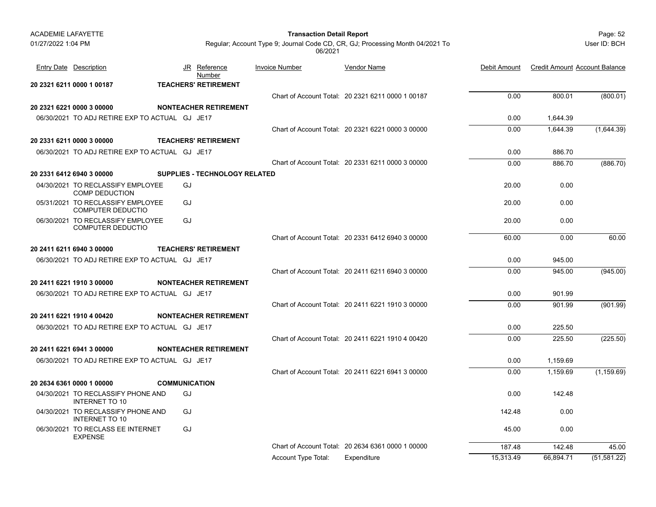| <b>ACADEMIE LAFAYETTE</b> |                                                               |  | <b>Transaction Detail Report</b>     |  |                       |                                                                               |              | Page: 52                             |              |
|---------------------------|---------------------------------------------------------------|--|--------------------------------------|--|-----------------------|-------------------------------------------------------------------------------|--------------|--------------------------------------|--------------|
| 01/27/2022 1:04 PM        |                                                               |  |                                      |  | 06/2021               | Regular; Account Type 9; Journal Code CD, CR, GJ; Processing Month 04/2021 To |              |                                      | User ID: BCH |
|                           | <b>Entry Date Description</b>                                 |  | JR<br>Reference<br>Number            |  | <b>Invoice Number</b> | Vendor Name                                                                   | Debit Amount | <b>Credit Amount Account Balance</b> |              |
|                           | 20 2321 6211 0000 1 00187                                     |  | <b>TEACHERS' RETIREMENT</b>          |  |                       |                                                                               |              |                                      |              |
|                           |                                                               |  |                                      |  |                       | Chart of Account Total: 20 2321 6211 0000 1 00187                             | 0.00         | 800.01                               | (800.01)     |
|                           | 20 2321 6221 0000 3 00000                                     |  | <b>NONTEACHER RETIREMENT</b>         |  |                       |                                                                               |              |                                      |              |
|                           | 06/30/2021 TO ADJ RETIRE EXP TO ACTUAL GJ JE17                |  |                                      |  |                       |                                                                               | 0.00         | 1,644.39                             |              |
|                           |                                                               |  |                                      |  |                       | Chart of Account Total: 20 2321 6221 0000 3 00000                             | 0.00         | 1,644.39                             | (1,644.39)   |
|                           | 20 2331 6211 0000 3 00000                                     |  | <b>TEACHERS' RETIREMENT</b>          |  |                       |                                                                               |              |                                      |              |
|                           | 06/30/2021 TO ADJ RETIRE EXP TO ACTUAL GJ JE17                |  |                                      |  |                       |                                                                               | 0.00         | 886.70                               |              |
|                           |                                                               |  |                                      |  |                       | Chart of Account Total: 20 2331 6211 0000 3 00000                             | 0.00         | 886.70                               | (886.70)     |
|                           | 20 2331 6412 6940 3 00000                                     |  | <b>SUPPLIES - TECHNOLOGY RELATED</b> |  |                       |                                                                               |              |                                      |              |
|                           | 04/30/2021 TO RECLASSIFY EMPLOYEE<br><b>COMP DEDUCTION</b>    |  | GJ                                   |  |                       |                                                                               | 20.00        | 0.00                                 |              |
|                           | 05/31/2021 TO RECLASSIFY EMPLOYEE<br><b>COMPUTER DEDUCTIO</b> |  | GJ                                   |  |                       |                                                                               | 20.00        | 0.00                                 |              |
|                           | 06/30/2021 TO RECLASSIFY EMPLOYEE<br><b>COMPUTER DEDUCTIO</b> |  | GJ                                   |  |                       |                                                                               | 20.00        | 0.00                                 |              |
|                           |                                                               |  |                                      |  |                       | Chart of Account Total: 20 2331 6412 6940 3 00000                             | 60.00        | 0.00                                 | 60.00        |
|                           | 20 2411 6211 6940 3 00000                                     |  | <b>TEACHERS' RETIREMENT</b>          |  |                       |                                                                               |              |                                      |              |
|                           | 06/30/2021 TO ADJ RETIRE EXP TO ACTUAL GJ JE17                |  |                                      |  |                       |                                                                               | 0.00         | 945.00                               |              |
|                           |                                                               |  |                                      |  |                       | Chart of Account Total: 20 2411 6211 6940 3 00000                             | 0.00         | 945.00                               | (945.00)     |
|                           | 20 2411 6221 1910 3 00000                                     |  | <b>NONTEACHER RETIREMENT</b>         |  |                       |                                                                               |              |                                      |              |
|                           | 06/30/2021 TO ADJ RETIRE EXP TO ACTUAL GJ JE17                |  |                                      |  |                       |                                                                               | 0.00         | 901.99                               |              |
|                           |                                                               |  |                                      |  |                       | Chart of Account Total: 20 2411 6221 1910 3 00000                             | 0.00         | 901.99                               | (901.99)     |
|                           | 20 2411 6221 1910 4 00420                                     |  | <b>NONTEACHER RETIREMENT</b>         |  |                       |                                                                               |              |                                      |              |
|                           | 06/30/2021 TO ADJ RETIRE EXP TO ACTUAL GJ JE17                |  |                                      |  |                       |                                                                               | 0.00         | 225.50                               |              |
|                           |                                                               |  |                                      |  |                       | Chart of Account Total: 20 2411 6221 1910 4 00420                             | 0.00         | 225.50                               | (225.50)     |
|                           | 20 2411 6221 6941 3 00000                                     |  | <b>NONTEACHER RETIREMENT</b>         |  |                       |                                                                               |              |                                      |              |
|                           | 06/30/2021 TO ADJ RETIRE EXP TO ACTUAL GJ JE17                |  |                                      |  |                       |                                                                               | 0.00         | 1,159.69                             |              |
|                           |                                                               |  |                                      |  |                       | Chart of Account Total: 20 2411 6221 6941 3 00000                             | 0.00         | 1,159.69                             | (1, 159.69)  |
|                           | 20 2634 6361 0000 1 00000                                     |  | <b>COMMUNICATION</b>                 |  |                       |                                                                               |              |                                      |              |
|                           | 04/30/2021 TO RECLASSIFY PHONE AND<br><b>INTERNET TO 10</b>   |  | GJ                                   |  |                       |                                                                               | 0.00         | 142.48                               |              |
|                           | 04/30/2021 TO RECLASSIFY PHONE AND<br><b>INTERNET TO 10</b>   |  | GJ                                   |  |                       |                                                                               | 142.48       | 0.00                                 |              |
|                           | 06/30/2021 TO RECLASS EE INTERNET<br><b>EXPENSE</b>           |  | GJ                                   |  |                       |                                                                               | 45.00        | 0.00                                 |              |
|                           |                                                               |  |                                      |  |                       | Chart of Account Total: 20 2634 6361 0000 1 00000                             | 187.48       | 142.48                               | 45.00        |
|                           |                                                               |  |                                      |  | Account Type Total:   | Expenditure                                                                   | 15,313.49    | 66,894.71                            | (51, 581.22) |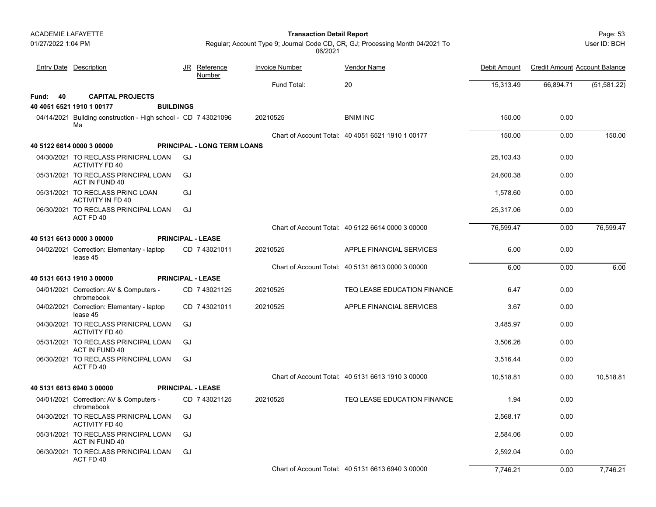01/27/2022 1:04 PM

#### Page: 53 **Transaction Detail Report**

Reference Invoice Number

User ID: BCH

Regular; Account Type 9; Journal Code CD, CR, GJ; Processing Month 04/2021 To 06/2021

Vendor Name

Debit Amount Credit Amount Account Balance

|          | <u>Entry Date Description</u>                                        | <u>JR</u>        | <u>Reference</u><br>Number         | <b>Invoice Number</b> | <u>Vendor Name</u>                                | Debit Amount | <b>Credit Amount Account Balance</b> |              |
|----------|----------------------------------------------------------------------|------------------|------------------------------------|-----------------------|---------------------------------------------------|--------------|--------------------------------------|--------------|
|          |                                                                      |                  |                                    | Fund Total:           | 20                                                | 15,313.49    | 66,894.71                            | (51, 581.22) |
| Fund: 40 | <b>CAPITAL PROJECTS</b>                                              |                  |                                    |                       |                                                   |              |                                      |              |
|          | 40 4051 6521 1910 1 00177                                            | <b>BUILDINGS</b> |                                    |                       |                                                   |              |                                      |              |
|          | 04/14/2021 Building construction - High school - CD 7 43021096<br>Ma |                  |                                    | 20210525              | <b>BNIM INC</b>                                   | 150.00       | 0.00                                 |              |
|          |                                                                      |                  |                                    |                       | Chart of Account Total: 40 4051 6521 1910 1 00177 | 150.00       | 0.00                                 | 150.00       |
|          | 40 5122 6614 0000 3 00000                                            |                  | <b>PRINCIPAL - LONG TERM LOANS</b> |                       |                                                   |              |                                      |              |
|          | 04/30/2021 TO RECLASS PRINICPAL LOAN<br><b>ACTIVITY FD 40</b>        | GJ               |                                    |                       |                                                   | 25,103.43    | 0.00                                 |              |
|          | 05/31/2021 TO RECLASS PRINCIPAL LOAN<br>ACT IN FUND 40               | GJ               |                                    |                       |                                                   | 24,600.38    | 0.00                                 |              |
|          | 05/31/2021 TO RECLASS PRINC LOAN<br><b>ACTIVITY IN FD 40</b>         | GJ               |                                    |                       |                                                   | 1.578.60     | 0.00                                 |              |
|          | 06/30/2021 TO RECLASS PRINCIPAL LOAN<br>ACT FD 40                    | GJ               |                                    |                       |                                                   | 25,317.06    | 0.00                                 |              |
|          |                                                                      |                  |                                    |                       | Chart of Account Total: 40 5122 6614 0000 3 00000 | 76,599.47    | 0.00                                 | 76,599.47    |
|          | 40 5131 6613 0000 3 00000                                            |                  | <b>PRINCIPAL - LEASE</b>           |                       |                                                   |              |                                      |              |
|          | 04/02/2021 Correction: Elementary - laptop<br>lease 45               |                  | CD 7 43021011                      | 20210525              | APPLE FINANCIAL SERVICES                          | 6.00         | 0.00                                 |              |
|          |                                                                      |                  |                                    |                       | Chart of Account Total: 40 5131 6613 0000 3 00000 | 6.00         | 0.00                                 | 6.00         |
|          | 40 5131 6613 1910 3 00000                                            |                  | <b>PRINCIPAL - LEASE</b>           |                       |                                                   |              |                                      |              |
|          | 04/01/2021 Correction: AV & Computers -<br>chromebook                |                  | CD 7 43021125                      | 20210525              | TEQ LEASE EDUCATION FINANCE                       | 6.47         | 0.00                                 |              |
|          | 04/02/2021 Correction: Elementary - laptop<br>lease 45               |                  | CD 7 43021011                      | 20210525              | APPLE FINANCIAL SERVICES                          | 3.67         | 0.00                                 |              |
|          | 04/30/2021 TO RECLASS PRINICPAL LOAN<br><b>ACTIVITY FD 40</b>        | GJ               |                                    |                       |                                                   | 3.485.97     | 0.00                                 |              |
|          | 05/31/2021 TO RECLASS PRINCIPAL LOAN<br>ACT IN FUND 40               | GJ               |                                    |                       |                                                   | 3,506.26     | 0.00                                 |              |
|          | 06/30/2021 TO RECLASS PRINCIPAL LOAN<br>ACT FD 40                    | GJ               |                                    |                       |                                                   | 3.516.44     | 0.00                                 |              |
|          |                                                                      |                  |                                    |                       | Chart of Account Total: 40 5131 6613 1910 3 00000 | 10.518.81    | 0.00                                 | 10.518.81    |
|          | 40 5131 6613 6940 3 00000                                            |                  | <b>PRINCIPAL - LEASE</b>           |                       |                                                   |              |                                      |              |
|          | 04/01/2021 Correction: AV & Computers -<br>chromebook                |                  | CD 7 43021125                      | 20210525              | TEQ LEASE EDUCATION FINANCE                       | 1.94         | 0.00                                 |              |
|          | 04/30/2021 TO RECLASS PRINICPAL LOAN<br><b>ACTIVITY FD 40</b>        | GJ               |                                    |                       |                                                   | 2.568.17     | 0.00                                 |              |
|          | 05/31/2021 TO RECLASS PRINCIPAL LOAN<br>ACT IN FUND 40               | GJ               |                                    |                       |                                                   | 2.584.06     | 0.00                                 |              |
|          | 06/30/2021 TO RECLASS PRINCIPAL LOAN<br>ACT FD 40                    | GJ               |                                    |                       |                                                   | 2,592.04     | 0.00                                 |              |
|          |                                                                      |                  |                                    |                       | Chart of Account Total: 40 5131 6613 6940 3 00000 | 7.746.21     | 0.00                                 | 7.746.21     |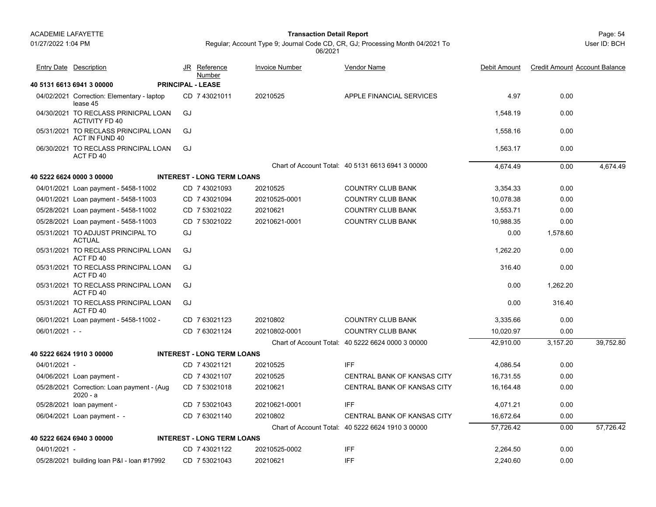01/27/2022 1:04 PM

#### Page: 54 **Transaction Detail Report**

Regular; Account Type 9; Journal Code CD, CR, GJ; Processing Month 04/2021 To 06/2021

|                  | Entry Date Description                                        |    | JR Reference<br>Number            | <b>Invoice Number</b> | Vendor Name                                       | Debit Amount | <b>Credit Amount Account Balance</b> |           |
|------------------|---------------------------------------------------------------|----|-----------------------------------|-----------------------|---------------------------------------------------|--------------|--------------------------------------|-----------|
|                  | 40 5131 6613 6941 3 00000                                     |    | <b>PRINCIPAL - LEASE</b>          |                       |                                                   |              |                                      |           |
|                  | 04/02/2021 Correction: Elementary - laptop<br>lease 45        |    | CD 7 43021011                     | 20210525              | APPLE FINANCIAL SERVICES                          | 4.97         | 0.00                                 |           |
|                  | 04/30/2021 TO RECLASS PRINICPAL LOAN<br><b>ACTIVITY FD 40</b> | GJ |                                   |                       |                                                   | 1,548.19     | 0.00                                 |           |
|                  | 05/31/2021 TO RECLASS PRINCIPAL LOAN<br>ACT IN FUND 40        | GJ |                                   |                       |                                                   | 1,558.16     | 0.00                                 |           |
|                  | 06/30/2021 TO RECLASS PRINCIPAL LOAN<br>ACT FD 40             | GJ |                                   |                       |                                                   | 1,563.17     | 0.00                                 |           |
|                  |                                                               |    |                                   |                       | Chart of Account Total: 40 5131 6613 6941 3 00000 | 4,674.49     | 0.00                                 | 4.674.49  |
|                  | 40 5222 6624 0000 3 00000                                     |    | <b>INTEREST - LONG TERM LOANS</b> |                       |                                                   |              |                                      |           |
|                  | 04/01/2021 Loan payment - 5458-11002                          |    | CD 7 43021093                     | 20210525              | <b>COUNTRY CLUB BANK</b>                          | 3,354.33     | 0.00                                 |           |
|                  | 04/01/2021 Loan payment - 5458-11003                          |    | CD 7 43021094                     | 20210525-0001         | <b>COUNTRY CLUB BANK</b>                          | 10,078.38    | 0.00                                 |           |
|                  | 05/28/2021 Loan payment - 5458-11002                          |    | CD 7 53021022                     | 20210621              | <b>COUNTRY CLUB BANK</b>                          | 3,553.71     | 0.00                                 |           |
|                  | 05/28/2021 Loan payment - 5458-11003                          |    | CD 7 53021022                     | 20210621-0001         | <b>COUNTRY CLUB BANK</b>                          | 10.988.35    | 0.00                                 |           |
|                  | 05/31/2021 TO ADJUST PRINCIPAL TO<br><b>ACTUAL</b>            | GJ |                                   |                       |                                                   | 0.00         | 1.578.60                             |           |
|                  | 05/31/2021 TO RECLASS PRINCIPAL LOAN<br>ACT FD 40             | GJ |                                   |                       |                                                   | 1.262.20     | 0.00                                 |           |
|                  | 05/31/2021 TO RECLASS PRINCIPAL LOAN<br>ACT FD 40             | GJ |                                   |                       |                                                   | 316.40       | 0.00                                 |           |
|                  | 05/31/2021 TO RECLASS PRINCIPAL LOAN<br>ACT FD 40             | GJ |                                   |                       |                                                   | 0.00         | 1.262.20                             |           |
|                  | 05/31/2021 TO RECLASS PRINCIPAL LOAN<br>ACT FD 40             | GJ |                                   |                       |                                                   | 0.00         | 316.40                               |           |
|                  | 06/01/2021 Loan payment - 5458-11002 -                        |    | CD 763021123                      | 20210802              | <b>COUNTRY CLUB BANK</b>                          | 3,335.66     | 0.00                                 |           |
| $06/01/2021 - -$ |                                                               |    | CD 763021124                      | 20210802-0001         | <b>COUNTRY CLUB BANK</b>                          | 10,020.97    | 0.00                                 |           |
|                  |                                                               |    |                                   |                       | Chart of Account Total: 40 5222 6624 0000 3 00000 | 42,910.00    | 3,157.20                             | 39.752.80 |
|                  | 40 5222 6624 1910 3 00000                                     |    | <b>INTEREST - LONG TERM LOANS</b> |                       |                                                   |              |                                      |           |
| 04/01/2021 -     |                                                               |    | CD 7 43021121                     | 20210525              | <b>IFF</b>                                        | 4,086.54     | 0.00                                 |           |
|                  | 04/06/2021 Loan payment -                                     |    | CD 7 43021107                     | 20210525              | CENTRAL BANK OF KANSAS CITY                       | 16,731.55    | 0.00                                 |           |
|                  | 05/28/2021 Correction: Loan payment - (Aug<br>$2020 - a$      |    | CD 7 53021018                     | 20210621              | CENTRAL BANK OF KANSAS CITY                       | 16,164.48    | 0.00                                 |           |
|                  | 05/28/2021 loan payment -                                     |    | CD 7 53021043                     | 20210621-0001         | <b>IFF</b>                                        | 4,071.21     | 0.00                                 |           |
|                  | 06/04/2021 Loan payment - -                                   |    | CD 7 63021140                     | 20210802              | <b>CENTRAL BANK OF KANSAS CITY</b>                | 16,672.64    | 0.00                                 |           |
|                  |                                                               |    |                                   |                       | Chart of Account Total: 40 5222 6624 1910 3 00000 | 57,726.42    | 0.00                                 | 57.726.42 |
|                  | 40 5222 6624 6940 3 00000                                     |    | <b>INTEREST - LONG TERM LOANS</b> |                       |                                                   |              |                                      |           |
| 04/01/2021 -     |                                                               |    | CD 743021122                      | 20210525-0002         | <b>IFF</b>                                        | 2,264.50     | 0.00                                 |           |
|                  | 05/28/2021 building loan P&I - loan #17992                    |    | CD 7 53021043                     | 20210621              | <b>IFF</b>                                        | 2.240.60     | 0.00                                 |           |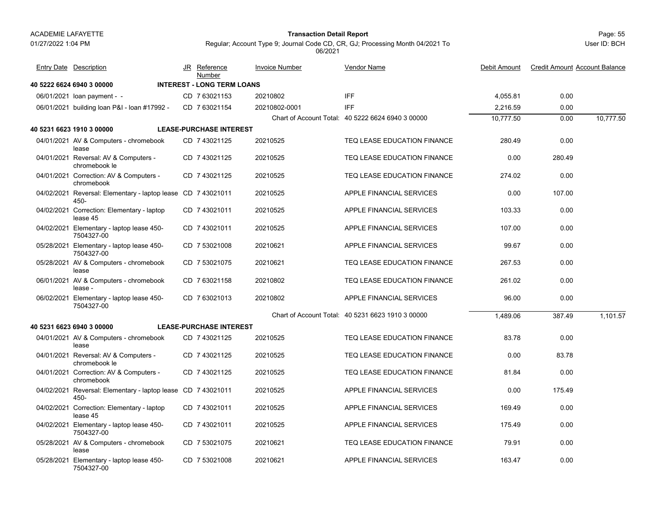01/27/2022 1:04 PM

#### Page: 55 **Transaction Detail Report**

Regular; Account Type 9; Journal Code CD, CR, GJ; Processing Month 04/2021 To

06/2021

**40 5222 6624 6940 3 00000 INTEREST - LONG TERM LOANS**06/01/2021 loan payment - loan payment - - CD 20210802 IFF 7 63021153 4,055.81 0.00 06/01/2021 building loan P&I - loan #17992 - CD 7 63021154 20210802-0001 IFF 2,216.59 0.00 Chart of Account Total: 40 5222 6624 6940 3 00000 10,777.50 0.00 10,777.50 **40 5231 6623 1910 3 00000 LEASE-PURCHASE INTEREST**04/01/2021 AV & Computers - chromebook CD\_7 43021125 20210525 TEQ LEASE EDUCATION FINANCE 280.49 0.00 leaseCD 20210525 TEQ LEASE EDUCATION FINANCE 7 43021125 04/01/2021 Reversal: AV & Computers - Reversal: AV & Computers - 0.00 280.49 CD 20210525 TEQ LEASE EDUCATION FINANCE 7 43021125 chromebook le04/01/2021 Correction: AV & Computers - Correction: AV & Computers - 274.02 0.00 CD 20210525 TEQ LEASE EDUCATION FINANCE 7 43021125 chromebook04/02/2021 Reversal: Elementary - laptop lease CD 7 43021011 20210525 APPLE FINANCIAL SERVICES 0.00 107.00 450-20210525 APPLE FINANCIAL SERVICES 04/02/2021 Correction: Elementary - laptop CD\_7 43021011 20210525 APPLE FINANCIAL SERVICES 103.33 0.00 lease 45CD 7 43021011 20210525 APPLE FINANCIAL SERVICES04/02/2021 Elementary - laptop lease 450- CD\_7 43021011 20210525 APPLE FINANCIAL SERVICES 0.00 7504327-00 CD 7 43021011 20210525 7 43021011 APPLE FINANCIAL SERVICES 05/28/2021 Elementary - laptop lease 450- CD\_7 53021008 20210621 APPLE FINANCIAL SERVICES 99.67 0.00 7504327-00CD 7 53021008 20210621 APPLE FINANCIAL SERVICES05/28/2021 AV & Computers - chromebook 1 AV & Computers - chromebook CD 7 53021075 20210621 TEQ LEASE EDUCATION FINANCE 267.53 0.00 lease06/01/2021 AV & Computers - chromebook CD\_7 63021158 20210802 TEQ LEASE EDUCATION FINANCE 261.02 0.00 lease -CD 20210802 TEQ LEASE EDUCATION FINANCE 7 63021158 06/02/2021 Elementary - laptop lease 450- CD\_7 63021013 20210802 APPLE FINANCIAL SERVICES 96.00 0.00 7504327-00CD 7 63021013 20210802 APPLE FINANCIAL SERVICESChart of Account Total: 40 5231 6623 1910 3 00000 1,489.06 387.49 1,101.57 **40 5231 6623 6940 3 00000 LEASE-PURCHASE INTEREST**04/01/2021 AV & Computers - chromebook 1 AV & Computers - chromebook CD 7 43021125 20210525 TEQ LEASE EDUCATION FINANCE 83.78 0.00 lease04/01/2021 Reversal: AV & Computers - CD\_7 43021125 20210525 TEQ LEASE EDUCATION FINANCE 0.00 83.78 chromebook leCD 20210525 TEQ LEASE EDUCATION FINANCE 7 43021125 04/01/2021 Correction: AV & Computers - Correction: AV & Computers - 81.84 0.00 CD 20210525 TEQ LEASE EDUCATION FINANCE 7 43021125 chromebook04/02/2021 Reversal: Elementary - laptop lease CD 7 43021011 20210525 APPLE FINANCIAL SERVICES 0.00 175.49 450- APPLE FINANCIAL SERVICES04/02/2021 Correction: Elementary - laptop CD\_7 43021011 20210525 APPLE FINANCIAL SERVICES 169.49 0.00 lease 45CD 7 43021011 20210525 APPLE FINANCIAL SERVICES04/02/2021 Elementary - laptop lease 450- CD\_7 43021011 20210525 APPLE FINANCIAL SERVICES 0.00 7504327-00CD 7 43021011 20210525 APPLE FINANCIAL SERVICES05/28/2021 AV & Computers - chromebook CD\_7 53021075 20210621 TEQ LEASE EDUCATION FINANCE 79.91 0.00 leaseCD 20210621 TEQ LEASE EDUCATION FINANCE 7 53021075 05/28/2021 Elementary - laptop lease 450- CD\_7 53021008 20210621 APPLE FINANCIAL SERVICES 163.47 0.00 7504327-00CD 7 53021008 20210621 APPLE FINANCIAL SERVICESJR Reference Invoice Number Vendor NameDebit Amount Credit Amount Account Balance NumberEntry Date Description JR Reference <u>Invoice Number</u> <u>Vendor Name</u> Debit Amount Credit Amount